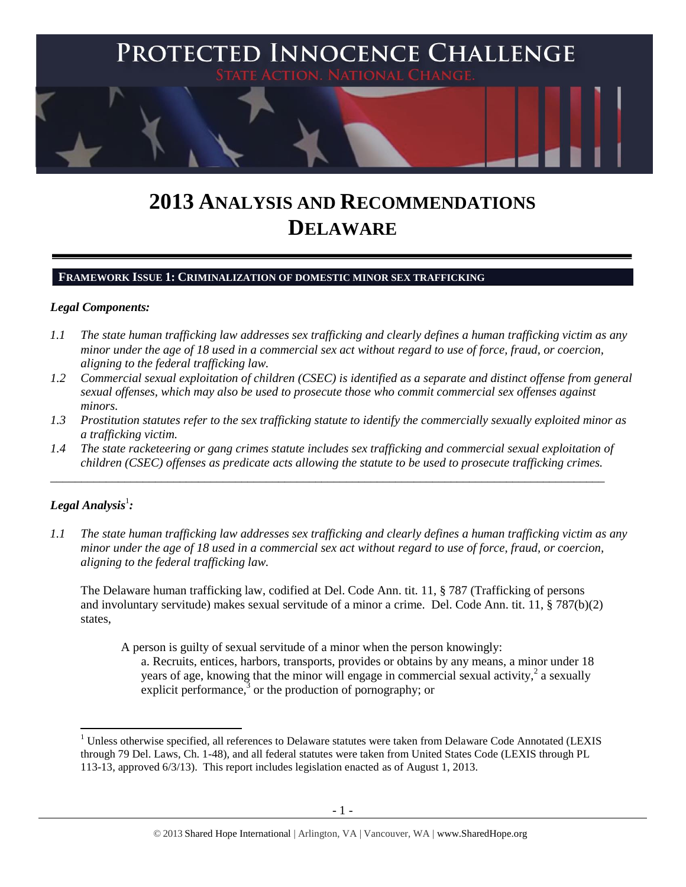

# **2013 ANALYSIS AND RECOMMENDATIONS DELAWARE**

#### **FRAMEWORK ISSUE 1: CRIMINALIZATION OF DOMESTIC MINOR SEX TRAFFICKING**

#### *Legal Components:*

- *1.1 The state human trafficking law addresses sex trafficking and clearly defines a human trafficking victim as any minor under the age of 18 used in a commercial sex act without regard to use of force, fraud, or coercion, aligning to the federal trafficking law.*
- *1.2 Commercial sexual exploitation of children (CSEC) is identified as a separate and distinct offense from general sexual offenses, which may also be used to prosecute those who commit commercial sex offenses against minors.*
- *1.3 Prostitution statutes refer to the sex trafficking statute to identify the commercially sexually exploited minor as a trafficking victim.*
- *1.4 The state racketeering or gang crimes statute includes sex trafficking and commercial sexual exploitation of children (CSEC) offenses as predicate acts allowing the statute to be used to prosecute trafficking crimes.*

\_\_\_\_\_\_\_\_\_\_\_\_\_\_\_\_\_\_\_\_\_\_\_\_\_\_\_\_\_\_\_\_\_\_\_\_\_\_\_\_\_\_\_\_\_\_\_\_\_\_\_\_\_\_\_\_\_\_\_\_\_\_\_\_\_\_\_\_\_\_\_\_\_\_\_\_\_\_\_\_\_\_\_\_\_\_\_\_\_\_

## $\bm{L}$ egal Analysis $^1$ :

l

*1.1 The state human trafficking law addresses sex trafficking and clearly defines a human trafficking victim as any minor under the age of 18 used in a commercial sex act without regard to use of force, fraud, or coercion, aligning to the federal trafficking law.*

The Delaware human trafficking law, codified at Del. Code Ann. tit. 11, § 787 (Trafficking of persons and involuntary servitude) makes sexual servitude of a minor a crime. Del. Code Ann. tit. 11, § 787(b)(2) states,

A person is guilty of sexual servitude of a minor when the person knowingly: a. Recruits, entices, harbors, transports, provides or obtains by any means, a minor under 18 years of age, knowing that the minor will engage in commercial sexual activity,  $2$  a sexually explicit performance, $3$  or the production of pornography; or

 $1$  Unless otherwise specified, all references to Delaware statutes were taken from Delaware Code Annotated (LEXIS through 79 Del. Laws, Ch. 1-48), and all federal statutes were taken from United States Code (LEXIS through PL 113-13, approved 6/3/13). This report includes legislation enacted as of August 1, 2013.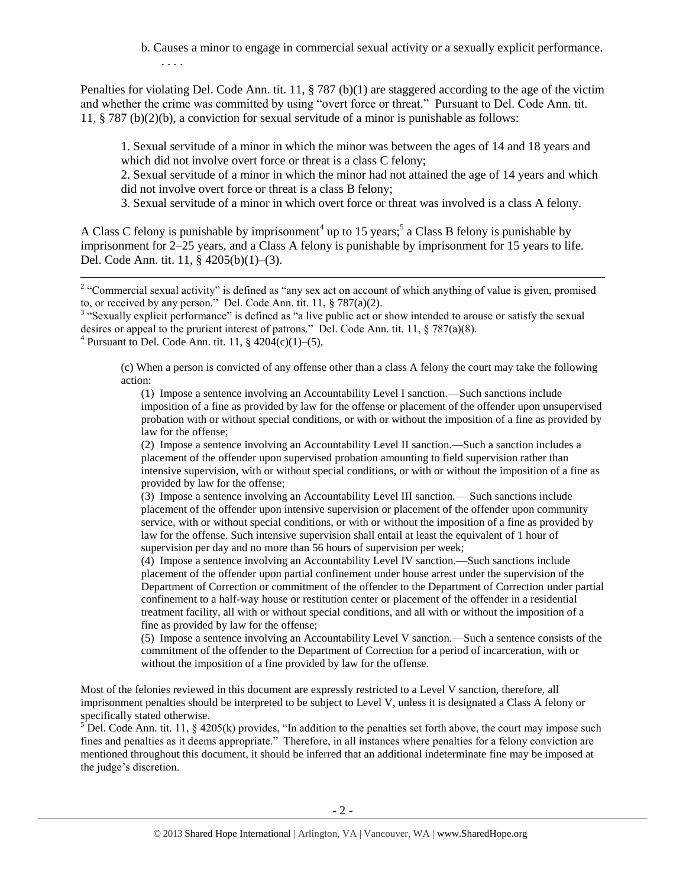b. Causes a minor to engage in commercial sexual activity or a sexually explicit performance. . . . .

Penalties for violating Del. Code Ann. tit. 11, § 787 (b)(1) are staggered according to the age of the victim and whether the crime was committed by using "overt force or threat." Pursuant to Del. Code Ann. tit. 11, § 787 (b)(2)(b), a conviction for sexual servitude of a minor is punishable as follows:

1. Sexual servitude of a minor in which the minor was between the ages of 14 and 18 years and which did not involve overt force or threat is a class C felony;

2. Sexual servitude of a minor in which the minor had not attained the age of 14 years and which did not involve overt force or threat is a class B felony;

3. Sexual servitude of a minor in which overt force or threat was involved is a class A felony.

A Class C felony is punishable by imprisonment<sup>4</sup> up to 15 years;<sup>5</sup> a Class B felony is punishable by imprisonment for 2–25 years, and a Class A felony is punishable by imprisonment for 15 years to life. Del. Code Ann. tit. 11, § 4205(b)(1)–(3).

<sup>3</sup> "Sexually explicit performance" is defined as "a live public act or show intended to arouse or satisfy the sexual desires or appeal to the prurient interest of patrons." Del. Code Ann. tit. 11,  $\S$  787(a)(8).

<sup>4</sup> Pursuant to Del. Code Ann. tit. 11,  $\frac{6}{9}$  4204(c)(1)–(5),

(c) When a person is convicted of any offense other than a class A felony the court may take the following action:

(1) Impose a sentence involving an Accountability Level I sanction.—Such sanctions include imposition of a fine as provided by law for the offense or placement of the offender upon unsupervised probation with or without special conditions, or with or without the imposition of a fine as provided by law for the offense;

(2) Impose a sentence involving an Accountability Level II sanction.—Such a sanction includes a placement of the offender upon supervised probation amounting to field supervision rather than intensive supervision, with or without special conditions, or with or without the imposition of a fine as provided by law for the offense;

(3) Impose a sentence involving an Accountability Level III sanction.— Such sanctions include placement of the offender upon intensive supervision or placement of the offender upon community service, with or without special conditions, or with or without the imposition of a fine as provided by law for the offense. Such intensive supervision shall entail at least the equivalent of 1 hour of supervision per day and no more than 56 hours of supervision per week;

(4) Impose a sentence involving an Accountability Level IV sanction.—Such sanctions include placement of the offender upon partial confinement under house arrest under the supervision of the Department of Correction or commitment of the offender to the Department of Correction under partial confinement to a half-way house or restitution center or placement of the offender in a residential treatment facility, all with or without special conditions, and all with or without the imposition of a fine as provided by law for the offense;

(5) Impose a sentence involving an Accountability Level V sanction.—Such a sentence consists of the commitment of the offender to the Department of Correction for a period of incarceration, with or without the imposition of a fine provided by law for the offense.

Most of the felonies reviewed in this document are expressly restricted to a Level V sanction, therefore, all imprisonment penalties should be interpreted to be subject to Level V, unless it is designated a Class A felony or specifically stated otherwise.

 $5$  Del. Code Ann. tit. 11, § 4205(k) provides, "In addition to the penalties set forth above, the court may impose such fines and penalties as it deems appropriate." Therefore, in all instances where penalties for a felony conviction are mentioned throughout this document, it should be inferred that an additional indeterminate fine may be imposed at the judge's discretion.

<sup>&</sup>lt;sup>2</sup> "Commercial sexual activity" is defined as "any sex act on account of which anything of value is given, promised to, or received by any person." Del. Code Ann. tit. 11, § 787(a)(2).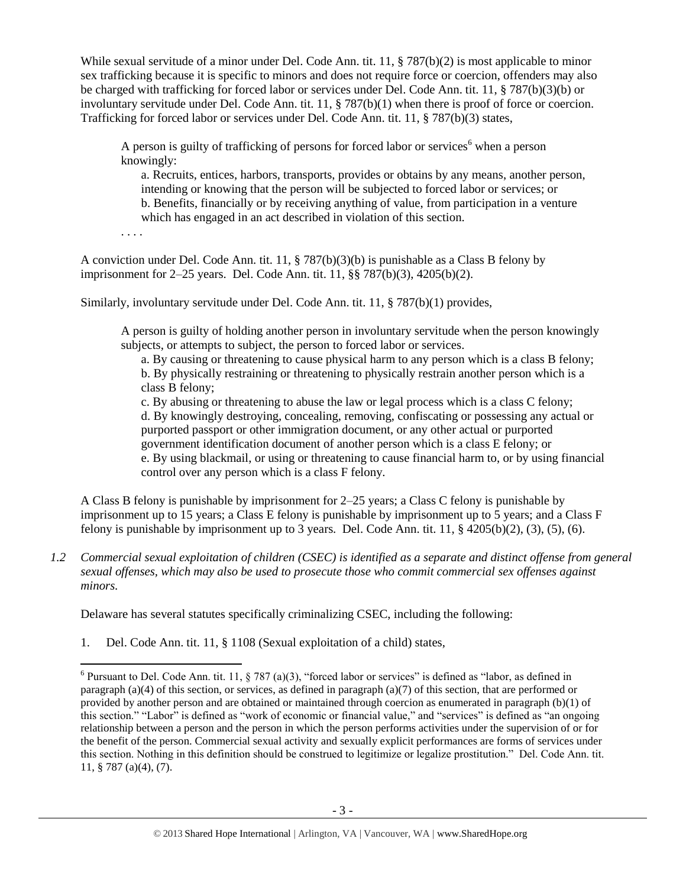While sexual servitude of a minor under Del. Code Ann. tit. 11, § 787(b)(2) is most applicable to minor sex trafficking because it is specific to minors and does not require force or coercion, offenders may also be charged with trafficking for forced labor or services under Del. Code Ann. tit. 11, § 787(b)(3)(b) or involuntary servitude under Del. Code Ann. tit. 11, § 787(b)(1) when there is proof of force or coercion. Trafficking for forced labor or services under Del. Code Ann. tit. 11, § 787(b)(3) states,

A person is guilty of trafficking of persons for forced labor or services when a person knowingly:

<span id="page-2-0"></span>a. Recruits, entices, harbors, transports, provides or obtains by any means, another person, intending or knowing that the person will be subjected to forced labor or services; or b. Benefits, financially or by receiving anything of value, from participation in a venture which has engaged in an act described in violation of this section.

. . . .

A conviction under Del. Code Ann. tit. 11, § 787(b)(3)(b) is punishable as a Class B felony by imprisonment for 2–25 years. Del. Code Ann. tit. 11, §§ 787(b)(3), 4205(b)(2).

Similarly, involuntary servitude under Del. Code Ann. tit. 11, § 787(b)(1) provides,

A person is guilty of holding another person in involuntary servitude when the person knowingly subjects, or attempts to subject, the person to forced labor or services.

a. By causing or threatening to cause physical harm to any person which is a class B felony; b. By physically restraining or threatening to physically restrain another person which is a class B felony;

c. By abusing or threatening to abuse the law or legal process which is a class C felony; d. By knowingly destroying, concealing, removing, confiscating or possessing any actual or purported passport or other immigration document, or any other actual or purported government identification document of another person which is a class E felony; or e. By using blackmail, or using or threatening to cause financial harm to, or by using financial control over any person which is a class F felony.

A Class B felony is punishable by imprisonment for 2–25 years; a Class C felony is punishable by imprisonment up to 15 years; a Class E felony is punishable by imprisonment up to 5 years; and a Class F felony is punishable by imprisonment up to 3 years. Del. Code Ann. tit. 11,  $\S$  4205(b)(2), (3), (5), (6).

*1.2 Commercial sexual exploitation of children (CSEC) is identified as a separate and distinct offense from general sexual offenses, which may also be used to prosecute those who commit commercial sex offenses against minors.*

Delaware has several statutes specifically criminalizing CSEC, including the following:

1. Del. Code Ann. tit. 11, § 1108 (Sexual exploitation of a child) states,

<sup>&</sup>lt;sup>6</sup> Pursuant to Del. Code Ann. tit. 11, § 787 (a)(3), "forced labor or services" is defined as "labor, as defined in paragraph (a)(4) of this section, or services, as defined in paragraph (a)(7) of this section, that are performed or provided by another person and are obtained or maintained through coercion as enumerated in paragraph (b)(1) of this section." "Labor" is defined as "work of economic or financial value," and "services" is defined as "an ongoing relationship between a person and the person in which the person performs activities under the supervision of or for the benefit of the person. Commercial sexual activity and sexually explicit performances are forms of services under this section. Nothing in this definition should be construed to legitimize or legalize prostitution." Del. Code Ann. tit. 11, § 787 (a)(4), (7).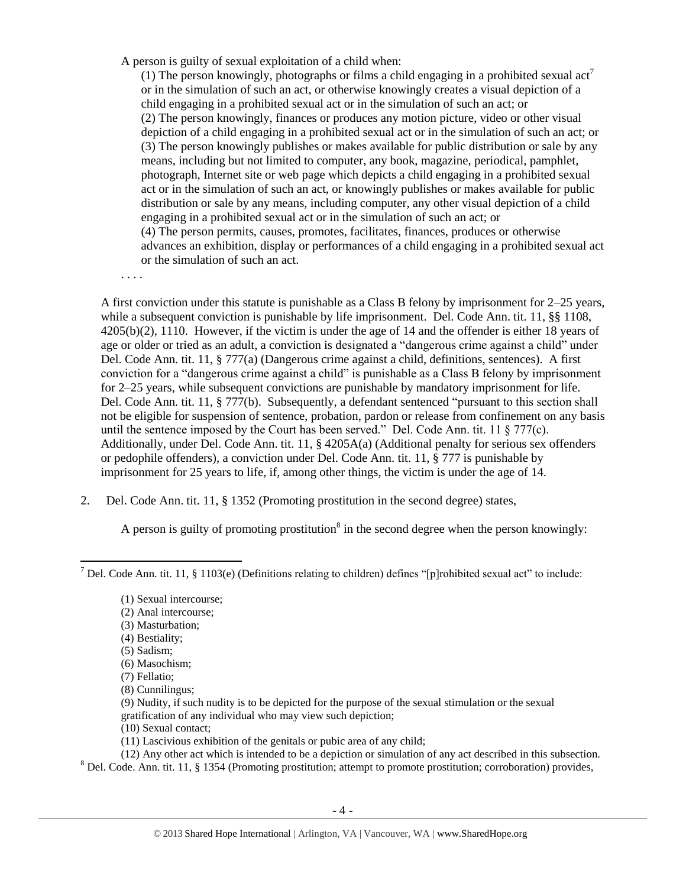A person is guilty of sexual exploitation of a child when:

(1) The person knowingly, photographs or films a child engaging in a prohibited sexual  $\text{act}^7$ or in the simulation of such an act, or otherwise knowingly creates a visual depiction of a child engaging in a prohibited sexual act or in the simulation of such an act; or (2) The person knowingly, finances or produces any motion picture, video or other visual depiction of a child engaging in a prohibited sexual act or in the simulation of such an act; or (3) The person knowingly publishes or makes available for public distribution or sale by any means, including but not limited to computer, any book, magazine, periodical, pamphlet, photograph, Internet site or web page which depicts a child engaging in a prohibited sexual act or in the simulation of such an act, or knowingly publishes or makes available for public distribution or sale by any means, including computer, any other visual depiction of a child engaging in a prohibited sexual act or in the simulation of such an act; or (4) The person permits, causes, promotes, facilitates, finances, produces or otherwise advances an exhibition, display or performances of a child engaging in a prohibited sexual act or the simulation of such an act.

. . . .

A first conviction under this statute is punishable as a Class B felony by imprisonment for 2–25 years, while a subsequent conviction is punishable by life imprisonment. Del. Code Ann. tit. 11, §§ 1108, 4205(b)(2), 1110. However, if the victim is under the age of 14 and the offender is either 18 years of age or older or tried as an adult, a conviction is designated a "dangerous crime against a child" under Del. Code Ann. tit. 11, § 777(a) (Dangerous crime against a child, definitions, sentences). A first conviction for a "dangerous crime against a child" is punishable as a Class B felony by imprisonment for 2–25 years, while subsequent convictions are punishable by mandatory imprisonment for life. Del. Code Ann. tit. 11, § 777(b). Subsequently, a defendant sentenced "pursuant to this section shall not be eligible for suspension of sentence, probation, pardon or release from confinement on any basis until the sentence imposed by the Court has been served." Del. Code Ann. tit. 11  $\S$  777(c). Additionally, under Del. Code Ann. tit. 11, § 4205A(a) (Additional penalty for serious sex offenders or pedophile offenders), a conviction under Del. Code Ann. tit. 11, § 777 is punishable by imprisonment for 25 years to life, if, among other things, the victim is under the age of 14.

2. Del. Code Ann. tit. 11, § 1352 (Promoting prostitution in the second degree) states,

<span id="page-3-0"></span>A person is guilty of promoting prostitution<sup>8</sup> in the second degree when the person knowingly:

- (2) Anal intercourse;
- (3) Masturbation;
- (4) Bestiality;
- (5) Sadism;
- (6) Masochism; (7) Fellatio;
- (8) Cunnilingus;
- (9) Nudity, if such nudity is to be depicted for the purpose of the sexual stimulation or the sexual gratification of any individual who may view such depiction;
- (10) Sexual contact;
- (11) Lascivious exhibition of the genitals or pubic area of any child;
- (12) Any other act which is intended to be a depiction or simulation of any act described in this subsection.
- <sup>8</sup> Del. Code. Ann. tit. 11, § 1354 (Promoting prostitution; attempt to promote prostitution; corroboration) provides,

 $\overline{\phantom{a}}$ <sup>7</sup> Del. Code Ann. tit. 11, § 1103(e) (Definitions relating to children) defines "[p]rohibited sexual act" to include:

<sup>(1)</sup> Sexual intercourse;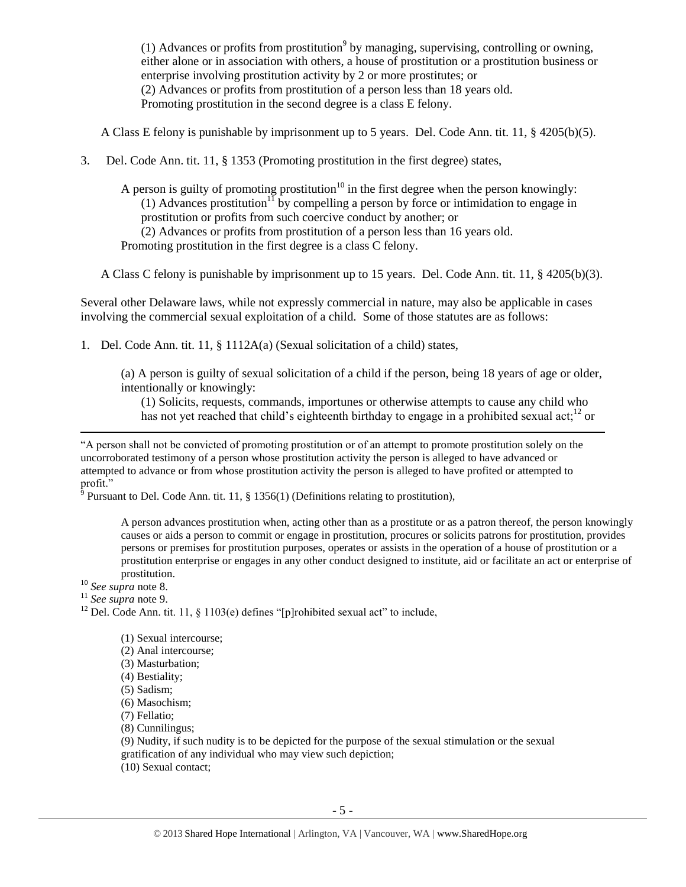<span id="page-4-0"></span>(1) Advances or profits from prostitution<sup>9</sup> by managing, supervising, controlling or owning, either alone or in association with others, a house of prostitution or a prostitution business or enterprise involving prostitution activity by 2 or more prostitutes; or (2) Advances or profits from prostitution of a person less than 18 years old. Promoting prostitution in the second degree is a class E felony.

A Class E felony is punishable by imprisonment up to 5 years. Del. Code Ann. tit. 11, § 4205(b)(5).

3. Del. Code Ann. tit. 11, § 1353 (Promoting prostitution in the first degree) states,

A person is guilty of promoting prostitution<sup>10</sup> in the first degree when the person knowingly: (1) Advances prostitution<sup>11</sup> by compelling a person by force or intimidation to engage in prostitution or profits from such coercive conduct by another; or (2) Advances or profits from prostitution of a person less than 16 years old. Promoting prostitution in the first degree is a class C felony.

A Class C felony is punishable by imprisonment up to 15 years. Del. Code Ann. tit. 11, § 4205(b)(3).

Several other Delaware laws, while not expressly commercial in nature, may also be applicable in cases involving the commercial sexual exploitation of a child. Some of those statutes are as follows:

1. Del. Code Ann. tit. 11, § 1112A(a) (Sexual solicitation of a child) states,

(a) A person is guilty of sexual solicitation of a child if the person, being 18 years of age or older, intentionally or knowingly:

(1) Solicits, requests, commands, importunes or otherwise attempts to cause any child who has not yet reached that child's eighteenth birthday to engage in a prohibited sexual act:<sup>12</sup> or

"A person shall not be convicted of promoting prostitution or of an attempt to promote prostitution solely on the uncorroborated testimony of a person whose prostitution activity the person is alleged to have advanced or attempted to advance or from whose prostitution activity the person is alleged to have profited or attempted to profit."

 $\delta$  Pursuant to Del. Code Ann. tit. 11, § 1356(1) (Definitions relating to prostitution),

A person advances prostitution when, acting other than as a prostitute or as a patron thereof, the person knowingly causes or aids a person to commit or engage in prostitution, procures or solicits patrons for prostitution, provides persons or premises for prostitution purposes, operates or assists in the operation of a house of prostitution or a prostitution enterprise or engages in any other conduct designed to institute, aid or facilitate an act or enterprise of prostitution.

<sup>10</sup> *See supra* note [8.](#page-3-0)

 $\overline{a}$ 

<sup>11</sup> *See supra* note [9.](#page-4-0)

<sup>12</sup> Del. Code Ann. tit. 11,  $\frac{1}{9}$  1103(e) defines "[p]rohibited sexual act" to include,

(1) Sexual intercourse; (2) Anal intercourse; (3) Masturbation; (4) Bestiality; (5) Sadism;

(6) Masochism;

(7) Fellatio;

(8) Cunnilingus;

(9) Nudity, if such nudity is to be depicted for the purpose of the sexual stimulation or the sexual gratification of any individual who may view such depiction;

(10) Sexual contact;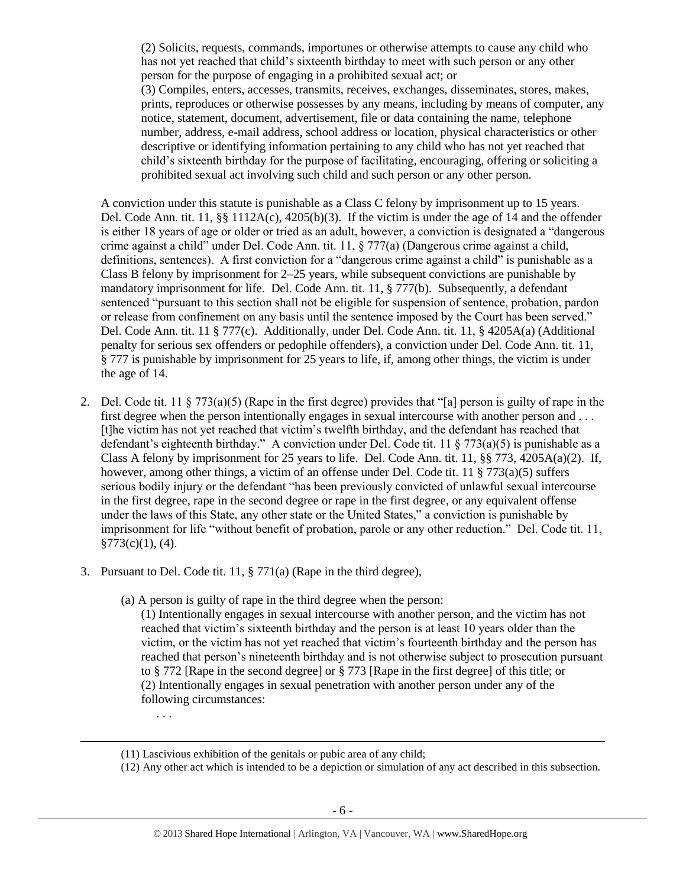(2) Solicits, requests, commands, importunes or otherwise attempts to cause any child who has not yet reached that child's sixteenth birthday to meet with such person or any other person for the purpose of engaging in a prohibited sexual act; or (3) Compiles, enters, accesses, transmits, receives, exchanges, disseminates, stores, makes, prints, reproduces or otherwise possesses by any means, including by means of computer, any notice, statement, document, advertisement, file or data containing the name, telephone number, address, e-mail address, school address or location, physical characteristics or other descriptive or identifying information pertaining to any child who has not yet reached that child's sixteenth birthday for the purpose of facilitating, encouraging, offering or soliciting a prohibited sexual act involving such child and such person or any other person.

A conviction under this statute is punishable as a Class C felony by imprisonment up to 15 years. Del. Code Ann. tit. 11,  $\S$ § 1112A(c), 4205(b)(3). If the victim is under the age of 14 and the offender is either 18 years of age or older or tried as an adult, however, a conviction is designated a "dangerous crime against a child" under Del. Code Ann. tit. 11, § 777(a) (Dangerous crime against a child, definitions, sentences). A first conviction for a "dangerous crime against a child" is punishable as a Class B felony by imprisonment for 2–25 years, while subsequent convictions are punishable by mandatory imprisonment for life. Del. Code Ann. tit. 11, § 777(b). Subsequently, a defendant sentenced "pursuant to this section shall not be eligible for suspension of sentence, probation, pardon or release from confinement on any basis until the sentence imposed by the Court has been served." Del. Code Ann. tit. 11 § 777(c). Additionally, under Del. Code Ann. tit. 11, § 4205A(a) (Additional penalty for serious sex offenders or pedophile offenders), a conviction under Del. Code Ann. tit. 11, § 777 is punishable by imprisonment for 25 years to life, if, among other things, the victim is under the age of 14.

- 2. Del. Code tit. 11 § 773(a)(5) (Rape in the first degree) provides that "[a] person is guilty of rape in the first degree when the person intentionally engages in sexual intercourse with another person and . . . [t]he victim has not yet reached that victim's twelfth birthday, and the defendant has reached that defendant's eighteenth birthday." A conviction under Del. Code tit. 11  $\S$  773(a)(5) is punishable as a Class A felony by imprisonment for 25 years to life. Del. Code Ann. tit. 11,  $\S$ § 773, 4205A(a)(2). If, however, among other things, a victim of an offense under Del. Code tit. 11  $\S$  773(a)(5) suffers serious bodily injury or the defendant "has been previously convicted of unlawful sexual intercourse in the first degree, rape in the second degree or rape in the first degree, or any equivalent offense under the laws of this State, any other state or the United States," a conviction is punishable by imprisonment for life "without benefit of probation, parole or any other reduction." Del. Code tit. 11,  $$773(c)(1), (4).$
- 3. Pursuant to Del. Code tit. 11, § 771(a) (Rape in the third degree),
	- (a) A person is guilty of rape in the third degree when the person:
		- (1) Intentionally engages in sexual intercourse with another person, and the victim has not reached that victim's sixteenth birthday and the person is at least 10 years older than the victim, or the victim has not yet reached that victim's fourteenth birthday and the person has reached that person's nineteenth birthday and is not otherwise subject to prosecution pursuant to § 772 [Rape in the second degree] or § 773 [Rape in the first degree] of this title; or (2) Intentionally engages in sexual penetration with another person under any of the following circumstances:
	- (11) Lascivious exhibition of the genitals or pubic area of any child;

. . .

 $\overline{a}$ 

(12) Any other act which is intended to be a depiction or simulation of any act described in this subsection.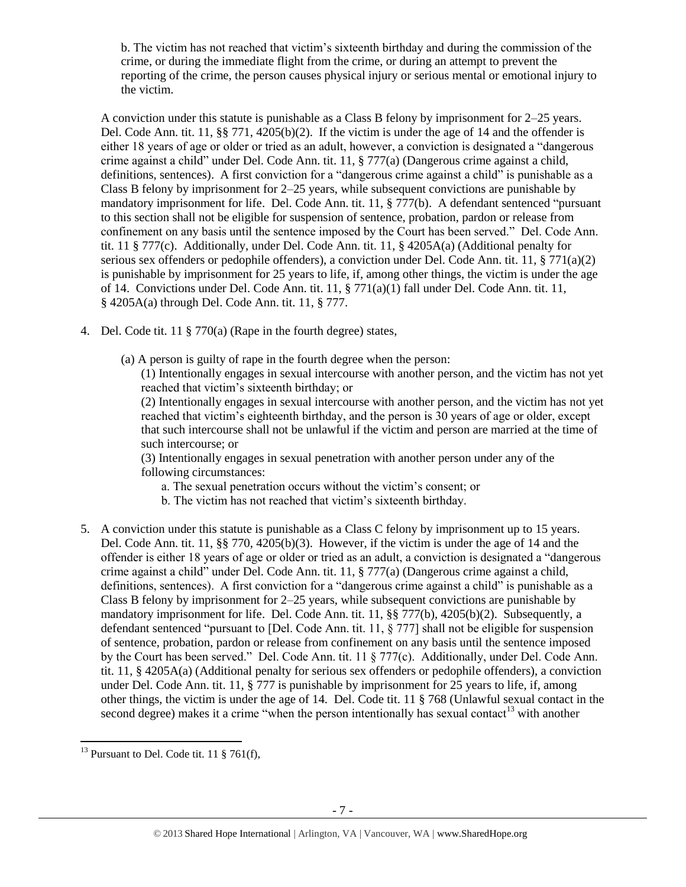b. The victim has not reached that victim's sixteenth birthday and during the commission of the crime, or during the immediate flight from the crime, or during an attempt to prevent the reporting of the crime, the person causes physical injury or serious mental or emotional injury to the victim.

A conviction under this statute is punishable as a Class B felony by imprisonment for 2–25 years. Del. Code Ann. tit. 11, §§ 771, 4205(b)(2). If the victim is under the age of 14 and the offender is either 18 years of age or older or tried as an adult, however, a conviction is designated a "dangerous crime against a child" under Del. Code Ann. tit. 11, § 777(a) (Dangerous crime against a child, definitions, sentences). A first conviction for a "dangerous crime against a child" is punishable as a Class B felony by imprisonment for 2–25 years, while subsequent convictions are punishable by mandatory imprisonment for life. Del. Code Ann. tit. 11, § 777(b). A defendant sentenced "pursuant to this section shall not be eligible for suspension of sentence, probation, pardon or release from confinement on any basis until the sentence imposed by the Court has been served." Del. Code Ann. tit. 11 § 777(c). Additionally, under Del. Code Ann. tit. 11, § 4205A(a) (Additional penalty for serious sex offenders or pedophile offenders), a conviction under Del. Code Ann. tit. 11,  $\S 771(a)(2)$ is punishable by imprisonment for 25 years to life, if, among other things, the victim is under the age of 14. Convictions under Del. Code Ann. tit. 11, § 771(a)(1) fall under Del. Code Ann. tit. 11, § 4205A(a) through Del. Code Ann. tit. 11, § 777.

- 4. Del. Code tit. 11 § 770(a) (Rape in the fourth degree) states,
	- (a) A person is guilty of rape in the fourth degree when the person:
		- (1) Intentionally engages in sexual intercourse with another person, and the victim has not yet reached that victim's sixteenth birthday; or

(2) Intentionally engages in sexual intercourse with another person, and the victim has not yet reached that victim's eighteenth birthday, and the person is 30 years of age or older, except that such intercourse shall not be unlawful if the victim and person are married at the time of such intercourse; or

(3) Intentionally engages in sexual penetration with another person under any of the following circumstances:

- a. The sexual penetration occurs without the victim's consent; or
- b. The victim has not reached that victim's sixteenth birthday.
- 5. A conviction under this statute is punishable as a Class C felony by imprisonment up to 15 years. Del. Code Ann. tit. 11, §§ 770, 4205(b)(3). However, if the victim is under the age of 14 and the offender is either 18 years of age or older or tried as an adult, a conviction is designated a "dangerous crime against a child" under Del. Code Ann. tit. 11, § 777(a) (Dangerous crime against a child, definitions, sentences). A first conviction for a "dangerous crime against a child" is punishable as a Class B felony by imprisonment for 2–25 years, while subsequent convictions are punishable by mandatory imprisonment for life. Del. Code Ann. tit. 11, §§ 777(b), 4205(b)(2). Subsequently, a defendant sentenced "pursuant to [Del. Code Ann. tit. 11, § 777] shall not be eligible for suspension of sentence, probation, pardon or release from confinement on any basis until the sentence imposed by the Court has been served." Del. Code Ann. tit. 11 § 777(c). Additionally, under Del. Code Ann. tit. 11, § 4205A(a) (Additional penalty for serious sex offenders or pedophile offenders), a conviction under Del. Code Ann. tit. 11,  $\S 777$  is punishable by imprisonment for 25 years to life, if, among other things, the victim is under the age of 14. Del. Code tit. 11 § 768 (Unlawful sexual contact in the second degree) makes it a crime "when the person intentionally has sexual contact<sup>13</sup> with another

 $\overline{a}$  $^{13}$  Pursuant to Del. Code tit. 11 § 761(f),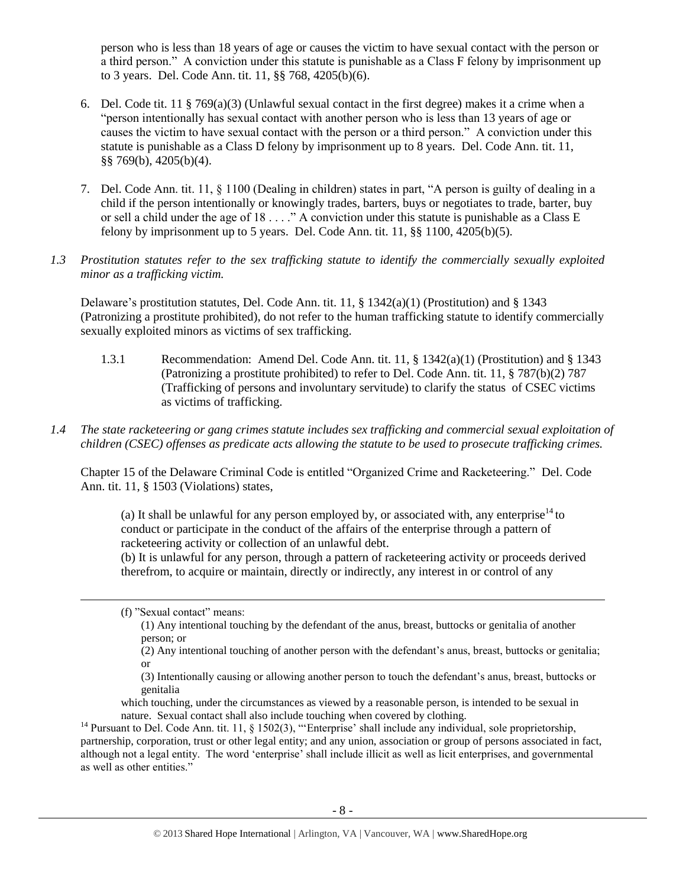person who is less than 18 years of age or causes the victim to have sexual contact with the person or a third person." A conviction under this statute is punishable as a Class F felony by imprisonment up to 3 years. Del. Code Ann. tit. 11, §§ 768, 4205(b)(6).

- 6. Del. Code tit. 11 § 769(a)(3) (Unlawful sexual contact in the first degree) makes it a crime when a "person intentionally has sexual contact with another person who is less than 13 years of age or causes the victim to have sexual contact with the person or a third person." A conviction under this statute is punishable as a Class D felony by imprisonment up to 8 years. Del. Code Ann. tit. 11, §§ 769(b), 4205(b)(4).
- 7. Del. Code Ann. tit. 11, § 1100 (Dealing in children) states in part, "A person is guilty of dealing in a child if the person intentionally or knowingly trades, barters, buys or negotiates to trade, barter, buy or sell a child under the age of 18 . . . ." A conviction under this statute is punishable as a Class E felony by imprisonment up to 5 years. Del. Code Ann. tit.  $11$ ,  $\S$  $\S$   $1100$ ,  $4205(b)(5)$ .
- *1.3 Prostitution statutes refer to the sex trafficking statute to identify the commercially sexually exploited minor as a trafficking victim.*

Delaware's prostitution statutes, Del. Code Ann. tit. 11, § 1342(a)(1) (Prostitution) and § 1343 (Patronizing a prostitute prohibited), do not refer to the human trafficking statute to identify commercially sexually exploited minors as victims of sex trafficking.

- 1.3.1 Recommendation: Amend Del. Code Ann. tit. 11, § 1342(a)(1) (Prostitution) and § 1343 (Patronizing a prostitute prohibited) to refer to Del. Code Ann. tit. 11, § 787(b)(2) 787 (Trafficking of persons and involuntary servitude) to clarify the status of CSEC victims as victims of trafficking.
- *1.4 The state racketeering or gang crimes statute includes sex trafficking and commercial sexual exploitation of children (CSEC) offenses as predicate acts allowing the statute to be used to prosecute trafficking crimes.*

Chapter 15 of the Delaware Criminal Code is entitled "Organized Crime and Racketeering." Del. Code Ann. tit. 11, § 1503 (Violations) states,

(a) It shall be unlawful for any person employed by, or associated with, any enterprise $14$  to conduct or participate in the conduct of the affairs of the enterprise through a pattern of racketeering activity or collection of an unlawful debt.

(b) It is unlawful for any person, through a pattern of racketeering activity or proceeds derived therefrom, to acquire or maintain, directly or indirectly, any interest in or control of any

 $\overline{\phantom{a}}$ 

<sup>(</sup>f) "Sexual contact" means:

<sup>(1)</sup> Any intentional touching by the defendant of the anus, breast, buttocks or genitalia of another person; or

<sup>(2)</sup> Any intentional touching of another person with the defendant's anus, breast, buttocks or genitalia; or

<sup>(3)</sup> Intentionally causing or allowing another person to touch the defendant's anus, breast, buttocks or genitalia

which touching, under the circumstances as viewed by a reasonable person, is intended to be sexual in nature. Sexual contact shall also include touching when covered by clothing.

<sup>&</sup>lt;sup>14</sup> Pursuant to Del. Code Ann. tit. 11, § 1502(3), "'Enterprise' shall include any individual, sole proprietorship, partnership, corporation, trust or other legal entity; and any union, association or group of persons associated in fact, although not a legal entity. The word 'enterprise' shall include illicit as well as licit enterprises, and governmental as well as other entities."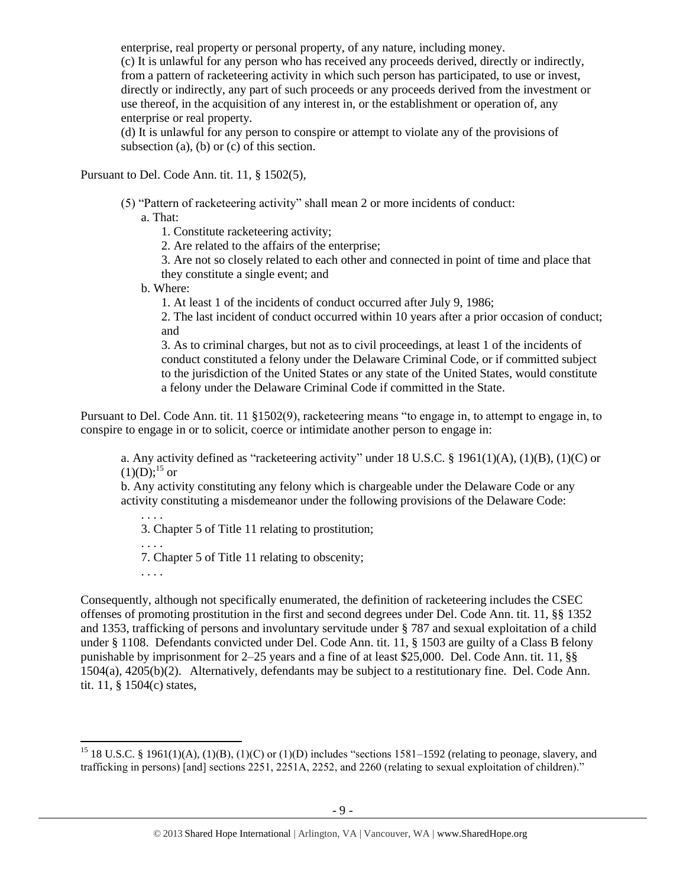enterprise, real property or personal property, of any nature, including money. (c) It is unlawful for any person who has received any proceeds derived, directly or indirectly, from a pattern of racketeering activity in which such person has participated, to use or invest, directly or indirectly, any part of such proceeds or any proceeds derived from the investment or use thereof, in the acquisition of any interest in, or the establishment or operation of, any enterprise or real property.

(d) It is unlawful for any person to conspire or attempt to violate any of the provisions of subsection (a), (b) or (c) of this section.

Pursuant to Del. Code Ann. tit. 11, § 1502(5),

(5) "Pattern of racketeering activity" shall mean 2 or more incidents of conduct:

a. That:

1. Constitute racketeering activity;

2. Are related to the affairs of the enterprise;

3. Are not so closely related to each other and connected in point of time and place that they constitute a single event; and

b. Where:

1. At least 1 of the incidents of conduct occurred after July 9, 1986;

2. The last incident of conduct occurred within 10 years after a prior occasion of conduct; and

3. As to criminal charges, but not as to civil proceedings, at least 1 of the incidents of conduct constituted a felony under the Delaware Criminal Code, or if committed subject to the jurisdiction of the United States or any state of the United States, would constitute a felony under the Delaware Criminal Code if committed in the State.

Pursuant to Del. Code Ann. tit. 11 §1502(9), racketeering means "to engage in, to attempt to engage in, to conspire to engage in or to solicit, coerce or intimidate another person to engage in:

a. Any activity defined as "racketeering activity" under 18 U.S.C. § 1961(1)(A), (1)(B), (1)(C) or  $(1)(D)$ ;<sup>15</sup> or

b. Any activity constituting any felony which is chargeable under the Delaware Code or any activity constituting a misdemeanor under the following provisions of the Delaware Code:

3. Chapter 5 of Title 11 relating to prostitution;

. . . .

. . . .

7. Chapter 5 of Title 11 relating to obscenity;

. . . .

 $\overline{a}$ 

Consequently, although not specifically enumerated, the definition of racketeering includes the CSEC offenses of promoting prostitution in the first and second degrees under Del. Code Ann. tit. 11, §§ 1352 and 1353, trafficking of persons and involuntary servitude under § 787 and sexual exploitation of a child under § 1108. Defendants convicted under Del. Code Ann. tit. 11, § 1503 are guilty of a Class B felony punishable by imprisonment for 2–25 years and a fine of at least \$25,000. Del. Code Ann. tit. 11, §§ 1504(a), 4205(b)(2). Alternatively, defendants may be subject to a restitutionary fine. Del. Code Ann. tit. 11, § 1504(c) states,

<sup>&</sup>lt;sup>15</sup> 18 U.S.C. § 1961(1)(A), (1)(B), (1)(C) or (1)(D) includes "sections 1581–1592 (relating to peonage, slavery, and trafficking in persons) [and] sections 2251, 2251A, 2252, and 2260 (relating to sexual exploitation of children)."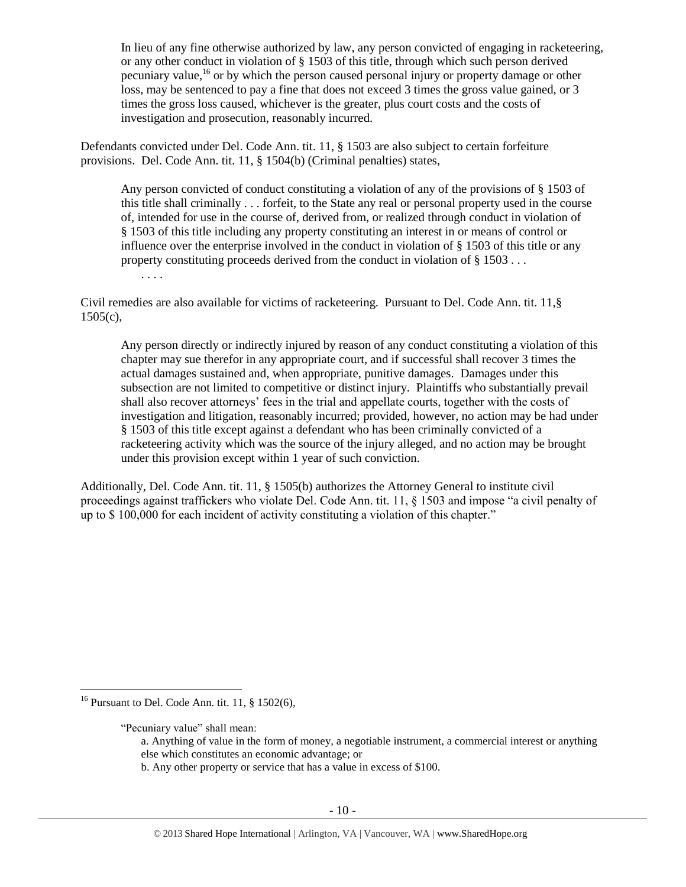In lieu of any fine otherwise authorized by law, any person convicted of engaging in racketeering, or any other conduct in violation of § 1503 of this title, through which such person derived pecuniary value,<sup>16</sup> or by which the person caused personal injury or property damage or other loss, may be sentenced to pay a fine that does not exceed 3 times the gross value gained, or 3 times the gross loss caused, whichever is the greater, plus court costs and the costs of investigation and prosecution, reasonably incurred.

Defendants convicted under Del. Code Ann. tit. 11, § 1503 are also subject to certain forfeiture provisions. Del. Code Ann. tit. 11, § 1504(b) (Criminal penalties) states,

Any person convicted of conduct constituting a violation of any of the provisions of § 1503 of this title shall criminally . . . forfeit, to the State any real or personal property used in the course of, intended for use in the course of, derived from, or realized through conduct in violation of § 1503 of this title including any property constituting an interest in or means of control or influence over the enterprise involved in the conduct in violation of § 1503 of this title or any property constituting proceeds derived from the conduct in violation of § 1503 . . .

. . . .

Civil remedies are also available for victims of racketeering. Pursuant to Del. Code Ann. tit. 11,§  $1505(c)$ ,

Any person directly or indirectly injured by reason of any conduct constituting a violation of this chapter may sue therefor in any appropriate court, and if successful shall recover 3 times the actual damages sustained and, when appropriate, punitive damages. Damages under this subsection are not limited to competitive or distinct injury. Plaintiffs who substantially prevail shall also recover attorneys' fees in the trial and appellate courts, together with the costs of investigation and litigation, reasonably incurred; provided, however, no action may be had under § 1503 of this title except against a defendant who has been criminally convicted of a racketeering activity which was the source of the injury alleged, and no action may be brought under this provision except within 1 year of such conviction.

Additionally, Del. Code Ann. tit. 11, § 1505(b) authorizes the Attorney General to institute civil proceedings against traffickers who violate Del. Code Ann. tit. 11, § 1503 and impose "a civil penalty of up to \$ 100,000 for each incident of activity constituting a violation of this chapter."

 $\overline{\phantom{a}}$ 

b. Any other property or service that has a value in excess of \$100.

<sup>&</sup>lt;sup>16</sup> Pursuant to Del. Code Ann. tit. 11,  $\S$  1502(6),

<sup>&</sup>quot;Pecuniary value" shall mean:

a. Anything of value in the form of money, a negotiable instrument, a commercial interest or anything else which constitutes an economic advantage; or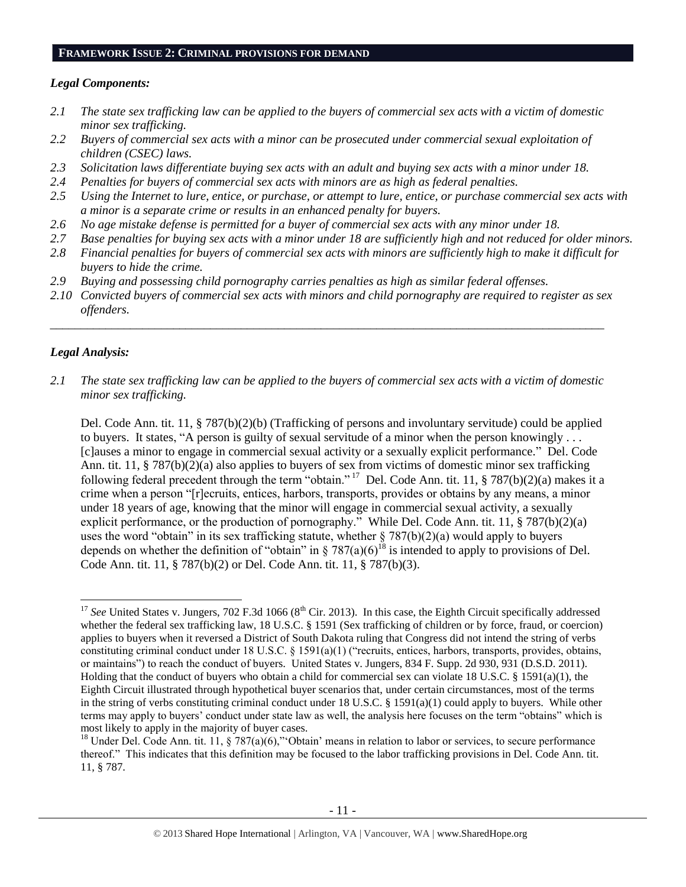#### **FRAMEWORK ISSUE 2: CRIMINAL PROVISIONS FOR DEMAND**

## *Legal Components:*

- *2.1 The state sex trafficking law can be applied to the buyers of commercial sex acts with a victim of domestic minor sex trafficking.*
- *2.2 Buyers of commercial sex acts with a minor can be prosecuted under commercial sexual exploitation of children (CSEC) laws.*
- *2.3 Solicitation laws differentiate buying sex acts with an adult and buying sex acts with a minor under 18.*
- *2.4 Penalties for buyers of commercial sex acts with minors are as high as federal penalties.*
- *2.5 Using the Internet to lure, entice, or purchase, or attempt to lure, entice, or purchase commercial sex acts with a minor is a separate crime or results in an enhanced penalty for buyers.*
- *2.6 No age mistake defense is permitted for a buyer of commercial sex acts with any minor under 18.*
- *2.7 Base penalties for buying sex acts with a minor under 18 are sufficiently high and not reduced for older minors.*
- *2.8 Financial penalties for buyers of commercial sex acts with minors are sufficiently high to make it difficult for buyers to hide the crime.*
- *2.9 Buying and possessing child pornography carries penalties as high as similar federal offenses.*
- *2.10 Convicted buyers of commercial sex acts with minors and child pornography are required to register as sex offenders.*

\_\_\_\_\_\_\_\_\_\_\_\_\_\_\_\_\_\_\_\_\_\_\_\_\_\_\_\_\_\_\_\_\_\_\_\_\_\_\_\_\_\_\_\_\_\_\_\_\_\_\_\_\_\_\_\_\_\_\_\_\_\_\_\_\_\_\_\_\_\_\_\_\_\_\_\_\_\_\_\_\_\_\_\_\_\_\_\_\_\_

## *Legal Analysis:*

*2.1 The state sex trafficking law can be applied to the buyers of commercial sex acts with a victim of domestic minor sex trafficking.*

Del. Code Ann. tit. 11, § 787(b)(2)(b) (Trafficking of persons and involuntary servitude) could be applied to buyers. It states, "A person is guilty of sexual servitude of a minor when the person knowingly . . . [c]auses a minor to engage in commercial sexual activity or a sexually explicit performance." Del. Code Ann. tit. 11, § 787(b)(2)(a) also applies to buyers of sex from victims of domestic minor sex trafficking following federal precedent through the term "obtain." <sup>17</sup> Del. Code Ann. tit. 11, § 787(b)(2)(a) makes it a crime when a person "[r]ecruits, entices, harbors, transports, provides or obtains by any means, a minor under 18 years of age, knowing that the minor will engage in commercial sexual activity, a sexually explicit performance, or the production of pornography." While Del. Code Ann. tit. 11, § 787(b)(2)(a) uses the word "obtain" in its sex trafficking statute, whether § 787(b)(2)(a) would apply to buyers depends on whether the definition of "obtain" in  $\S 787(a)(6)^{18}$  is intended to apply to provisions of Del. Code Ann. tit. 11, § 787(b)(2) or Del. Code Ann. tit. 11, § 787(b)(3).

 $\overline{\phantom{a}}$  $17$  *See* United States v. Jungers, 702 F.3d 1066 ( $8<sup>th</sup>$  Cir. 2013). In this case, the Eighth Circuit specifically addressed whether the federal sex trafficking law, 18 U.S.C. § 1591 (Sex trafficking of children or by force, fraud, or coercion) applies to buyers when it reversed a District of South Dakota ruling that Congress did not intend the string of verbs constituting criminal conduct under 18 U.S.C. § 1591(a)(1) ("recruits, entices, harbors, transports, provides, obtains, or maintains") to reach the conduct of buyers. United States v. Jungers, 834 F. Supp. 2d 930, 931 (D.S.D. 2011). Holding that the conduct of buyers who obtain a child for commercial sex can violate 18 U.S.C. § 1591(a)(1), the Eighth Circuit illustrated through hypothetical buyer scenarios that, under certain circumstances, most of the terms in the string of verbs constituting criminal conduct under 18 U.S.C. § 1591(a)(1) could apply to buyers. While other terms may apply to buyers' conduct under state law as well, the analysis here focuses on the term "obtains" which is most likely to apply in the majority of buyer cases.

<sup>&</sup>lt;sup>18</sup> Under Del. Code Ann. tit. 11, § 787(a)(6)," Obtain' means in relation to labor or services, to secure performance thereof." This indicates that this definition may be focused to the labor trafficking provisions in Del. Code Ann. tit. 11, § 787.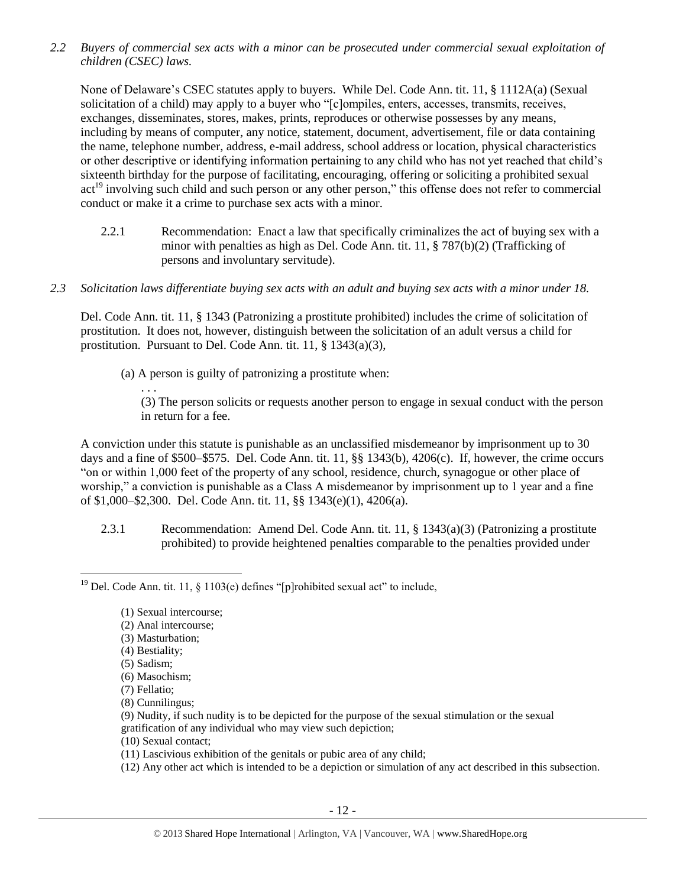*2.2 Buyers of commercial sex acts with a minor can be prosecuted under commercial sexual exploitation of children (CSEC) laws.*

None of Delaware's CSEC statutes apply to buyers. While Del. Code Ann. tit. 11, § 1112A(a) (Sexual solicitation of a child) may apply to a buyer who "[c]ompiles, enters, accesses, transmits, receives, exchanges, disseminates, stores, makes, prints, reproduces or otherwise possesses by any means, including by means of computer, any notice, statement, document, advertisement, file or data containing the name, telephone number, address, e-mail address, school address or location, physical characteristics or other descriptive or identifying information pertaining to any child who has not yet reached that child's sixteenth birthday for the purpose of facilitating, encouraging, offering or soliciting a prohibited sexual act<sup>19</sup> involving such child and such person or any other person," this offense does not refer to commercial conduct or make it a crime to purchase sex acts with a minor.

- 2.2.1 Recommendation: Enact a law that specifically criminalizes the act of buying sex with a minor with penalties as high as Del. Code Ann. tit. 11, § 787(b)(2) (Trafficking of persons and involuntary servitude).
- *2.3 Solicitation laws differentiate buying sex acts with an adult and buying sex acts with a minor under 18.*

Del. Code Ann. tit. 11, § 1343 (Patronizing a prostitute prohibited) includes the crime of solicitation of prostitution. It does not, however, distinguish between the solicitation of an adult versus a child for prostitution. Pursuant to Del. Code Ann. tit. 11, § 1343(a)(3),

- (a) A person is guilty of patronizing a prostitute when:
	- . . .

(3) The person solicits or requests another person to engage in sexual conduct with the person in return for a fee.

A conviction under this statute is punishable as an unclassified misdemeanor by imprisonment up to 30 days and a fine of \$500–\$575. Del. Code Ann. tit. 11, §§ 1343(b), 4206(c). If, however, the crime occurs "on or within 1,000 feet of the property of any school, residence, church, synagogue or other place of worship," a conviction is punishable as a Class A misdemeanor by imprisonment up to 1 year and a fine of \$1,000–\$2,300. Del. Code Ann. tit. 11, §§ 1343(e)(1), 4206(a).

2.3.1 Recommendation: Amend Del. Code Ann. tit. 11, § 1343(a)(3) (Patronizing a prostitute prohibited) to provide heightened penalties comparable to the penalties provided under

- (2) Anal intercourse;
- (3) Masturbation;
- (4) Bestiality;

l

- (6) Masochism;
- (7) Fellatio;
- (8) Cunnilingus;
- (9) Nudity, if such nudity is to be depicted for the purpose of the sexual stimulation or the sexual gratification of any individual who may view such depiction;
- (10) Sexual contact;
- (11) Lascivious exhibition of the genitals or pubic area of any child;
- (12) Any other act which is intended to be a depiction or simulation of any act described in this subsection.

<sup>&</sup>lt;sup>19</sup> Del. Code Ann. tit. 11, § 1103(e) defines "[p]rohibited sexual act" to include,

<sup>(1)</sup> Sexual intercourse;

<sup>(5)</sup> Sadism;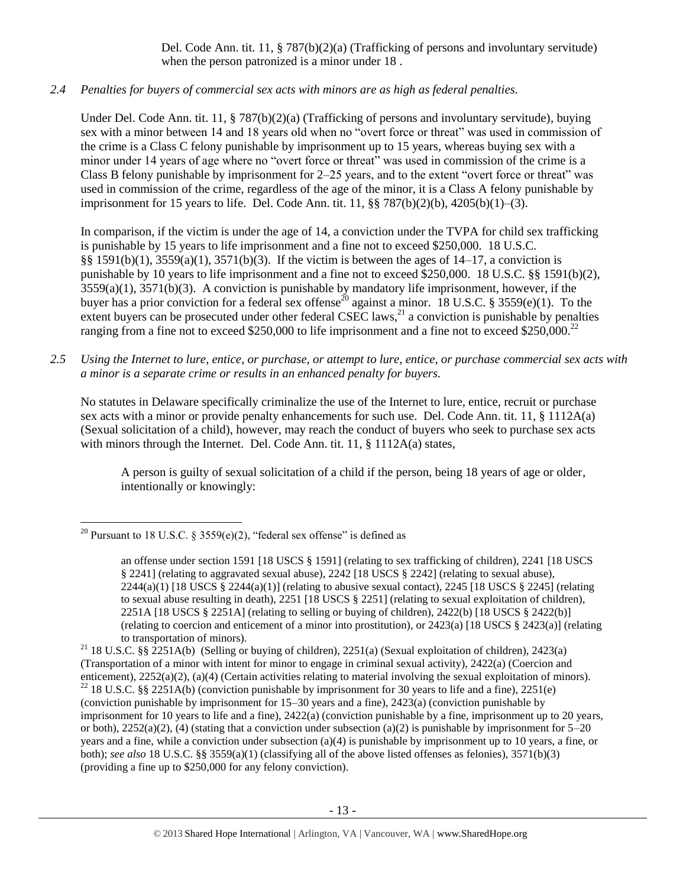# Del. Code Ann. tit. 11, § 787(b)(2)(a) (Trafficking of persons and involuntary servitude) when the person patronized is a minor under 18 .

# *2.4 Penalties for buyers of commercial sex acts with minors are as high as federal penalties.*

Under Del. Code Ann. tit. 11, § 787(b)(2)(a) (Trafficking of persons and involuntary servitude), buying sex with a minor between 14 and 18 years old when no "overt force or threat" was used in commission of the crime is a Class C felony punishable by imprisonment up to 15 years, whereas buying sex with a minor under 14 years of age where no "overt force or threat" was used in commission of the crime is a Class B felony punishable by imprisonment for 2–25 years, and to the extent "overt force or threat" was used in commission of the crime, regardless of the age of the minor, it is a Class A felony punishable by imprisonment for 15 years to life. Del. Code Ann. tit. 11, §§ 787(b)(2)(b), 4205(b)(1)–(3).

<span id="page-12-0"></span>In comparison, if the victim is under the age of 14, a conviction under the TVPA for child sex trafficking is punishable by 15 years to life imprisonment and a fine not to exceed \$250,000. 18 U.S.C. §§ 1591(b)(1), 3559(a)(1), 3571(b)(3). If the victim is between the ages of 14–17, a conviction is punishable by 10 years to life imprisonment and a fine not to exceed \$250,000. 18 U.S.C. §§ 1591(b)(2), 3559(a)(1), 3571(b)(3). A conviction is punishable by mandatory life imprisonment, however, if the buyer has a prior conviction for a federal sex offense<sup>20</sup> against a minor. 18 U.S.C. § 3559(e)(1). To the extent buyers can be prosecuted under other federal CSEC laws,<sup>21</sup> a conviction is punishable by penalties ranging from a fine not to exceed \$250,000 to life imprisonment and a fine not to exceed \$250,000.<sup>22</sup>

*2.5 Using the Internet to lure, entice, or purchase, or attempt to lure, entice, or purchase commercial sex acts with a minor is a separate crime or results in an enhanced penalty for buyers.*

No statutes in Delaware specifically criminalize the use of the Internet to lure, entice, recruit or purchase sex acts with a minor or provide penalty enhancements for such use. Del. Code Ann. tit. 11, § 1112A(a) (Sexual solicitation of a child), however, may reach the conduct of buyers who seek to purchase sex acts with minors through the Internet. Del. Code Ann. tit. 11, § 1112A(a) states,

A person is guilty of sexual solicitation of a child if the person, being 18 years of age or older, intentionally or knowingly:

 $\overline{\phantom{a}}$ <sup>20</sup> Pursuant to 18 U.S.C. § 3559(e)(2), "federal sex offense" is defined as

an offense under section 1591 [18 USCS § 1591] (relating to sex trafficking of children), 2241 [18 USCS § 2241] (relating to aggravated sexual abuse), 2242 [18 USCS § 2242] (relating to sexual abuse),  $2244(a)(1)$  [18 USCS §  $2244(a)(1)$ ] (relating to abusive sexual contact),  $2245$  [18 USCS § 2245] (relating to sexual abuse resulting in death), 2251 [18 USCS § 2251] (relating to sexual exploitation of children), 2251A [18 USCS § 2251A] (relating to selling or buying of children), 2422(b) [18 USCS § 2422(b)] (relating to coercion and enticement of a minor into prostitution), or 2423(a) [18 USCS § 2423(a)] (relating to transportation of minors).

<sup>&</sup>lt;sup>21</sup> 18 U.S.C. §§ 2251A(b) (Selling or buying of children), 2251(a) (Sexual exploitation of children), 2423(a) (Transportation of a minor with intent for minor to engage in criminal sexual activity), 2422(a) (Coercion and enticement), 2252(a)(2), (a)(4) (Certain activities relating to material involving the sexual exploitation of minors).  $^{22}$  18 U.S.C. §§ 2251A(b) (conviction punishable by imprisonment for 30 years to life and a fine), 2251(e) (conviction punishable by imprisonment for 15–30 years and a fine), 2423(a) (conviction punishable by imprisonment for 10 years to life and a fine), 2422(a) (conviction punishable by a fine, imprisonment up to 20 years, or both),  $2252(a)(2)$ , (4) (stating that a conviction under subsection (a)(2) is punishable by imprisonment for  $5-20$ years and a fine, while a conviction under subsection (a)(4) is punishable by imprisonment up to 10 years, a fine, or both); *see also* 18 U.S.C. §§ 3559(a)(1) (classifying all of the above listed offenses as felonies), 3571(b)(3) (providing a fine up to \$250,000 for any felony conviction).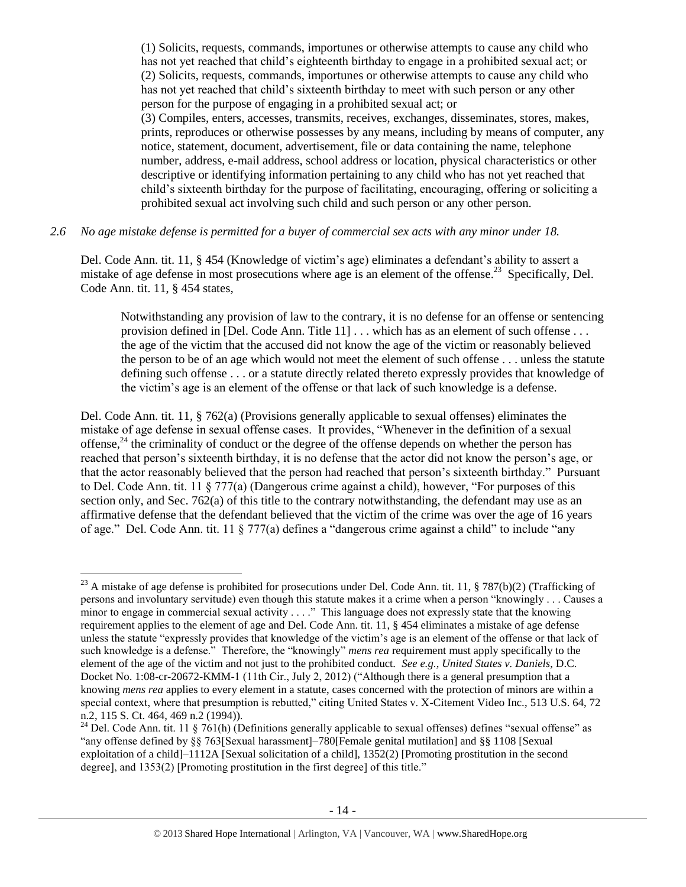(1) Solicits, requests, commands, importunes or otherwise attempts to cause any child who has not yet reached that child's eighteenth birthday to engage in a prohibited sexual act; or (2) Solicits, requests, commands, importunes or otherwise attempts to cause any child who has not yet reached that child's sixteenth birthday to meet with such person or any other person for the purpose of engaging in a prohibited sexual act; or

(3) Compiles, enters, accesses, transmits, receives, exchanges, disseminates, stores, makes, prints, reproduces or otherwise possesses by any means, including by means of computer, any notice, statement, document, advertisement, file or data containing the name, telephone number, address, e-mail address, school address or location, physical characteristics or other descriptive or identifying information pertaining to any child who has not yet reached that child's sixteenth birthday for the purpose of facilitating, encouraging, offering or soliciting a prohibited sexual act involving such child and such person or any other person.

## *2.6 No age mistake defense is permitted for a buyer of commercial sex acts with any minor under 18.*

Del. Code Ann. tit. 11, § 454 (Knowledge of victim's age) eliminates a defendant's ability to assert a mistake of age defense in most prosecutions where age is an element of the offense.<sup>23</sup> Specifically, Del. Code Ann. tit. 11, § 454 states,

Notwithstanding any provision of law to the contrary, it is no defense for an offense or sentencing provision defined in [Del. Code Ann. Title 11] . . . which has as an element of such offense . . . the age of the victim that the accused did not know the age of the victim or reasonably believed the person to be of an age which would not meet the element of such offense . . . unless the statute defining such offense . . . or a statute directly related thereto expressly provides that knowledge of the victim's age is an element of the offense or that lack of such knowledge is a defense.

Del. Code Ann. tit. 11, § 762(a) (Provisions generally applicable to sexual offenses) eliminates the mistake of age defense in sexual offense cases. It provides, "Whenever in the definition of a sexual offense, $24$  the criminality of conduct or the degree of the offense depends on whether the person has reached that person's sixteenth birthday, it is no defense that the actor did not know the person's age, or that the actor reasonably believed that the person had reached that person's sixteenth birthday." Pursuant to Del. Code Ann. tit. 11 § 777(a) (Dangerous crime against a child), however, "For purposes of this section only, and Sec. 762(a) of this title to the contrary notwithstanding, the defendant may use as an affirmative defense that the defendant believed that the victim of the crime was over the age of 16 years of age." Del. Code Ann. tit. 11 § 777(a) defines a "dangerous crime against a child" to include "any

l

<sup>&</sup>lt;sup>23</sup> A mistake of age defense is prohibited for prosecutions under Del. Code Ann. tit. 11, § 787(b)(2) (Trafficking of persons and involuntary servitude) even though this statute makes it a crime when a person "knowingly . . . Causes a minor to engage in commercial sexual activity . . . ." This language does not expressly state that the knowing requirement applies to the element of age and Del. Code Ann. tit. 11, § 454 eliminates a mistake of age defense unless the statute "expressly provides that knowledge of the victim's age is an element of the offense or that lack of such knowledge is a defense." Therefore, the "knowingly" *mens rea* requirement must apply specifically to the element of the age of the victim and not just to the prohibited conduct. *See e.g., United States v. Daniels*, D.C. Docket No. 1:08-cr-20672-KMM-1 (11th Cir., July 2, 2012) ("Although there is a general presumption that a knowing *mens rea* applies to every element in a statute, cases concerned with the protection of minors are within a special context, where that presumption is rebutted," citing United States v. X-Citement Video Inc., 513 U.S. 64, 72 n.2, 115 S. Ct. 464, 469 n.2 (1994)).

<sup>&</sup>lt;sup>24</sup> Del. Code Ann. tit. 11 § 761(h) (Definitions generally applicable to sexual offenses) defines "sexual offense" as "any offense defined by §§ 763[Sexual harassment]–780[Female genital mutilation] and §§ 1108 [Sexual exploitation of a child<sup>-1112</sup>A [Sexual solicitation of a child], 1352(2) [Promoting prostitution in the second degree], and 1353(2) [Promoting prostitution in the first degree] of this title."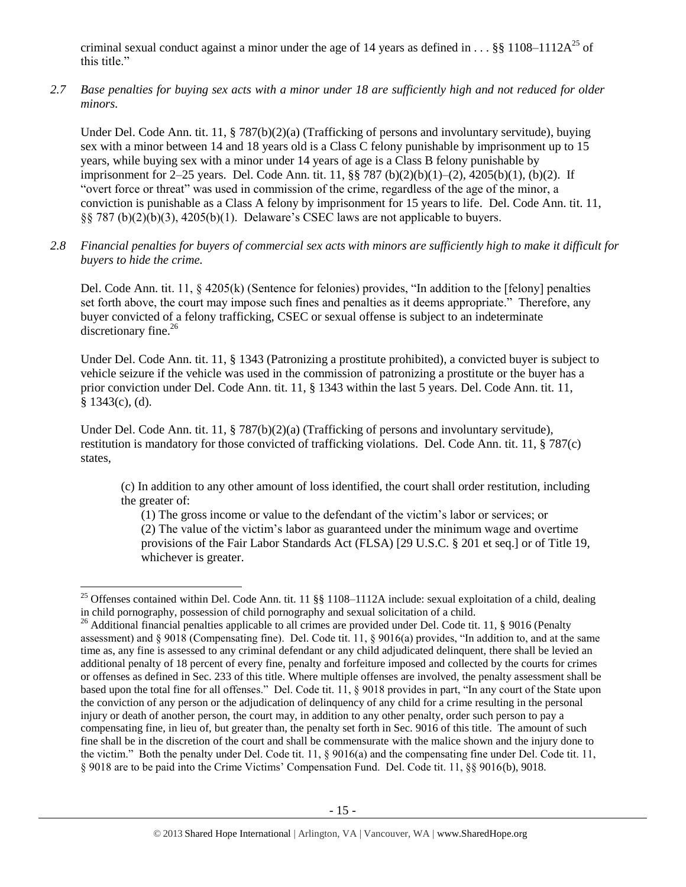criminal sexual conduct against a minor under the age of 14 years as defined in . . . §§ 1108–1112 $A^{25}$  of this title."

*2.7 Base penalties for buying sex acts with a minor under 18 are sufficiently high and not reduced for older minors.*

Under Del. Code Ann. tit. 11, § 787(b)(2)(a) (Trafficking of persons and involuntary servitude), buying sex with a minor between 14 and 18 years old is a Class C felony punishable by imprisonment up to 15 years, while buying sex with a minor under 14 years of age is a Class B felony punishable by imprisonment for 2–25 years. Del. Code Ann. tit. 11, §§ 787 (b)(2)(b)(1)–(2), 4205(b)(1), (b)(2). If "overt force or threat" was used in commission of the crime, regardless of the age of the minor, a conviction is punishable as a Class A felony by imprisonment for 15 years to life. Del. Code Ann. tit. 11, §§ 787 (b)(2)(b)(3), 4205(b)(1). Delaware's CSEC laws are not applicable to buyers.

*2.8 Financial penalties for buyers of commercial sex acts with minors are sufficiently high to make it difficult for buyers to hide the crime.* 

Del. Code Ann. tit. 11, § 4205(k) (Sentence for felonies) provides, "In addition to the [felony] penalties set forth above, the court may impose such fines and penalties as it deems appropriate." Therefore, any buyer convicted of a felony trafficking, CSEC or sexual offense is subject to an indeterminate discretionary fine.<sup>26</sup>

<span id="page-14-0"></span>Under Del. Code Ann. tit. 11, § 1343 (Patronizing a prostitute prohibited), a convicted buyer is subject to vehicle seizure if the vehicle was used in the commission of patronizing a prostitute or the buyer has a prior conviction under Del. Code Ann. tit. 11, § 1343 within the last 5 years. Del. Code Ann. tit. 11, § 1343(c), (d).

Under Del. Code Ann. tit. 11, § 787(b)(2)(a) (Trafficking of persons and involuntary servitude), restitution is mandatory for those convicted of trafficking violations. Del. Code Ann. tit. 11, § 787(c) states,

(c) In addition to any other amount of loss identified, the court shall order restitution, including the greater of:

(1) The gross income or value to the defendant of the victim's labor or services; or

(2) The value of the victim's labor as guaranteed under the minimum wage and overtime provisions of the Fair Labor Standards Act (FLSA) [29 U.S.C. § 201 et seq.] or of Title 19, whichever is greater.

 $\overline{a}$ 

<sup>&</sup>lt;sup>25</sup> Offenses contained within Del. Code Ann. tit. 11  $\S$ § 1108–1112A include: sexual exploitation of a child, dealing in child pornography, possession of child pornography and sexual solicitation of a child.

<sup>&</sup>lt;sup>26</sup> Additional financial penalties applicable to all crimes are provided under Del. Code tit. 11,  $\S$  9016 (Penalty assessment) and § 9018 (Compensating fine). Del. Code tit. 11, § 9016(a) provides, "In addition to, and at the same time as, any fine is assessed to any criminal defendant or any child adjudicated delinquent, there shall be levied an additional penalty of 18 percent of every fine, penalty and forfeiture imposed and collected by the courts for crimes or offenses as defined in Sec. 233 of this title. Where multiple offenses are involved, the penalty assessment shall be based upon the total fine for all offenses." Del. Code tit. 11, § 9018 provides in part, "In any court of the State upon the conviction of any person or the adjudication of delinquency of any child for a crime resulting in the personal injury or death of another person, the court may, in addition to any other penalty, order such person to pay a compensating fine, in lieu of, but greater than, the penalty set forth in Sec. 9016 of this title. The amount of such fine shall be in the discretion of the court and shall be commensurate with the malice shown and the injury done to the victim." Both the penalty under Del. Code tit. 11, § 9016(a) and the compensating fine under Del. Code tit. 11, § 9018 are to be paid into the Crime Victims' Compensation Fund. Del. Code tit. 11, §§ 9016(b), 9018.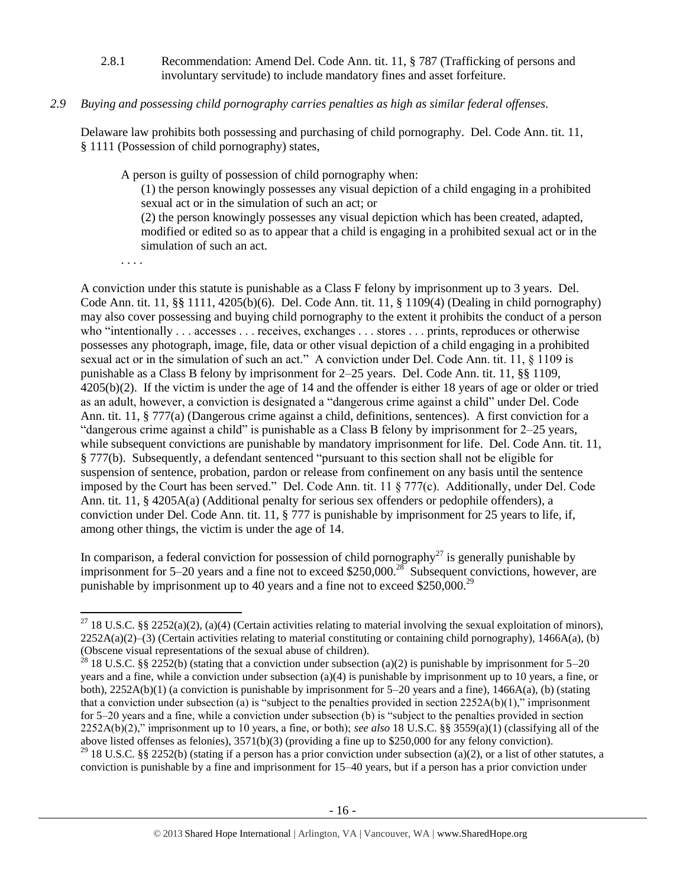2.8.1 Recommendation: Amend Del. Code Ann. tit. 11, § 787 (Trafficking of persons and involuntary servitude) to include mandatory fines and asset forfeiture.

## *2.9 Buying and possessing child pornography carries penalties as high as similar federal offenses.*

Delaware law prohibits both possessing and purchasing of child pornography. Del. Code Ann. tit. 11, § 1111 (Possession of child pornography) states,

A person is guilty of possession of child pornography when:

(1) the person knowingly possesses any visual depiction of a child engaging in a prohibited sexual act or in the simulation of such an act; or

(2) the person knowingly possesses any visual depiction which has been created, adapted, modified or edited so as to appear that a child is engaging in a prohibited sexual act or in the simulation of such an act.

. . . .

 $\overline{\phantom{a}}$ 

A conviction under this statute is punishable as a Class F felony by imprisonment up to 3 years. Del. Code Ann. tit. 11, §§ 1111, 4205(b)(6). Del. Code Ann. tit. 11, § 1109(4) (Dealing in child pornography) may also cover possessing and buying child pornography to the extent it prohibits the conduct of a person who "intentionally . . . accesses . . . receives, exchanges . . . stores . . . prints, reproduces or otherwise possesses any photograph, image, file, data or other visual depiction of a child engaging in a prohibited sexual act or in the simulation of such an act." A conviction under Del. Code Ann. tit. 11, § 1109 is punishable as a Class B felony by imprisonment for 2–25 years. Del. Code Ann. tit. 11, §§ 1109, 4205(b)(2). If the victim is under the age of 14 and the offender is either 18 years of age or older or tried as an adult, however, a conviction is designated a "dangerous crime against a child" under Del. Code Ann. tit. 11, § 777(a) (Dangerous crime against a child, definitions, sentences). A first conviction for a "dangerous crime against a child" is punishable as a Class B felony by imprisonment for 2–25 years, while subsequent convictions are punishable by mandatory imprisonment for life. Del. Code Ann. tit. 11, § 777(b). Subsequently, a defendant sentenced "pursuant to this section shall not be eligible for suspension of sentence, probation, pardon or release from confinement on any basis until the sentence imposed by the Court has been served." Del. Code Ann. tit. 11 § 777(c). Additionally, under Del. Code Ann. tit. 11, § 4205A(a) (Additional penalty for serious sex offenders or pedophile offenders), a conviction under Del. Code Ann. tit. 11, § 777 is punishable by imprisonment for 25 years to life, if, among other things, the victim is under the age of 14.

In comparison, a federal conviction for possession of child pornography<sup>27</sup> is generally punishable by imprisonment for 5–20 years and a fine not to exceed \$250,000.<sup>28</sup> Subsequent convictions, however, are punishable by imprisonment up to 40 years and a fine not to exceed \$250,000.<sup>29</sup>

<sup>&</sup>lt;sup>27</sup> 18 U.S.C. §§ 2252(a)(2), (a)(4) (Certain activities relating to material involving the sexual exploitation of minors),  $2252A(a)(2)$ –(3) (Certain activities relating to material constituting or containing child pornography), 1466A(a), (b) (Obscene visual representations of the sexual abuse of children).

<sup>&</sup>lt;sup>28</sup> 18 U.S.C. §§ 2252(b) (stating that a conviction under subsection (a)(2) is punishable by imprisonment for 5–20 years and a fine, while a conviction under subsection (a)(4) is punishable by imprisonment up to 10 years, a fine, or both), 2252A(b)(1) (a conviction is punishable by imprisonment for 5–20 years and a fine), 1466A(a), (b) (stating that a conviction under subsection (a) is "subject to the penalties provided in section  $2252A(b)(1)$ ," imprisonment for 5–20 years and a fine, while a conviction under subsection (b) is "subject to the penalties provided in section 2252A(b)(2)," imprisonment up to 10 years, a fine, or both); *see also* 18 U.S.C. §§ 3559(a)(1) (classifying all of the above listed offenses as felonies), 3571(b)(3) (providing a fine up to \$250,000 for any felony conviction). <sup>29</sup> 18 U.S.C. §§ 2252(b) (stating if a person has a prior conviction under subsection (a)(2), or a list of other statutes, a conviction is punishable by a fine and imprisonment for 15–40 years, but if a person has a prior conviction under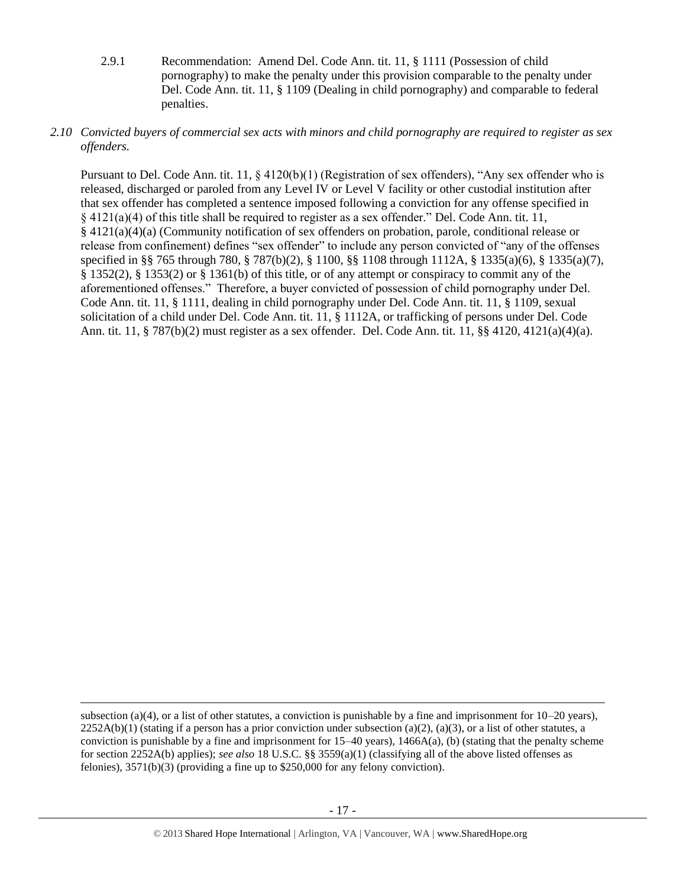- 2.9.1 Recommendation: Amend Del. Code Ann. tit. 11, § 1111 (Possession of child pornography) to make the penalty under this provision comparable to the penalty under Del. Code Ann. tit. 11, § 1109 (Dealing in child pornography) and comparable to federal penalties.
- *2.10 Convicted buyers of commercial sex acts with minors and child pornography are required to register as sex offenders.*

Pursuant to Del. Code Ann. tit. 11,  $\S$  4120(b)(1) (Registration of sex offenders), "Any sex offender who is released, discharged or paroled from any Level IV or Level V facility or other custodial institution after that sex offender has completed a sentence imposed following a conviction for any offense specified in § 4121(a)(4) of this title shall be required to register as a sex offender." Del. Code Ann. tit. 11, § 4121(a)(4)(a) (Community notification of sex offenders on probation, parole, conditional release or release from confinement) defines "sex offender" to include any person convicted of "any of the offenses specified in §§ 765 through 780, § 787(b)(2), § 1100, §§ 1108 through 1112A, § 1335(a)(6), § 1335(a)(7), § 1352(2), § 1353(2) or § 1361(b) of this title, or of any attempt or conspiracy to commit any of the aforementioned offenses." Therefore, a buyer convicted of possession of child pornography under Del. Code Ann. tit. 11, § 1111, dealing in child pornography under Del. Code Ann. tit. 11, § 1109, sexual solicitation of a child under Del. Code Ann. tit. 11, § 1112A, or trafficking of persons under Del. Code Ann. tit. 11, § 787(b)(2) must register as a sex offender. Del. Code Ann. tit. 11, §§ 4120, 4121(a)(4)(a).

l

subsection (a)(4), or a list of other statutes, a conviction is punishable by a fine and imprisonment for  $10-20$  years),  $2252A(b)(1)$  (stating if a person has a prior conviction under subsection (a)(2), (a)(3), or a list of other statutes, a conviction is punishable by a fine and imprisonment for  $15-40$  years),  $1466A(a)$ , (b) (stating that the penalty scheme for section 2252A(b) applies); *see also* 18 U.S.C. §§ 3559(a)(1) (classifying all of the above listed offenses as felonies), 3571(b)(3) (providing a fine up to \$250,000 for any felony conviction).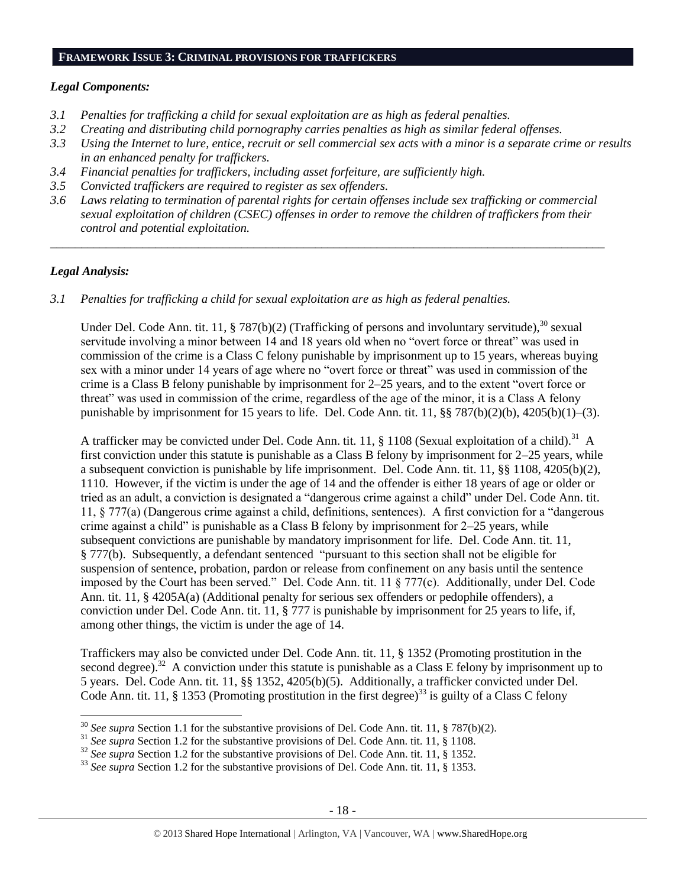#### **FRAMEWORK ISSUE 3: CRIMINAL PROVISIONS FOR TRAFFICKERS**

#### *Legal Components:*

- *3.1 Penalties for trafficking a child for sexual exploitation are as high as federal penalties.*
- *3.2 Creating and distributing child pornography carries penalties as high as similar federal offenses.*
- *3.3 Using the Internet to lure, entice, recruit or sell commercial sex acts with a minor is a separate crime or results in an enhanced penalty for traffickers.*
- *3.4 Financial penalties for traffickers, including asset forfeiture, are sufficiently high.*
- *3.5 Convicted traffickers are required to register as sex offenders.*
- *3.6 Laws relating to termination of parental rights for certain offenses include sex trafficking or commercial sexual exploitation of children (CSEC) offenses in order to remove the children of traffickers from their control and potential exploitation.*

*\_\_\_\_\_\_\_\_\_\_\_\_\_\_\_\_\_\_\_\_\_\_\_\_\_\_\_\_\_\_\_\_\_\_\_\_\_\_\_\_\_\_\_\_\_\_\_\_\_\_\_\_\_\_\_\_\_\_\_\_\_\_\_\_\_\_\_\_\_\_\_\_\_\_\_\_\_\_\_\_\_\_\_\_\_\_\_\_\_\_*

## *Legal Analysis:*

 $\overline{a}$ 

*3.1 Penalties for trafficking a child for sexual exploitation are as high as federal penalties.* 

Under Del. Code Ann. tit. 11, § 787(b)(2) (Trafficking of persons and involuntary servitude),<sup>30</sup> sexual servitude involving a minor between 14 and 18 years old when no "overt force or threat" was used in commission of the crime is a Class C felony punishable by imprisonment up to 15 years, whereas buying sex with a minor under 14 years of age where no "overt force or threat" was used in commission of the crime is a Class B felony punishable by imprisonment for 2–25 years, and to the extent "overt force or threat" was used in commission of the crime, regardless of the age of the minor, it is a Class A felony punishable by imprisonment for 15 years to life. Del. Code Ann. tit. 11, §§ 787(b)(2)(b), 4205(b)(1)–(3).

A trafficker may be convicted under Del. Code Ann. tit. 11,  $\S$  1108 (Sexual exploitation of a child).<sup>31</sup> A first conviction under this statute is punishable as a Class B felony by imprisonment for 2–25 years, while a subsequent conviction is punishable by life imprisonment. Del. Code Ann. tit. 11, §§ 1108, 4205(b)(2), 1110. However, if the victim is under the age of 14 and the offender is either 18 years of age or older or tried as an adult, a conviction is designated a "dangerous crime against a child" under Del. Code Ann. tit. 11, § 777(a) (Dangerous crime against a child, definitions, sentences). A first conviction for a "dangerous crime against a child" is punishable as a Class B felony by imprisonment for  $2-25$  years, while subsequent convictions are punishable by mandatory imprisonment for life. Del. Code Ann. tit. 11, § 777(b). Subsequently, a defendant sentenced "pursuant to this section shall not be eligible for suspension of sentence, probation, pardon or release from confinement on any basis until the sentence imposed by the Court has been served." Del. Code Ann. tit. 11 § 777(c). Additionally, under Del. Code Ann. tit. 11, § 4205A(a) (Additional penalty for serious sex offenders or pedophile offenders), a conviction under Del. Code Ann. tit. 11, § 777 is punishable by imprisonment for 25 years to life, if, among other things, the victim is under the age of 14.

Traffickers may also be convicted under Del. Code Ann. tit. 11, § 1352 (Promoting prostitution in the second degree).<sup>32</sup> A conviction under this statute is punishable as a Class E felony by imprisonment up to 5 years. Del. Code Ann. tit. 11, §§ 1352, 4205(b)(5). Additionally, a trafficker convicted under Del. Code Ann. tit. 11, § 1353 (Promoting prostitution in the first degree)<sup>33</sup> is guilty of a Class C felony

<sup>30</sup> *See supra* Section 1.1 for the substantive provisions of Del. Code Ann. tit. 11, § 787(b)(2).

<sup>&</sup>lt;sup>31</sup> See supra Section 1.2 for the substantive provisions of Del. Code Ann. tit. 11, § 1108.

<sup>&</sup>lt;sup>32</sup> See supra Section 1.2 for the substantive provisions of Del. Code Ann. tit. 11, § 1352.

<sup>33</sup> *See supra* Section 1.2 for the substantive provisions of Del. Code Ann. tit. 11, § 1353.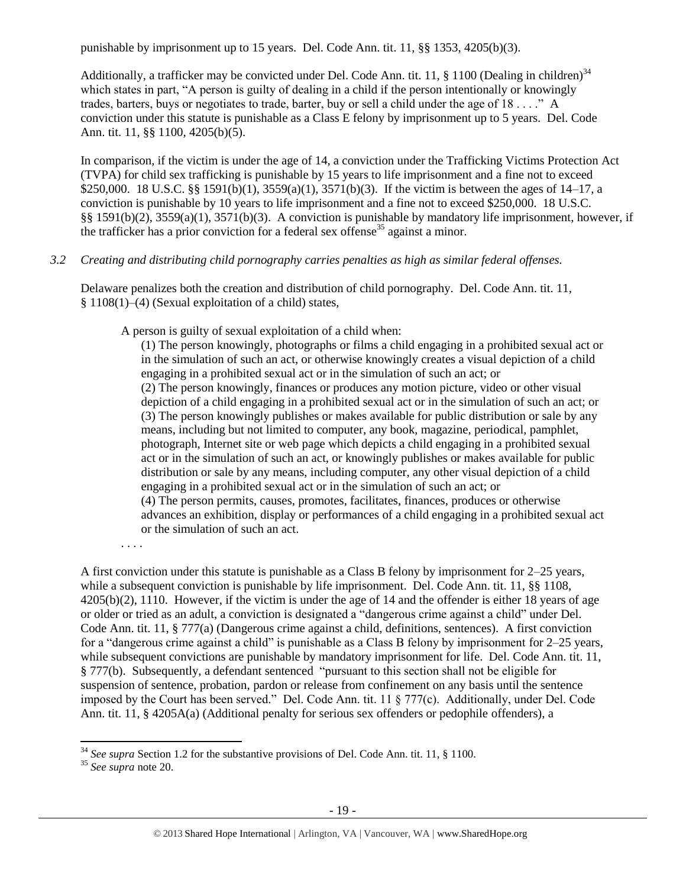punishable by imprisonment up to 15 years. Del. Code Ann. tit. 11, §§ 1353, 4205(b)(3).

Additionally, a trafficker may be convicted under Del. Code Ann. tit. 11,  $\S$  1100 (Dealing in children)<sup>34</sup> which states in part, "A person is guilty of dealing in a child if the person intentionally or knowingly trades, barters, buys or negotiates to trade, barter, buy or sell a child under the age of 18 . . . ." A conviction under this statute is punishable as a Class E felony by imprisonment up to 5 years. Del. Code Ann. tit. 11, §§ 1100, 4205(b)(5).

In comparison, if the victim is under the age of 14, a conviction under the Trafficking Victims Protection Act (TVPA) for child sex trafficking is punishable by 15 years to life imprisonment and a fine not to exceed \$250,000. 18 U.S.C. §§ 1591(b)(1), 3559(a)(1), 3571(b)(3). If the victim is between the ages of 14–17, a conviction is punishable by 10 years to life imprisonment and a fine not to exceed \$250,000. 18 U.S.C. §§ 1591(b)(2), 3559(a)(1), 3571(b)(3). A conviction is punishable by mandatory life imprisonment, however, if the trafficker has a prior conviction for a federal sex offense<sup>35</sup> against a minor.

# *3.2 Creating and distributing child pornography carries penalties as high as similar federal offenses.*

Delaware penalizes both the creation and distribution of child pornography. Del. Code Ann. tit. 11, § 1108(1)–(4) (Sexual exploitation of a child) states,

A person is guilty of sexual exploitation of a child when:

(1) The person knowingly, photographs or films a child engaging in a prohibited sexual act or in the simulation of such an act, or otherwise knowingly creates a visual depiction of a child engaging in a prohibited sexual act or in the simulation of such an act; or (2) The person knowingly, finances or produces any motion picture, video or other visual depiction of a child engaging in a prohibited sexual act or in the simulation of such an act; or (3) The person knowingly publishes or makes available for public distribution or sale by any means, including but not limited to computer, any book, magazine, periodical, pamphlet, photograph, Internet site or web page which depicts a child engaging in a prohibited sexual act or in the simulation of such an act, or knowingly publishes or makes available for public distribution or sale by any means, including computer, any other visual depiction of a child engaging in a prohibited sexual act or in the simulation of such an act; or (4) The person permits, causes, promotes, facilitates, finances, produces or otherwise advances an exhibition, display or performances of a child engaging in a prohibited sexual act or the simulation of such an act.

. . . .

A first conviction under this statute is punishable as a Class B felony by imprisonment for 2–25 years, while a subsequent conviction is punishable by life imprisonment. Del. Code Ann. tit. 11, §§ 1108, 4205(b)(2), 1110. However, if the victim is under the age of 14 and the offender is either 18 years of age or older or tried as an adult, a conviction is designated a "dangerous crime against a child" under Del. Code Ann. tit. 11, § 777(a) (Dangerous crime against a child, definitions, sentences). A first conviction for a "dangerous crime against a child" is punishable as a Class B felony by imprisonment for 2–25 years, while subsequent convictions are punishable by mandatory imprisonment for life. Del. Code Ann. tit. 11, § 777(b). Subsequently, a defendant sentenced "pursuant to this section shall not be eligible for suspension of sentence, probation, pardon or release from confinement on any basis until the sentence imposed by the Court has been served." Del. Code Ann. tit. 11 § 777(c). Additionally, under Del. Code Ann. tit. 11, § 4205A(a) (Additional penalty for serious sex offenders or pedophile offenders), a

 $\overline{a}$ 

<sup>34</sup> *See supra* Section 1.2 for the substantive provisions of Del. Code Ann. tit. 11, § 1100.

<sup>35</sup> *See supra* note [20.](#page-12-0)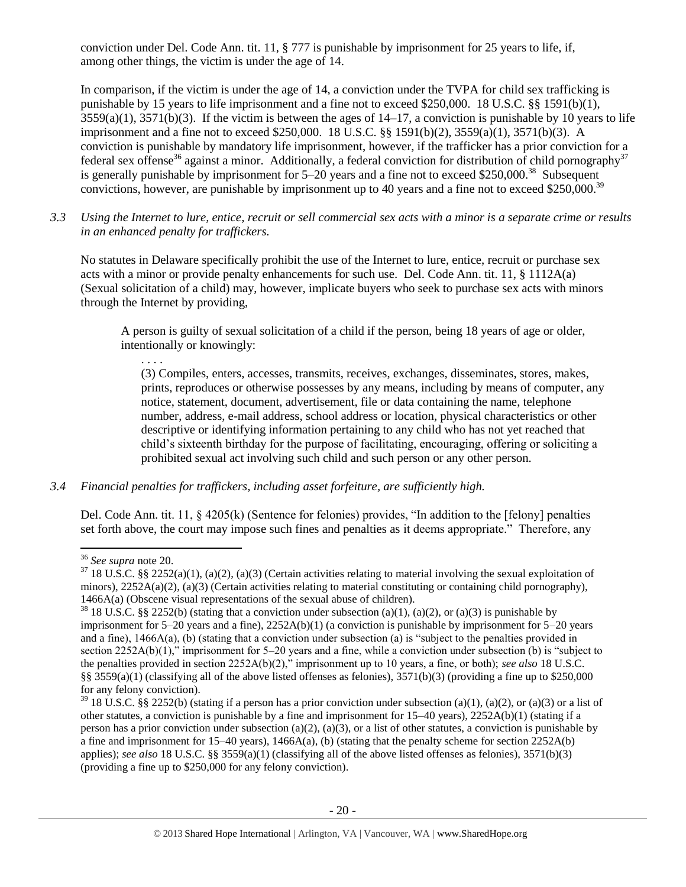conviction under Del. Code Ann. tit. 11, § 777 is punishable by imprisonment for 25 years to life, if, among other things, the victim is under the age of 14.

In comparison, if the victim is under the age of 14, a conviction under the TVPA for child sex trafficking is punishable by 15 years to life imprisonment and a fine not to exceed \$250,000. 18 U.S.C. §§ 1591(b)(1),  $3559(a)(1)$ ,  $3571(b)(3)$ . If the victim is between the ages of  $14-17$ , a conviction is punishable by 10 years to life imprisonment and a fine not to exceed \$250,000. 18 U.S.C. §§ 1591(b)(2), 3559(a)(1), 3571(b)(3). A conviction is punishable by mandatory life imprisonment, however, if the trafficker has a prior conviction for a federal sex offense<sup>36</sup> against a minor. Additionally, a federal conviction for distribution of child pornography<sup>37</sup> is generally punishable by imprisonment for 5–20 years and a fine not to exceed \$250,000.<sup>38</sup> Subsequent convictions, however, are punishable by imprisonment up to 40 years and a fine not to exceed \$250,000.<sup>39</sup>

*3.3 Using the Internet to lure, entice, recruit or sell commercial sex acts with a minor is a separate crime or results in an enhanced penalty for traffickers.*

No statutes in Delaware specifically prohibit the use of the Internet to lure, entice, recruit or purchase sex acts with a minor or provide penalty enhancements for such use. Del. Code Ann. tit. 11, § 1112A(a) (Sexual solicitation of a child) may, however, implicate buyers who seek to purchase sex acts with minors through the Internet by providing,

A person is guilty of sexual solicitation of a child if the person, being 18 years of age or older, intentionally or knowingly:

(3) Compiles, enters, accesses, transmits, receives, exchanges, disseminates, stores, makes, prints, reproduces or otherwise possesses by any means, including by means of computer, any notice, statement, document, advertisement, file or data containing the name, telephone number, address, e-mail address, school address or location, physical characteristics or other descriptive or identifying information pertaining to any child who has not yet reached that child's sixteenth birthday for the purpose of facilitating, encouraging, offering or soliciting a prohibited sexual act involving such child and such person or any other person.

# *3.4 Financial penalties for traffickers, including asset forfeiture, are sufficiently high.*

Del. Code Ann. tit. 11, § 4205(k) (Sentence for felonies) provides, "In addition to the [felony] penalties set forth above, the court may impose such fines and penalties as it deems appropriate." Therefore, any

. . . .

 $\overline{a}$ <sup>36</sup> *See supra* note [20.](#page-12-0)

 $37$  18 U.S.C. §§ 2252(a)(1), (a)(2), (a)(3) (Certain activities relating to material involving the sexual exploitation of minors),  $2252A(a)(2)$ , (a)(3) (Certain activities relating to material constituting or containing child pornography), 1466A(a) (Obscene visual representations of the sexual abuse of children).

<sup>&</sup>lt;sup>38</sup> 18 U.S.C. §§ 2252(b) (stating that a conviction under subsection (a)(1), (a)(2), or (a)(3) is punishable by imprisonment for 5–20 years and a fine), 2252A(b)(1) (a conviction is punishable by imprisonment for 5–20 years and a fine), 1466A(a), (b) (stating that a conviction under subsection (a) is "subject to the penalties provided in section 2252A(b)(1)," imprisonment for 5–20 years and a fine, while a conviction under subsection (b) is "subject to the penalties provided in section 2252A(b)(2)," imprisonment up to 10 years, a fine, or both); *see also* 18 U.S.C. §§ 3559(a)(1) (classifying all of the above listed offenses as felonies),  $3571(b)(3)$  (providing a fine up to \$250,000 for any felony conviction).

<sup>&</sup>lt;sup>39</sup> 18 U.S.C. §§ 2252(b) (stating if a person has a prior conviction under subsection (a)(1), (a)(2), or (a)(3) or a list of other statutes, a conviction is punishable by a fine and imprisonment for 15–40 years), 2252A(b)(1) (stating if a person has a prior conviction under subsection (a)(2), (a)(3), or a list of other statutes, a conviction is punishable by a fine and imprisonment for  $15-40$  years),  $1466A(a)$ , (b) (stating that the penalty scheme for section  $2252A(b)$ applies); *see also* 18 U.S.C. §§ 3559(a)(1) (classifying all of the above listed offenses as felonies), 3571(b)(3) (providing a fine up to \$250,000 for any felony conviction).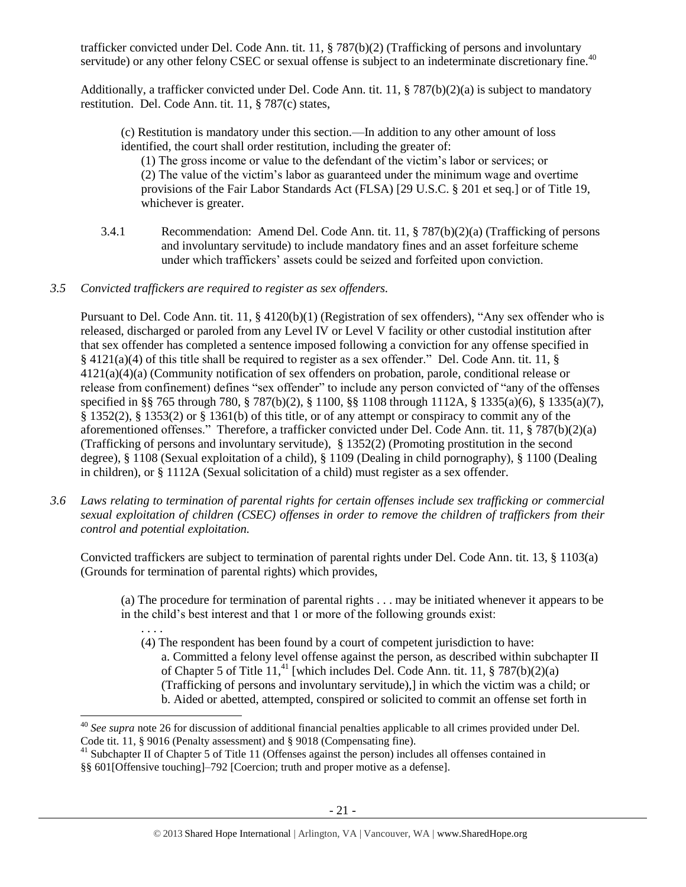trafficker convicted under Del. Code Ann. tit. 11, § 787(b)(2) (Trafficking of persons and involuntary servitude) or any other felony CSEC or sexual offense is subject to an indeterminate discretionary fine.<sup>40</sup>

Additionally, a trafficker convicted under Del. Code Ann. tit. 11, § 787(b)(2)(a) is subject to mandatory restitution. Del. Code Ann. tit. 11, § 787(c) states,

(c) Restitution is mandatory under this section.—In addition to any other amount of loss identified, the court shall order restitution, including the greater of:

(1) The gross income or value to the defendant of the victim's labor or services; or (2) The value of the victim's labor as guaranteed under the minimum wage and overtime provisions of the Fair Labor Standards Act (FLSA) [29 U.S.C. § 201 et seq.] or of Title 19, whichever is greater.

- 3.4.1 Recommendation: Amend Del. Code Ann. tit. 11, § 787(b)(2)(a) (Trafficking of persons and involuntary servitude) to include mandatory fines and an asset forfeiture scheme under which traffickers' assets could be seized and forfeited upon conviction.
- *3.5 Convicted traffickers are required to register as sex offenders.*

Pursuant to Del. Code Ann. tit. 11, § 4120(b)(1) (Registration of sex offenders), "Any sex offender who is released, discharged or paroled from any Level IV or Level V facility or other custodial institution after that sex offender has completed a sentence imposed following a conviction for any offense specified in § 4121(a)(4) of this title shall be required to register as a sex offender." Del. Code Ann. tit. 11, § 4121(a)(4)(a) (Community notification of sex offenders on probation, parole, conditional release or release from confinement) defines "sex offender" to include any person convicted of "any of the offenses specified in §§ 765 through 780, § 787(b)(2), § 1100, §§ 1108 through 1112A, § 1335(a)(6), § 1335(a)(7), § 1352(2), § 1353(2) or § 1361(b) of this title, or of any attempt or conspiracy to commit any of the aforementioned offenses." Therefore, a trafficker convicted under Del. Code Ann. tit. 11, § 787(b)(2)(a) (Trafficking of persons and involuntary servitude), § 1352(2) (Promoting prostitution in the second degree), § 1108 (Sexual exploitation of a child), § 1109 (Dealing in child pornography), § 1100 (Dealing in children), or § 1112A (Sexual solicitation of a child) must register as a sex offender.

*3.6 Laws relating to termination of parental rights for certain offenses include sex trafficking or commercial sexual exploitation of children (CSEC) offenses in order to remove the children of traffickers from their control and potential exploitation.* 

Convicted traffickers are subject to termination of parental rights under Del. Code Ann. tit. 13, § 1103(a) (Grounds for termination of parental rights) which provides,

(a) The procedure for termination of parental rights . . . may be initiated whenever it appears to be in the child's best interest and that 1 or more of the following grounds exist:

. . . .

(4) The respondent has been found by a court of competent jurisdiction to have: a. Committed a felony level offense against the person, as described within subchapter II of Chapter 5 of Title 11,<sup>41</sup> [which includes Del. Code Ann. tit. 11, § 787(b)(2)(a) (Trafficking of persons and involuntary servitude),] in which the victim was a child; or b. Aided or abetted, attempted, conspired or solicited to commit an offense set forth in

 $\overline{a}$ <sup>40</sup> *See supra* note [26](#page-14-0) for discussion of additional financial penalties applicable to all crimes provided under Del. Code tit. 11, § 9016 (Penalty assessment) and § 9018 (Compensating fine).

<sup>&</sup>lt;sup>41</sup> Subchapter II of Chapter 5 of Title 11 (Offenses against the person) includes all offenses contained in §§ 601[Offensive touching]–792 [Coercion; truth and proper motive as a defense].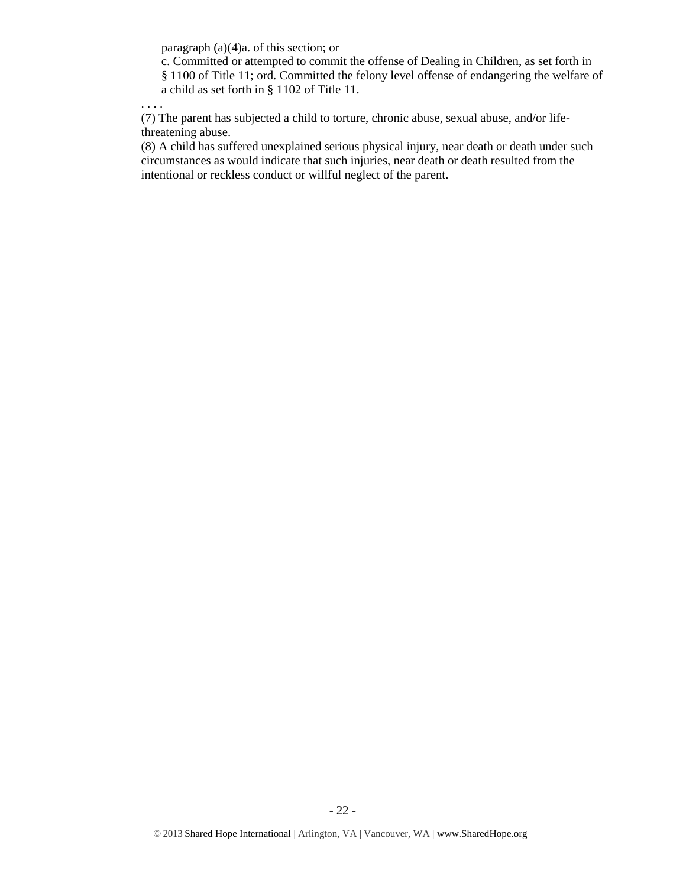paragraph (a)(4)a. of this section; or

c. Committed or attempted to commit the offense of Dealing in Children, as set forth in § 1100 of Title 11; ord. Committed the felony level offense of endangering the welfare of a child as set forth in § 1102 of Title 11.

. . . .

(7) The parent has subjected a child to torture, chronic abuse, sexual abuse, and/or lifethreatening abuse.

(8) A child has suffered unexplained serious physical injury, near death or death under such circumstances as would indicate that such injuries, near death or death resulted from the intentional or reckless conduct or willful neglect of the parent.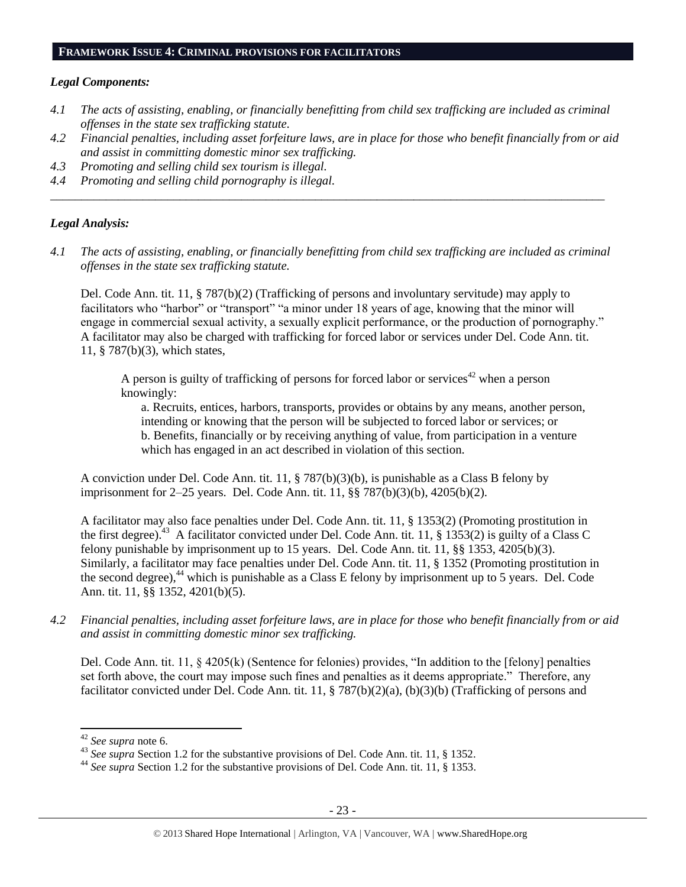#### **FRAMEWORK ISSUE 4: CRIMINAL PROVISIONS FOR FACILITATORS**

#### *Legal Components:*

- *4.1 The acts of assisting, enabling, or financially benefitting from child sex trafficking are included as criminal offenses in the state sex trafficking statute.*
- *4.2 Financial penalties, including asset forfeiture laws, are in place for those who benefit financially from or aid and assist in committing domestic minor sex trafficking.*
- *4.3 Promoting and selling child sex tourism is illegal.*
- *4.4 Promoting and selling child pornography is illegal.*

## *Legal Analysis:*

*4.1 The acts of assisting, enabling, or financially benefitting from child sex trafficking are included as criminal offenses in the state sex trafficking statute.*

*\_\_\_\_\_\_\_\_\_\_\_\_\_\_\_\_\_\_\_\_\_\_\_\_\_\_\_\_\_\_\_\_\_\_\_\_\_\_\_\_\_\_\_\_\_\_\_\_\_\_\_\_\_\_\_\_\_\_\_\_\_\_\_\_\_\_\_\_\_\_\_\_\_\_\_\_\_\_\_\_\_\_\_\_\_\_\_\_\_\_*

Del. Code Ann. tit. 11, § 787(b)(2) (Trafficking of persons and involuntary servitude) may apply to facilitators who "harbor" or "transport" "a minor under 18 years of age, knowing that the minor will engage in commercial sexual activity, a sexually explicit performance, or the production of pornography." A facilitator may also be charged with trafficking for forced labor or services under Del. Code Ann. tit. 11, § 787(b)(3), which states,

A person is guilty of trafficking of persons for forced labor or services<sup>42</sup> when a person knowingly:

a. Recruits, entices, harbors, transports, provides or obtains by any means, another person, intending or knowing that the person will be subjected to forced labor or services; or b. Benefits, financially or by receiving anything of value, from participation in a venture which has engaged in an act described in violation of this section.

A conviction under Del. Code Ann. tit. 11, § 787(b)(3)(b), is punishable as a Class B felony by imprisonment for 2–25 years. Del. Code Ann. tit. 11, §§ 787(b)(3)(b), 4205(b)(2).

A facilitator may also face penalties under Del. Code Ann. tit. 11, § 1353(2) (Promoting prostitution in the first degree).<sup>43</sup> A facilitator convicted under Del. Code Ann. tit. 11, § 1353(2) is guilty of a Class C felony punishable by imprisonment up to 15 years. Del. Code Ann. tit. 11, §§ 1353, 4205(b)(3). Similarly, a facilitator may face penalties under Del. Code Ann. tit. 11, § 1352 (Promoting prostitution in the second degree), $44$  which is punishable as a Class E felony by imprisonment up to 5 years. Del. Code Ann. tit. 11, §§ 1352, 4201(b)(5).

*4.2 Financial penalties, including asset forfeiture laws, are in place for those who benefit financially from or aid and assist in committing domestic minor sex trafficking.*

Del. Code Ann. tit. 11, § 4205(k) (Sentence for felonies) provides, "In addition to the [felony] penalties set forth above, the court may impose such fines and penalties as it deems appropriate." Therefore, any facilitator convicted under Del. Code Ann. tit. 11, § 787(b)(2)(a), (b)(3)(b) (Trafficking of persons and

l

<sup>42</sup> *See supra* note [6.](#page-2-0)

<sup>43</sup> *See supra* Section 1.2 for the substantive provisions of Del. Code Ann. tit. 11, § 1352.

<sup>44</sup> *See supra* Section 1.2 for the substantive provisions of Del. Code Ann. tit. 11, § 1353.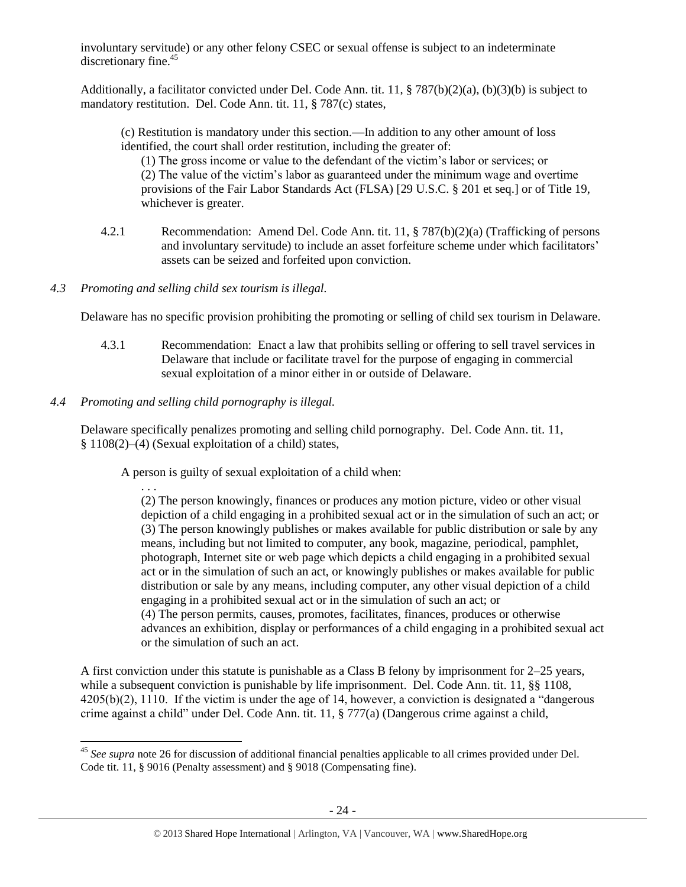involuntary servitude) or any other felony CSEC or sexual offense is subject to an indeterminate discretionary fine.<sup>45</sup>

Additionally, a facilitator convicted under Del. Code Ann. tit. 11, § 787(b)(2)(a), (b)(3)(b) is subject to mandatory restitution. Del. Code Ann. tit. 11, § 787(c) states,

(c) Restitution is mandatory under this section.—In addition to any other amount of loss identified, the court shall order restitution, including the greater of:

(1) The gross income or value to the defendant of the victim's labor or services; or (2) The value of the victim's labor as guaranteed under the minimum wage and overtime provisions of the Fair Labor Standards Act (FLSA) [29 U.S.C. § 201 et seq.] or of Title 19, whichever is greater.

- 4.2.1 Recommendation: Amend Del. Code Ann. tit. 11, § 787(b)(2)(a) (Trafficking of persons and involuntary servitude) to include an asset forfeiture scheme under which facilitators' assets can be seized and forfeited upon conviction.
- *4.3 Promoting and selling child sex tourism is illegal.*

Delaware has no specific provision prohibiting the promoting or selling of child sex tourism in Delaware.

- 4.3.1 Recommendation: Enact a law that prohibits selling or offering to sell travel services in Delaware that include or facilitate travel for the purpose of engaging in commercial sexual exploitation of a minor either in or outside of Delaware.
- *4.4 Promoting and selling child pornography is illegal.*

Delaware specifically penalizes promoting and selling child pornography. Del. Code Ann. tit. 11, § 1108(2)–(4) (Sexual exploitation of a child) states,

A person is guilty of sexual exploitation of a child when:

. . .

(2) The person knowingly, finances or produces any motion picture, video or other visual depiction of a child engaging in a prohibited sexual act or in the simulation of such an act; or (3) The person knowingly publishes or makes available for public distribution or sale by any means, including but not limited to computer, any book, magazine, periodical, pamphlet, photograph, Internet site or web page which depicts a child engaging in a prohibited sexual act or in the simulation of such an act, or knowingly publishes or makes available for public distribution or sale by any means, including computer, any other visual depiction of a child engaging in a prohibited sexual act or in the simulation of such an act; or (4) The person permits, causes, promotes, facilitates, finances, produces or otherwise advances an exhibition, display or performances of a child engaging in a prohibited sexual act or the simulation of such an act.

A first conviction under this statute is punishable as a Class B felony by imprisonment for 2–25 years, while a subsequent conviction is punishable by life imprisonment. Del. Code Ann. tit. 11, §§ 1108, 4205(b)(2), 1110. If the victim is under the age of 14, however, a conviction is designated a "dangerous crime against a child" under Del. Code Ann. tit. 11, § 777(a) (Dangerous crime against a child,

 $\overline{a}$ <sup>45</sup> See supra note [26](#page-14-0) for discussion of additional financial penalties applicable to all crimes provided under Del. Code tit. 11, § 9016 (Penalty assessment) and § 9018 (Compensating fine).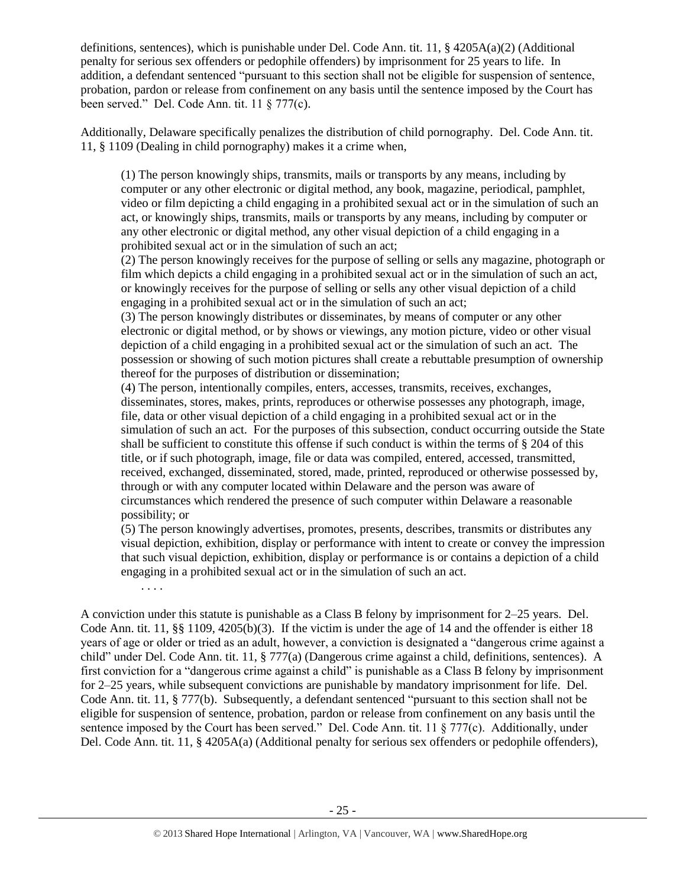definitions, sentences), which is punishable under Del. Code Ann. tit. 11,  $\S$  4205A(a)(2) (Additional penalty for serious sex offenders or pedophile offenders) by imprisonment for 25 years to life. In addition, a defendant sentenced "pursuant to this section shall not be eligible for suspension of sentence, probation, pardon or release from confinement on any basis until the sentence imposed by the Court has been served." Del. Code Ann. tit. 11 § 777(c).

Additionally, Delaware specifically penalizes the distribution of child pornography. Del. Code Ann. tit. 11, § 1109 (Dealing in child pornography) makes it a crime when,

(1) The person knowingly ships, transmits, mails or transports by any means, including by computer or any other electronic or digital method, any book, magazine, periodical, pamphlet, video or film depicting a child engaging in a prohibited sexual act or in the simulation of such an act, or knowingly ships, transmits, mails or transports by any means, including by computer or any other electronic or digital method, any other visual depiction of a child engaging in a prohibited sexual act or in the simulation of such an act;

(2) The person knowingly receives for the purpose of selling or sells any magazine, photograph or film which depicts a child engaging in a prohibited sexual act or in the simulation of such an act, or knowingly receives for the purpose of selling or sells any other visual depiction of a child engaging in a prohibited sexual act or in the simulation of such an act;

(3) The person knowingly distributes or disseminates, by means of computer or any other electronic or digital method, or by shows or viewings, any motion picture, video or other visual depiction of a child engaging in a prohibited sexual act or the simulation of such an act. The possession or showing of such motion pictures shall create a rebuttable presumption of ownership thereof for the purposes of distribution or dissemination;

(4) The person, intentionally compiles, enters, accesses, transmits, receives, exchanges, disseminates, stores, makes, prints, reproduces or otherwise possesses any photograph, image, file, data or other visual depiction of a child engaging in a prohibited sexual act or in the simulation of such an act. For the purposes of this subsection, conduct occurring outside the State shall be sufficient to constitute this offense if such conduct is within the terms of § 204 of this title, or if such photograph, image, file or data was compiled, entered, accessed, transmitted, received, exchanged, disseminated, stored, made, printed, reproduced or otherwise possessed by, through or with any computer located within Delaware and the person was aware of circumstances which rendered the presence of such computer within Delaware a reasonable possibility; or

(5) The person knowingly advertises, promotes, presents, describes, transmits or distributes any visual depiction, exhibition, display or performance with intent to create or convey the impression that such visual depiction, exhibition, display or performance is or contains a depiction of a child engaging in a prohibited sexual act or in the simulation of such an act.

. . . .

A conviction under this statute is punishable as a Class B felony by imprisonment for 2–25 years. Del. Code Ann. tit. 11, §§ 1109,  $4205(b)(3)$ . If the victim is under the age of 14 and the offender is either 18 years of age or older or tried as an adult, however, a conviction is designated a "dangerous crime against a child" under Del. Code Ann. tit. 11, § 777(a) (Dangerous crime against a child, definitions, sentences). A first conviction for a "dangerous crime against a child" is punishable as a Class B felony by imprisonment for 2–25 years, while subsequent convictions are punishable by mandatory imprisonment for life. Del. Code Ann. tit. 11, § 777(b). Subsequently, a defendant sentenced "pursuant to this section shall not be eligible for suspension of sentence, probation, pardon or release from confinement on any basis until the sentence imposed by the Court has been served." Del. Code Ann. tit. 11 § 777(c). Additionally, under Del. Code Ann. tit. 11, § 4205A(a) (Additional penalty for serious sex offenders or pedophile offenders),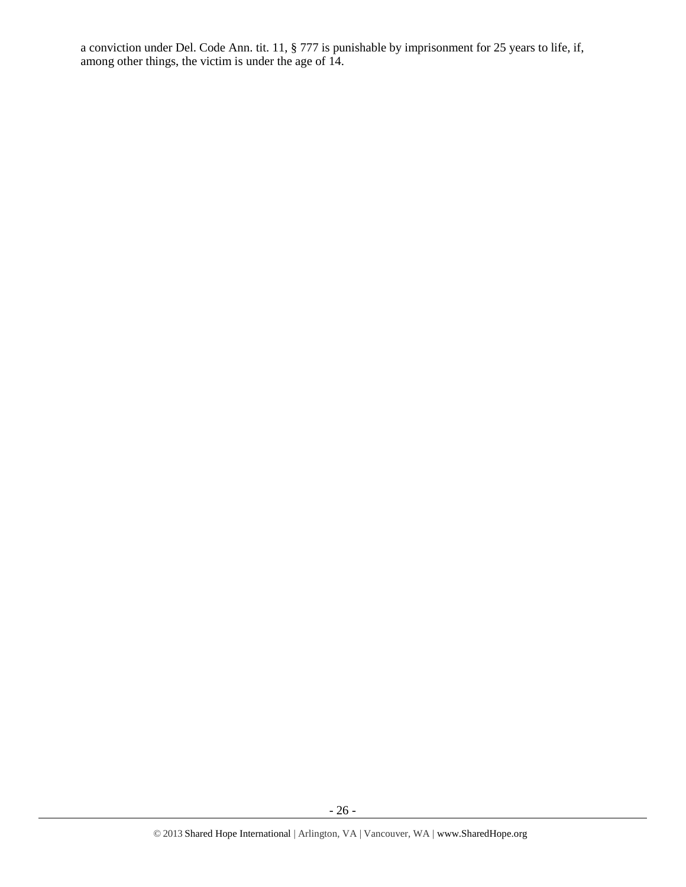a conviction under Del. Code Ann. tit. 11, § 777 is punishable by imprisonment for 25 years to life, if, among other things, the victim is under the age of 14.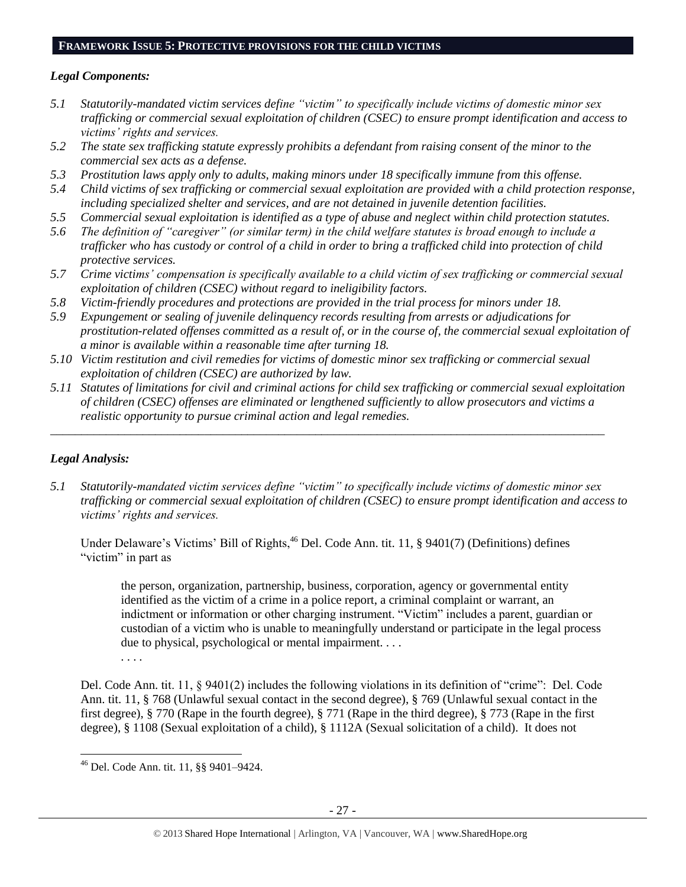## **FRAMEWORK ISSUE 5: PROTECTIVE PROVISIONS FOR THE CHILD VICTIMS**

## *Legal Components:*

- *5.1 Statutorily-mandated victim services define "victim" to specifically include victims of domestic minor sex trafficking or commercial sexual exploitation of children (CSEC) to ensure prompt identification and access to victims' rights and services.*
- *5.2 The state sex trafficking statute expressly prohibits a defendant from raising consent of the minor to the commercial sex acts as a defense.*
- *5.3 Prostitution laws apply only to adults, making minors under 18 specifically immune from this offense.*
- *5.4 Child victims of sex trafficking or commercial sexual exploitation are provided with a child protection response, including specialized shelter and services, and are not detained in juvenile detention facilities.*
- *5.5 Commercial sexual exploitation is identified as a type of abuse and neglect within child protection statutes.*
- *5.6 The definition of "caregiver" (or similar term) in the child welfare statutes is broad enough to include a trafficker who has custody or control of a child in order to bring a trafficked child into protection of child protective services.*
- *5.7 Crime victims' compensation is specifically available to a child victim of sex trafficking or commercial sexual exploitation of children (CSEC) without regard to ineligibility factors.*
- *5.8 Victim-friendly procedures and protections are provided in the trial process for minors under 18.*
- *5.9 Expungement or sealing of juvenile delinquency records resulting from arrests or adjudications for prostitution-related offenses committed as a result of, or in the course of, the commercial sexual exploitation of a minor is available within a reasonable time after turning 18.*
- *5.10 Victim restitution and civil remedies for victims of domestic minor sex trafficking or commercial sexual exploitation of children (CSEC) are authorized by law.*
- *5.11 Statutes of limitations for civil and criminal actions for child sex trafficking or commercial sexual exploitation of children (CSEC) offenses are eliminated or lengthened sufficiently to allow prosecutors and victims a realistic opportunity to pursue criminal action and legal remedies.*

*\_\_\_\_\_\_\_\_\_\_\_\_\_\_\_\_\_\_\_\_\_\_\_\_\_\_\_\_\_\_\_\_\_\_\_\_\_\_\_\_\_\_\_\_\_\_\_\_\_\_\_\_\_\_\_\_\_\_\_\_\_\_\_\_\_\_\_\_\_\_\_\_\_\_\_\_\_\_\_\_\_\_\_\_\_\_\_\_\_\_*

# *Legal Analysis:*

*5.1 Statutorily-mandated victim services define "victim" to specifically include victims of domestic minor sex trafficking or commercial sexual exploitation of children (CSEC) to ensure prompt identification and access to victims' rights and services.*

Under Delaware's Victims' Bill of Rights, <sup>46</sup> Del. Code Ann. tit. 11, § 9401(7) (Definitions) defines "victim" in part as

the person, organization, partnership, business, corporation, agency or governmental entity identified as the victim of a crime in a police report, a criminal complaint or warrant, an indictment or information or other charging instrument. "Victim" includes a parent, guardian or custodian of a victim who is unable to meaningfully understand or participate in the legal process due to physical, psychological or mental impairment. . . . . . . .

Del. Code Ann. tit. 11, § 9401(2) includes the following violations in its definition of "crime": Del. Code Ann. tit. 11, § 768 (Unlawful sexual contact in the second degree), § 769 (Unlawful sexual contact in the first degree), § 770 (Rape in the fourth degree), § 771 (Rape in the third degree), § 773 (Rape in the first degree), § 1108 (Sexual exploitation of a child), § 1112A (Sexual solicitation of a child). It does not

 $\overline{\phantom{a}}$ <sup>46</sup> Del. Code Ann. tit. 11, §§ 9401–9424.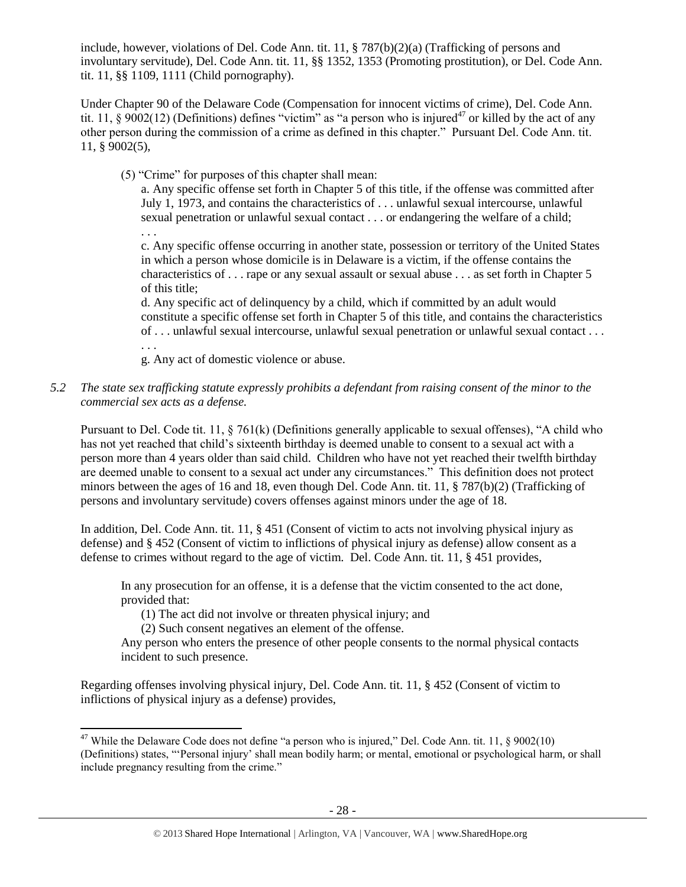include, however, violations of Del. Code Ann. tit. 11, § 787(b)(2)(a) (Trafficking of persons and involuntary servitude), Del. Code Ann. tit. 11, §§ 1352, 1353 (Promoting prostitution), or Del. Code Ann. tit. 11, §§ 1109, 1111 (Child pornography).

Under Chapter 90 of the Delaware Code (Compensation for innocent victims of crime), Del. Code Ann. tit. 11, §  $9002(12)$  (Definitions) defines "victim" as "a person who is injured<sup>47</sup> or killed by the act of any other person during the commission of a crime as defined in this chapter." Pursuant Del. Code Ann. tit. 11, § 9002(5),

(5) "Crime" for purposes of this chapter shall mean:

a. Any specific offense set forth in Chapter 5 of this title, if the offense was committed after July 1, 1973, and contains the characteristics of . . . unlawful sexual intercourse, unlawful sexual penetration or unlawful sexual contact . . . or endangering the welfare of a child;

. . . c. Any specific offense occurring in another state, possession or territory of the United States in which a person whose domicile is in Delaware is a victim, if the offense contains the characteristics of . . . rape or any sexual assault or sexual abuse . . . as set forth in Chapter 5 of this title;

d. Any specific act of delinquency by a child, which if committed by an adult would constitute a specific offense set forth in Chapter 5 of this title, and contains the characteristics of . . . unlawful sexual intercourse, unlawful sexual penetration or unlawful sexual contact . . . . . .

g. Any act of domestic violence or abuse.

*5.2 The state sex trafficking statute expressly prohibits a defendant from raising consent of the minor to the commercial sex acts as a defense.*

Pursuant to Del. Code tit. 11, § 761(k) (Definitions generally applicable to sexual offenses), "A child who has not yet reached that child's sixteenth birthday is deemed unable to consent to a sexual act with a person more than 4 years older than said child. Children who have not yet reached their twelfth birthday are deemed unable to consent to a sexual act under any circumstances." This definition does not protect minors between the ages of 16 and 18, even though Del. Code Ann. tit. 11, § 787(b)(2) (Trafficking of persons and involuntary servitude) covers offenses against minors under the age of 18.

In addition, Del. Code Ann. tit. 11, § 451 (Consent of victim to acts not involving physical injury as defense) and § 452 (Consent of victim to inflictions of physical injury as defense) allow consent as a defense to crimes without regard to the age of victim. Del. Code Ann. tit. 11, § 451 provides,

In any prosecution for an offense, it is a defense that the victim consented to the act done, provided that:

(1) The act did not involve or threaten physical injury; and

(2) Such consent negatives an element of the offense.

Any person who enters the presence of other people consents to the normal physical contacts incident to such presence.

Regarding offenses involving physical injury, Del. Code Ann. tit. 11, § 452 (Consent of victim to inflictions of physical injury as a defense) provides,

l <sup>47</sup> While the Delaware Code does not define "a person who is injured," Del. Code Ann. tit. 11,  $\S 9002(10)$ (Definitions) states, "'Personal injury' shall mean bodily harm; or mental, emotional or psychological harm, or shall include pregnancy resulting from the crime."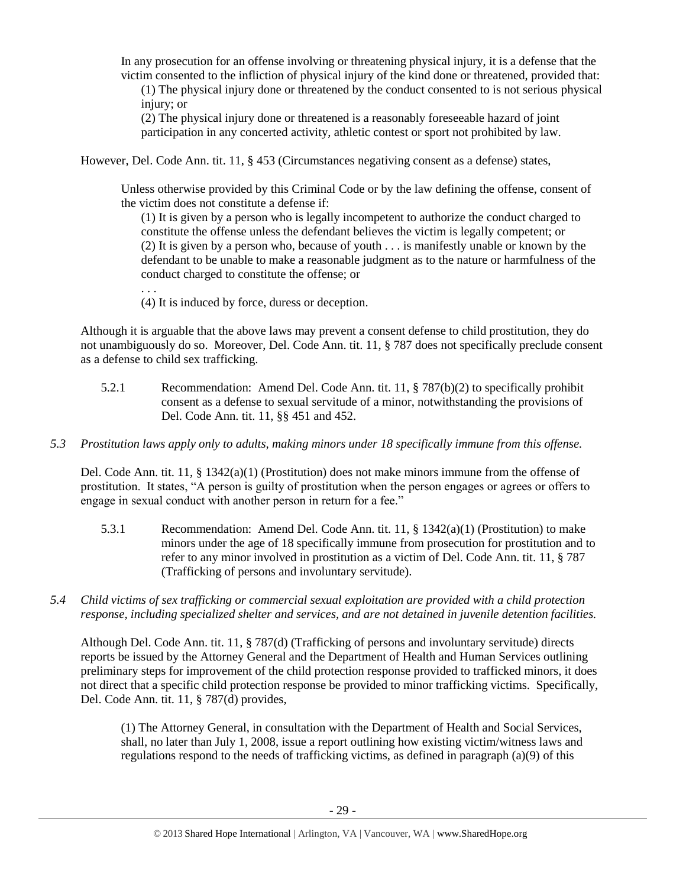In any prosecution for an offense involving or threatening physical injury, it is a defense that the victim consented to the infliction of physical injury of the kind done or threatened, provided that:

(1) The physical injury done or threatened by the conduct consented to is not serious physical injury; or

(2) The physical injury done or threatened is a reasonably foreseeable hazard of joint participation in any concerted activity, athletic contest or sport not prohibited by law.

However, Del. Code Ann. tit. 11, § 453 (Circumstances negativing consent as a defense) states,

Unless otherwise provided by this Criminal Code or by the law defining the offense, consent of the victim does not constitute a defense if:

(1) It is given by a person who is legally incompetent to authorize the conduct charged to constitute the offense unless the defendant believes the victim is legally competent; or (2) It is given by a person who, because of youth . . . is manifestly unable or known by the defendant to be unable to make a reasonable judgment as to the nature or harmfulness of the conduct charged to constitute the offense; or

(4) It is induced by force, duress or deception.

. . .

Although it is arguable that the above laws may prevent a consent defense to child prostitution, they do not unambiguously do so. Moreover, Del. Code Ann. tit. 11, § 787 does not specifically preclude consent as a defense to child sex trafficking.

5.2.1 Recommendation: Amend Del. Code Ann. tit. 11, § 787(b)(2) to specifically prohibit consent as a defense to sexual servitude of a minor, notwithstanding the provisions of Del. Code Ann. tit. 11, §§ 451 and 452.

## *5.3 Prostitution laws apply only to adults, making minors under 18 specifically immune from this offense.*

Del. Code Ann. tit. 11, § 1342(a)(1) (Prostitution) does not make minors immune from the offense of prostitution. It states, "A person is guilty of prostitution when the person engages or agrees or offers to engage in sexual conduct with another person in return for a fee."

- 5.3.1 Recommendation: Amend Del. Code Ann. tit. 11, § 1342(a)(1) (Prostitution) to make minors under the age of 18 specifically immune from prosecution for prostitution and to refer to any minor involved in prostitution as a victim of Del. Code Ann. tit. 11, § 787 (Trafficking of persons and involuntary servitude).
- *5.4 Child victims of sex trafficking or commercial sexual exploitation are provided with a child protection response, including specialized shelter and services, and are not detained in juvenile detention facilities.*

Although Del. Code Ann. tit. 11, § 787(d) (Trafficking of persons and involuntary servitude) directs reports be issued by the Attorney General and the Department of Health and Human Services outlining preliminary steps for improvement of the child protection response provided to trafficked minors, it does not direct that a specific child protection response be provided to minor trafficking victims. Specifically, Del. Code Ann. tit. 11, § 787(d) provides,

(1) The Attorney General, in consultation with the Department of Health and Social Services, shall, no later than July 1, 2008, issue a report outlining how existing victim/witness laws and regulations respond to the needs of trafficking victims, as defined in paragraph  $(a)(9)$  of this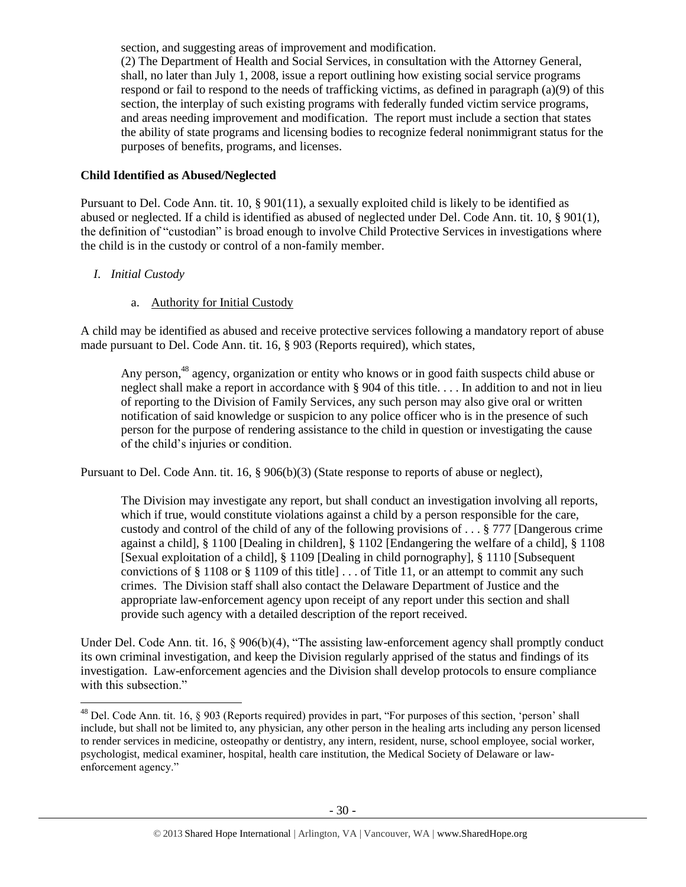section, and suggesting areas of improvement and modification.

(2) The Department of Health and Social Services, in consultation with the Attorney General, shall, no later than July 1, 2008, issue a report outlining how existing social service programs respond or fail to respond to the needs of trafficking victims, as defined in paragraph (a)(9) of this section, the interplay of such existing programs with federally funded victim service programs, and areas needing improvement and modification. The report must include a section that states the ability of state programs and licensing bodies to recognize federal nonimmigrant status for the purposes of benefits, programs, and licenses.

## **Child Identified as Abused/Neglected**

Pursuant to Del. Code Ann. tit. 10, § 901(11), a sexually exploited child is likely to be identified as abused or neglected. If a child is identified as abused of neglected under Del. Code Ann. tit. 10, § 901(1), the definition of "custodian" is broad enough to involve Child Protective Services in investigations where the child is in the custody or control of a non-family member.

# *I. Initial Custody*

# a. Authority for Initial Custody

A child may be identified as abused and receive protective services following a mandatory report of abuse made pursuant to Del. Code Ann. tit. 16, § 903 (Reports required), which states,

Any person,<sup>48</sup> agency, organization or entity who knows or in good faith suspects child abuse or neglect shall make a report in accordance with § 904 of this title. . . . In addition to and not in lieu of reporting to the Division of Family Services, any such person may also give oral or written notification of said knowledge or suspicion to any police officer who is in the presence of such person for the purpose of rendering assistance to the child in question or investigating the cause of the child's injuries or condition.

Pursuant to Del. Code Ann. tit. 16, § 906(b)(3) (State response to reports of abuse or neglect),

The Division may investigate any report, but shall conduct an investigation involving all reports, which if true, would constitute violations against a child by a person responsible for the care, custody and control of the child of any of the following provisions of . . . § 777 [Dangerous crime against a child], § 1100 [Dealing in children], § 1102 [Endangering the welfare of a child], § 1108 [Sexual exploitation of a child], § 1109 [Dealing in child pornography], § 1110 [Subsequent convictions of § 1108 or § 1109 of this title  $\ldots$  of Title 11, or an attempt to commit any such crimes. The Division staff shall also contact the Delaware Department of Justice and the appropriate law-enforcement agency upon receipt of any report under this section and shall provide such agency with a detailed description of the report received.

Under Del. Code Ann. tit. 16, § 906(b)(4), "The assisting law-enforcement agency shall promptly conduct its own criminal investigation, and keep the Division regularly apprised of the status and findings of its investigation. Law-enforcement agencies and the Division shall develop protocols to ensure compliance with this subsection."

l  $48$  Del. Code Ann. tit. 16,  $\S$  903 (Reports required) provides in part, "For purposes of this section, 'person' shall include, but shall not be limited to, any physician, any other person in the healing arts including any person licensed to render services in medicine, osteopathy or dentistry, any intern, resident, nurse, school employee, social worker, psychologist, medical examiner, hospital, health care institution, the Medical Society of Delaware or lawenforcement agency."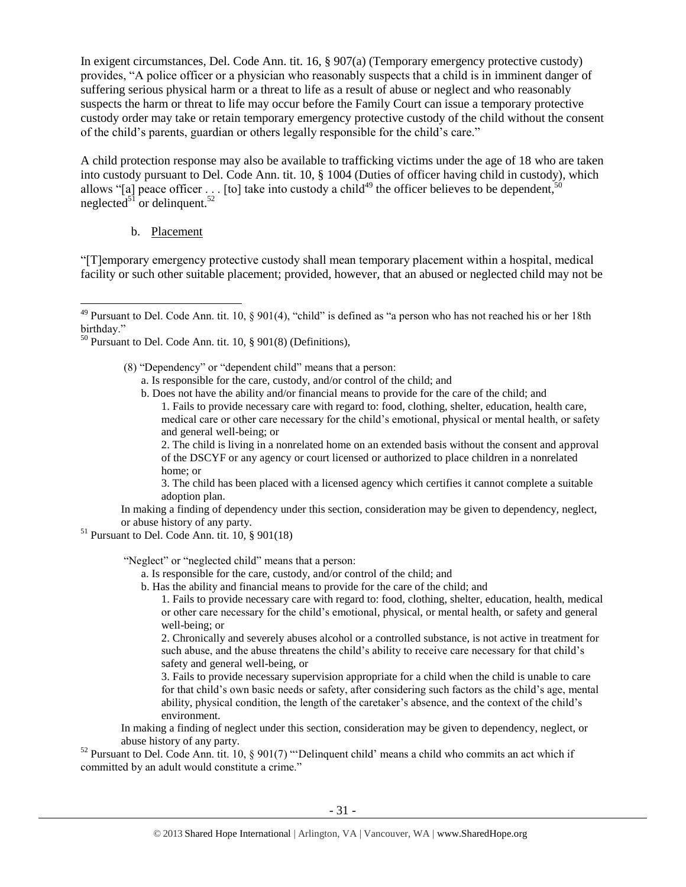In exigent circumstances, Del. Code Ann. tit. 16, § 907(a) (Temporary emergency protective custody) provides, "A police officer or a physician who reasonably suspects that a child is in imminent danger of suffering serious physical harm or a threat to life as a result of abuse or neglect and who reasonably suspects the harm or threat to life may occur before the Family Court can issue a temporary protective custody order may take or retain temporary emergency protective custody of the child without the consent of the child's parents, guardian or others legally responsible for the child's care."

A child protection response may also be available to trafficking victims under the age of 18 who are taken into custody pursuant to Del. Code Ann. tit. 10, § 1004 (Duties of officer having child in custody), which allows "[a] peace officer . . . [to] take into custody a child<sup>49</sup> the officer believes to be dependent,<sup>5</sup> neglected<sup>51</sup> or delinquent.<sup>52</sup>

## b. Placement

 $\overline{\phantom{a}}$ 

"[T]emporary emergency protective custody shall mean temporary placement within a hospital, medical facility or such other suitable placement; provided, however, that an abused or neglected child may not be

- a. Is responsible for the care, custody, and/or control of the child; and
- b. Does not have the ability and/or financial means to provide for the care of the child; and 1. Fails to provide necessary care with regard to: food, clothing, shelter, education, health care, medical care or other care necessary for the child's emotional, physical or mental health, or safety and general well-being; or

2. The child is living in a nonrelated home on an extended basis without the consent and approval of the DSCYF or any agency or court licensed or authorized to place children in a nonrelated home; or

3. The child has been placed with a licensed agency which certifies it cannot complete a suitable adoption plan.

In making a finding of dependency under this section, consideration may be given to dependency, neglect, or abuse history of any party.

 $51$  Pursuant to Del. Code Ann. tit. 10, § 901(18)

"Neglect" or "neglected child" means that a person:

- a. Is responsible for the care, custody, and/or control of the child; and
- b. Has the ability and financial means to provide for the care of the child; and

1. Fails to provide necessary care with regard to: food, clothing, shelter, education, health, medical or other care necessary for the child's emotional, physical, or mental health, or safety and general well-being; or

2. Chronically and severely abuses alcohol or a controlled substance, is not active in treatment for such abuse, and the abuse threatens the child's ability to receive care necessary for that child's safety and general well-being, or

3. Fails to provide necessary supervision appropriate for a child when the child is unable to care for that child's own basic needs or safety, after considering such factors as the child's age, mental ability, physical condition, the length of the caretaker's absence, and the context of the child's environment.

In making a finding of neglect under this section, consideration may be given to dependency, neglect, or abuse history of any party.

<sup>52</sup> Pursuant to Del. Code Ann. tit. 10, § 901(7) "'Delinquent child' means a child who commits an act which if committed by an adult would constitute a crime."

 $49$  Pursuant to Del. Code Ann. tit. 10, § 901(4), "child" is defined as "a person who has not reached his or her 18th birthday."

 $50$  Pursuant to Del. Code Ann. tit. 10, § 901(8) (Definitions),

<sup>(8) &</sup>quot;Dependency" or "dependent child" means that a person: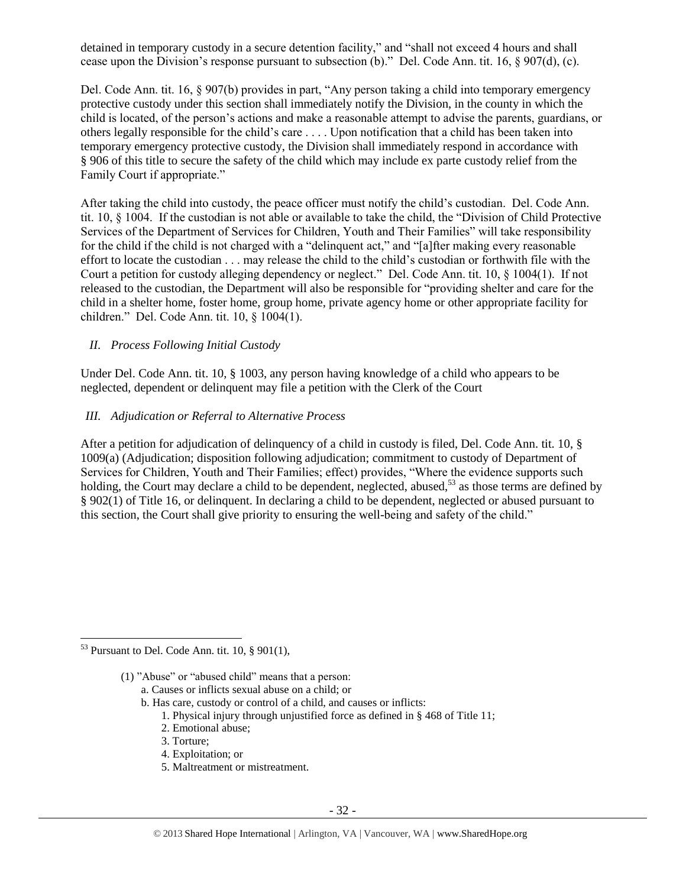detained in temporary custody in a secure detention facility," and "shall not exceed 4 hours and shall cease upon the Division's response pursuant to subsection (b)." Del. Code Ann. tit. 16, § 907(d), (c).

Del. Code Ann. tit. 16, § 907(b) provides in part, "Any person taking a child into temporary emergency protective custody under this section shall immediately notify the Division, in the county in which the child is located, of the person's actions and make a reasonable attempt to advise the parents, guardians, or others legally responsible for the child's care . . . . Upon notification that a child has been taken into temporary emergency protective custody, the Division shall immediately respond in accordance with § 906 of this title to secure the safety of the child which may include ex parte custody relief from the Family Court if appropriate."

After taking the child into custody, the peace officer must notify the child's custodian. Del. Code Ann. tit. 10, § 1004. If the custodian is not able or available to take the child, the "Division of Child Protective Services of the Department of Services for Children, Youth and Their Families" will take responsibility for the child if the child is not charged with a "delinquent act," and "[a]fter making every reasonable effort to locate the custodian . . . may release the child to the child's custodian or forthwith file with the Court a petition for custody alleging dependency or neglect." Del. Code Ann. tit. 10, § 1004(1). If not released to the custodian, the Department will also be responsible for "providing shelter and care for the child in a shelter home, foster home, group home, private agency home or other appropriate facility for children." Del. Code Ann. tit. 10, § 1004(1).

# *II. Process Following Initial Custody*

Under Del. Code Ann. tit. 10, § 1003, any person having knowledge of a child who appears to be neglected, dependent or delinquent may file a petition with the Clerk of the Court

## *III. Adjudication or Referral to Alternative Process*

After a petition for adjudication of delinquency of a child in custody is filed, Del. Code Ann. tit. 10, § 1009(a) (Adjudication; disposition following adjudication; commitment to custody of Department of Services for Children, Youth and Their Families; effect) provides, "Where the evidence supports such holding, the Court may declare a child to be dependent, neglected, abused,<sup>53</sup> as those terms are defined by § 902(1) of Title 16, or delinquent. In declaring a child to be dependent, neglected or abused pursuant to this section, the Court shall give priority to ensuring the well-being and safety of the child."

- a. Causes or inflicts sexual abuse on a child; or
- b. Has care, custody or control of a child, and causes or inflicts:
	- 1. Physical injury through unjustified force as defined in § 468 of Title 11;
	- 2. Emotional abuse;
	- 3. Torture;
	- 4. Exploitation; or
	- 5. Maltreatment or mistreatment.

 $\overline{\phantom{a}}$  $53$  Pursuant to Del. Code Ann. tit. 10, § 901(1),

<sup>(1)</sup> "Abuse" or "abused child" means that a person: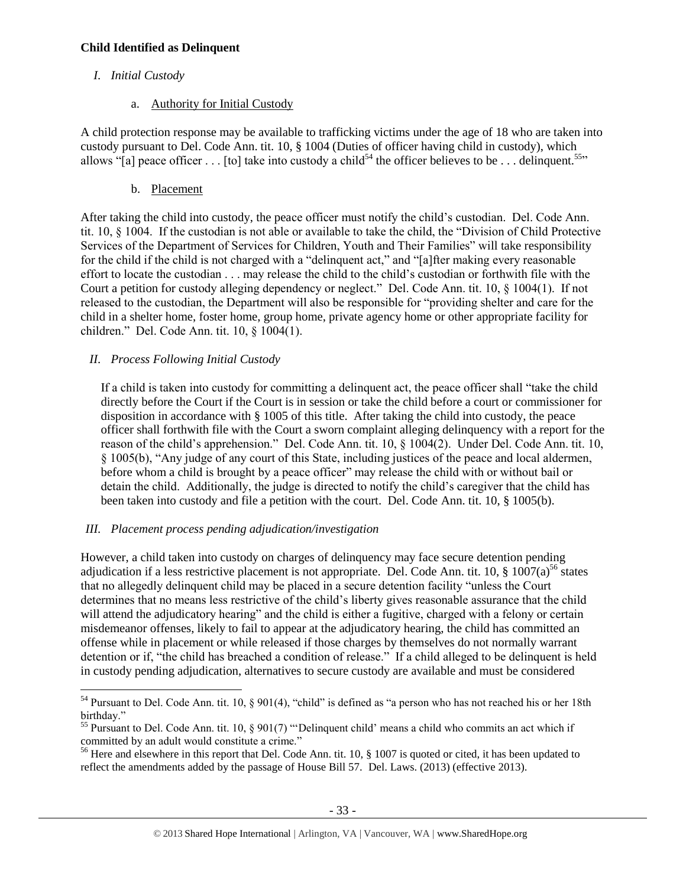## **Child Identified as Delinquent**

# *I. Initial Custody*

a. Authority for Initial Custody

A child protection response may be available to trafficking victims under the age of 18 who are taken into custody pursuant to Del. Code Ann. tit. 10, § 1004 (Duties of officer having child in custody), which allows "[a] peace officer . . . [to] take into custody a child<sup>54</sup> the officer believes to be . . . delinquent.<sup>55</sup>"

b. Placement

After taking the child into custody, the peace officer must notify the child's custodian. Del. Code Ann. tit. 10, § 1004. If the custodian is not able or available to take the child, the "Division of Child Protective Services of the Department of Services for Children, Youth and Their Families" will take responsibility for the child if the child is not charged with a "delinquent act," and "[a]fter making every reasonable effort to locate the custodian . . . may release the child to the child's custodian or forthwith file with the Court a petition for custody alleging dependency or neglect." Del. Code Ann. tit. 10, § 1004(1). If not released to the custodian, the Department will also be responsible for "providing shelter and care for the child in a shelter home, foster home, group home, private agency home or other appropriate facility for children." Del. Code Ann. tit. 10, § 1004(1).

# *II. Process Following Initial Custody*

If a child is taken into custody for committing a delinquent act, the peace officer shall "take the child directly before the Court if the Court is in session or take the child before a court or commissioner for disposition in accordance with § 1005 of this title. After taking the child into custody, the peace officer shall forthwith file with the Court a sworn complaint alleging delinquency with a report for the reason of the child's apprehension." Del. Code Ann. tit. 10, § 1004(2). Under Del. Code Ann. tit. 10, § 1005(b), "Any judge of any court of this State, including justices of the peace and local aldermen, before whom a child is brought by a peace officer" may release the child with or without bail or detain the child. Additionally, the judge is directed to notify the child's caregiver that the child has been taken into custody and file a petition with the court. Del. Code Ann. tit. 10, § 1005(b).

# *III. Placement process pending adjudication/investigation*

However, a child taken into custody on charges of delinquency may face secure detention pending adjudication if a less restrictive placement is not appropriate. Del. Code Ann. tit. 10,  $\S$  1007(a)<sup>56</sup> states that no allegedly delinquent child may be placed in a secure detention facility "unless the Court determines that no means less restrictive of the child's liberty gives reasonable assurance that the child will attend the adjudicatory hearing" and the child is either a fugitive, charged with a felony or certain misdemeanor offenses, likely to fail to appear at the adjudicatory hearing, the child has committed an offense while in placement or while released if those charges by themselves do not normally warrant detention or if, "the child has breached a condition of release." If a child alleged to be delinquent is held in custody pending adjudication, alternatives to secure custody are available and must be considered

 $\overline{\phantom{a}}$ <sup>54</sup> Pursuant to Del. Code Ann. tit. 10, § 901(4), "child" is defined as "a person who has not reached his or her 18th birthday."

<sup>&</sup>lt;sup>55</sup> Pursuant to Del. Code Ann. tit. 10, § 901(7) "Delinquent child' means a child who commits an act which if committed by an adult would constitute a crime."

<sup>&</sup>lt;sup>56</sup> Here and elsewhere in this report that Del. Code Ann. tit. 10,  $\S$  1007 is quoted or cited, it has been updated to reflect the amendments added by the passage of House Bill 57. Del. Laws. (2013) (effective 2013).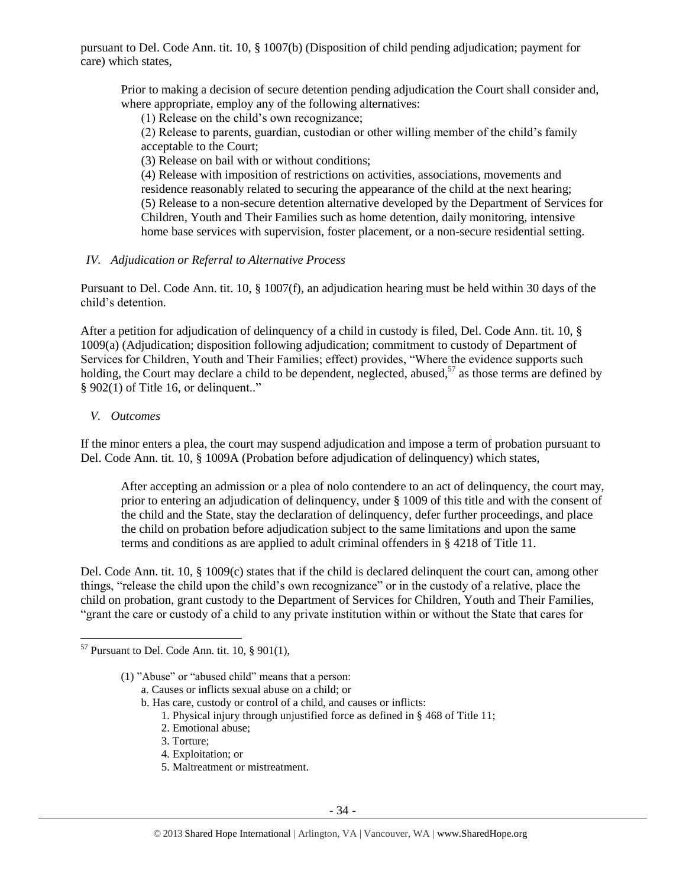pursuant to Del. Code Ann. tit. 10, § 1007(b) (Disposition of child pending adjudication; payment for care) which states,

Prior to making a decision of secure detention pending adjudication the Court shall consider and, where appropriate, employ any of the following alternatives:

(1) Release on the child's own recognizance;

(2) Release to parents, guardian, custodian or other willing member of the child's family acceptable to the Court;

(3) Release on bail with or without conditions;

(4) Release with imposition of restrictions on activities, associations, movements and residence reasonably related to securing the appearance of the child at the next hearing; (5) Release to a non-secure detention alternative developed by the Department of Services for Children, Youth and Their Families such as home detention, daily monitoring, intensive home base services with supervision, foster placement, or a non-secure residential setting.

## *IV. Adjudication or Referral to Alternative Process*

Pursuant to Del. Code Ann. tit. 10, § 1007(f), an adjudication hearing must be held within 30 days of the child's detention.

After a petition for adjudication of delinquency of a child in custody is filed, Del. Code Ann. tit. 10, § 1009(a) (Adjudication; disposition following adjudication; commitment to custody of Department of Services for Children, Youth and Their Families; effect) provides, "Where the evidence supports such holding, the Court may declare a child to be dependent, neglected, abused,<sup>57</sup> as those terms are defined by § 902(1) of Title 16, or delinquent.."

#### *V. Outcomes*

 $\overline{\phantom{a}}$ 

If the minor enters a plea, the court may suspend adjudication and impose a term of probation pursuant to Del. Code Ann. tit. 10, § 1009A (Probation before adjudication of delinquency) which states,

After accepting an admission or a plea of nolo contendere to an act of delinquency, the court may, prior to entering an adjudication of delinquency, under § 1009 of this title and with the consent of the child and the State, stay the declaration of delinquency, defer further proceedings, and place the child on probation before adjudication subject to the same limitations and upon the same terms and conditions as are applied to adult criminal offenders in § 4218 of Title 11.

Del. Code Ann. tit. 10, § 1009(c) states that if the child is declared delinquent the court can, among other things, "release the child upon the child's own recognizance" or in the custody of a relative, place the child on probation, grant custody to the Department of Services for Children, Youth and Their Families, "grant the care or custody of a child to any private institution within or without the State that cares for

b. Has care, custody or control of a child, and causes or inflicts:

- 1. Physical injury through unjustified force as defined in § 468 of Title 11;
- 2. Emotional abuse;
- 3. Torture;
- 4. Exploitation; or
- 5. Maltreatment or mistreatment.

 $57$  Pursuant to Del. Code Ann. tit. 10, § 901(1),

<sup>(1)</sup> "Abuse" or "abused child" means that a person:

a. Causes or inflicts sexual abuse on a child; or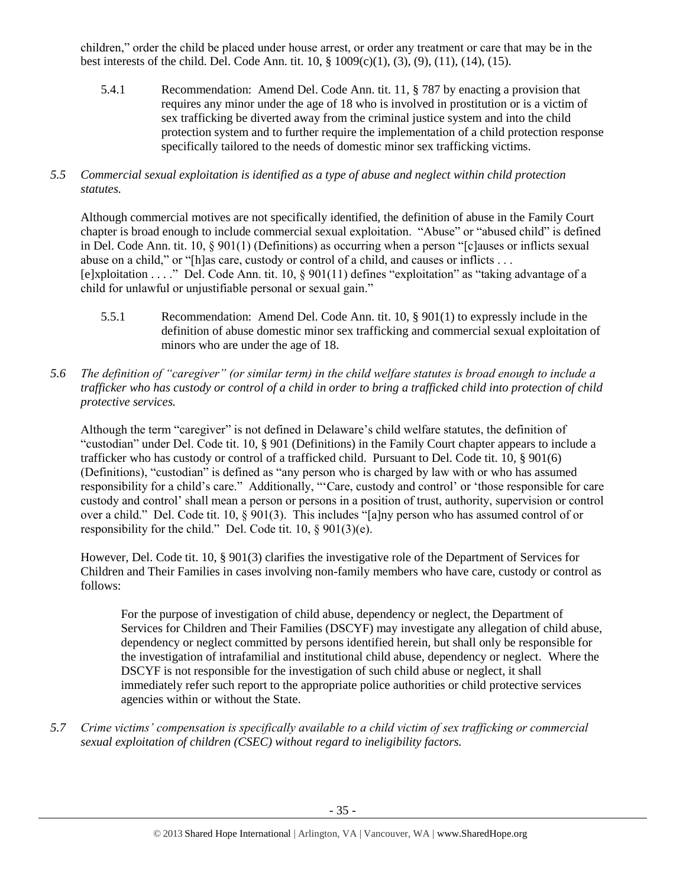children," order the child be placed under house arrest, or order any treatment or care that may be in the best interests of the child. Del. Code Ann. tit. 10, § 1009(c)(1), (3), (9), (11), (14), (15).

- 5.4.1 Recommendation: Amend Del. Code Ann. tit. 11, § 787 by enacting a provision that requires any minor under the age of 18 who is involved in prostitution or is a victim of sex trafficking be diverted away from the criminal justice system and into the child protection system and to further require the implementation of a child protection response specifically tailored to the needs of domestic minor sex trafficking victims.
- *5.5 Commercial sexual exploitation is identified as a type of abuse and neglect within child protection statutes.*

Although commercial motives are not specifically identified, the definition of abuse in the Family Court chapter is broad enough to include commercial sexual exploitation. "Abuse" or "abused child" is defined in Del. Code Ann. tit. 10, § 901(1) (Definitions) as occurring when a person "[c]auses or inflicts sexual abuse on a child," or "[h]as care, custody or control of a child, and causes or inflicts . . . [e]xploitation . . . ." Del. Code Ann. tit. 10, § 901(11) defines "exploitation" as "taking advantage of a child for unlawful or unjustifiable personal or sexual gain."

- 5.5.1 Recommendation: Amend Del. Code Ann. tit. 10, § 901(1) to expressly include in the definition of abuse domestic minor sex trafficking and commercial sexual exploitation of minors who are under the age of 18.
- *5.6 The definition of "caregiver" (or similar term) in the child welfare statutes is broad enough to include a trafficker who has custody or control of a child in order to bring a trafficked child into protection of child protective services.*

Although the term "caregiver" is not defined in Delaware's child welfare statutes, the definition of "custodian" under Del. Code tit. 10, § 901 (Definitions) in the Family Court chapter appears to include a trafficker who has custody or control of a trafficked child. Pursuant to Del. Code tit. 10, § 901(6) (Definitions), "custodian" is defined as "any person who is charged by law with or who has assumed responsibility for a child's care." Additionally, "'Care, custody and control' or 'those responsible for care custody and control' shall mean a person or persons in a position of trust, authority, supervision or control over a child." Del. Code tit. 10, § 901(3). This includes "[a]ny person who has assumed control of or responsibility for the child." Del. Code tit. 10, § 901(3)(e).

However, Del. Code tit. 10, § 901(3) clarifies the investigative role of the Department of Services for Children and Their Families in cases involving non-family members who have care, custody or control as follows:

For the purpose of investigation of child abuse, dependency or neglect, the Department of Services for Children and Their Families (DSCYF) may investigate any allegation of child abuse, dependency or neglect committed by persons identified herein, but shall only be responsible for the investigation of intrafamilial and institutional child abuse, dependency or neglect. Where the DSCYF is not responsible for the investigation of such child abuse or neglect, it shall immediately refer such report to the appropriate police authorities or child protective services agencies within or without the State.

*5.7 Crime victims' compensation is specifically available to a child victim of sex trafficking or commercial sexual exploitation of children (CSEC) without regard to ineligibility factors.*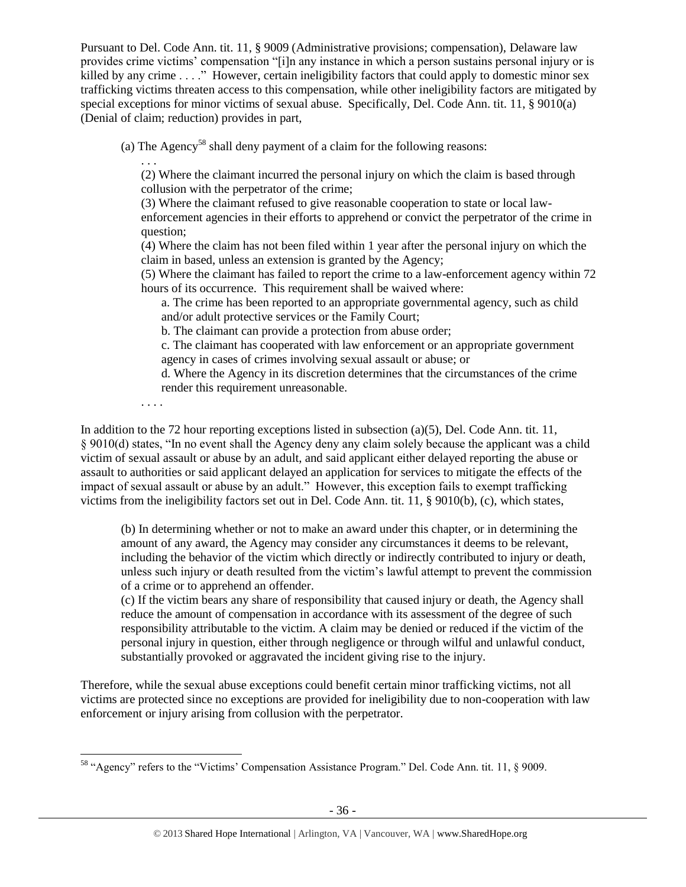Pursuant to Del. Code Ann. tit. 11, § 9009 (Administrative provisions; compensation), Delaware law provides crime victims' compensation "[i]n any instance in which a person sustains personal injury or is killed by any crime . . . ." However, certain ineligibility factors that could apply to domestic minor sex trafficking victims threaten access to this compensation, while other ineligibility factors are mitigated by special exceptions for minor victims of sexual abuse. Specifically, Del. Code Ann. tit. 11, § 9010(a) (Denial of claim; reduction) provides in part,

(a) The Agency<sup>58</sup> shall deny payment of a claim for the following reasons:

. . . (2) Where the claimant incurred the personal injury on which the claim is based through collusion with the perpetrator of the crime;

(3) Where the claimant refused to give reasonable cooperation to state or local law-

enforcement agencies in their efforts to apprehend or convict the perpetrator of the crime in question;

(4) Where the claim has not been filed within 1 year after the personal injury on which the claim in based, unless an extension is granted by the Agency;

(5) Where the claimant has failed to report the crime to a law-enforcement agency within 72 hours of its occurrence. This requirement shall be waived where:

a. The crime has been reported to an appropriate governmental agency, such as child and/or adult protective services or the Family Court;

b. The claimant can provide a protection from abuse order;

c. The claimant has cooperated with law enforcement or an appropriate government agency in cases of crimes involving sexual assault or abuse; or

d. Where the Agency in its discretion determines that the circumstances of the crime render this requirement unreasonable.

. . . .

In addition to the 72 hour reporting exceptions listed in subsection (a)(5), Del. Code Ann. tit. 11, § 9010(d) states, "In no event shall the Agency deny any claim solely because the applicant was a child victim of sexual assault or abuse by an adult, and said applicant either delayed reporting the abuse or assault to authorities or said applicant delayed an application for services to mitigate the effects of the impact of sexual assault or abuse by an adult." However, this exception fails to exempt trafficking victims from the ineligibility factors set out in Del. Code Ann. tit. 11, § 9010(b), (c), which states,

(b) In determining whether or not to make an award under this chapter, or in determining the amount of any award, the Agency may consider any circumstances it deems to be relevant, including the behavior of the victim which directly or indirectly contributed to injury or death, unless such injury or death resulted from the victim's lawful attempt to prevent the commission of a crime or to apprehend an offender.

(c) If the victim bears any share of responsibility that caused injury or death, the Agency shall reduce the amount of compensation in accordance with its assessment of the degree of such responsibility attributable to the victim. A claim may be denied or reduced if the victim of the personal injury in question, either through negligence or through wilful and unlawful conduct, substantially provoked or aggravated the incident giving rise to the injury.

Therefore, while the sexual abuse exceptions could benefit certain minor trafficking victims, not all victims are protected since no exceptions are provided for ineligibility due to non-cooperation with law enforcement or injury arising from collusion with the perpetrator.

 $\overline{\phantom{a}}$ <sup>58</sup> "Agency" refers to the "Victims' Compensation Assistance Program." Del. Code Ann. tit. 11, § 9009.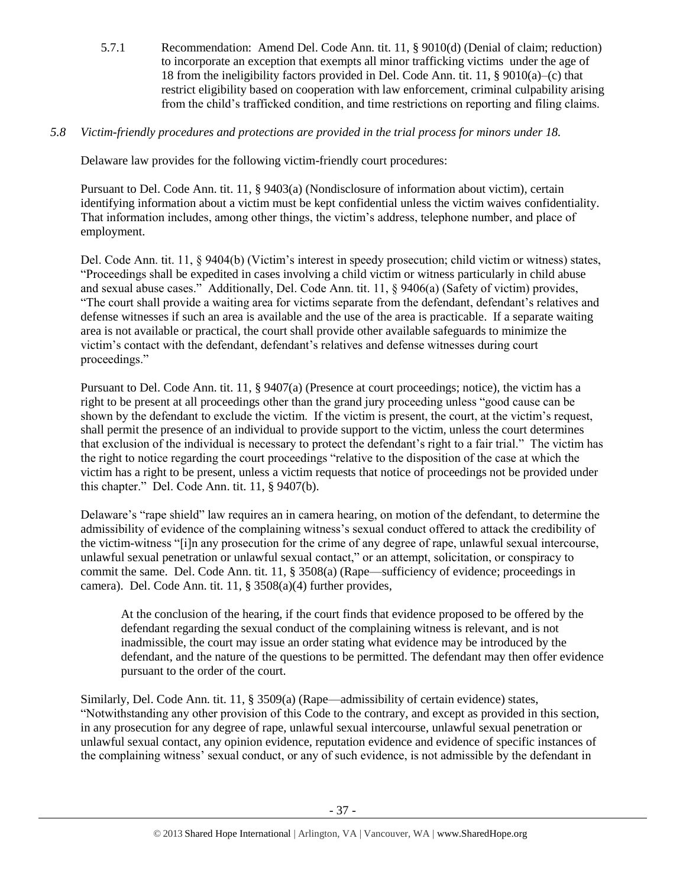5.7.1 Recommendation: Amend Del. Code Ann. tit. 11, § 9010(d) (Denial of claim; reduction) to incorporate an exception that exempts all minor trafficking victims under the age of 18 from the ineligibility factors provided in Del. Code Ann. tit. 11, § 9010(a)–(c) that restrict eligibility based on cooperation with law enforcement, criminal culpability arising from the child's trafficked condition, and time restrictions on reporting and filing claims.

# *5.8 Victim-friendly procedures and protections are provided in the trial process for minors under 18.*

Delaware law provides for the following victim-friendly court procedures:

Pursuant to Del. Code Ann. tit. 11, § 9403(a) (Nondisclosure of information about victim), certain identifying information about a victim must be kept confidential unless the victim waives confidentiality. That information includes, among other things, the victim's address, telephone number, and place of employment.

Del. Code Ann. tit. 11, § 9404(b) (Victim's interest in speedy prosecution; child victim or witness) states, "Proceedings shall be expedited in cases involving a child victim or witness particularly in child abuse and sexual abuse cases." Additionally, Del. Code Ann. tit. 11, § 9406(a) (Safety of victim) provides, "The court shall provide a waiting area for victims separate from the defendant, defendant's relatives and defense witnesses if such an area is available and the use of the area is practicable. If a separate waiting area is not available or practical, the court shall provide other available safeguards to minimize the victim's contact with the defendant, defendant's relatives and defense witnesses during court proceedings."

Pursuant to Del. Code Ann. tit. 11, § 9407(a) (Presence at court proceedings; notice), the victim has a right to be present at all proceedings other than the grand jury proceeding unless "good cause can be shown by the defendant to exclude the victim. If the victim is present, the court, at the victim's request, shall permit the presence of an individual to provide support to the victim, unless the court determines that exclusion of the individual is necessary to protect the defendant's right to a fair trial." The victim has the right to notice regarding the court proceedings "relative to the disposition of the case at which the victim has a right to be present, unless a victim requests that notice of proceedings not be provided under this chapter." Del. Code Ann. tit. 11, § 9407(b).

Delaware's "rape shield" law requires an in camera hearing, on motion of the defendant, to determine the admissibility of evidence of the complaining witness's sexual conduct offered to attack the credibility of the victim-witness "[i]n any prosecution for the crime of any degree of rape, unlawful sexual intercourse, unlawful sexual penetration or unlawful sexual contact," or an attempt, solicitation, or conspiracy to commit the same. Del. Code Ann. tit. 11, § 3508(a) (Rape—sufficiency of evidence; proceedings in camera). Del. Code Ann. tit. 11, § 3508(a)(4) further provides,

At the conclusion of the hearing, if the court finds that evidence proposed to be offered by the defendant regarding the sexual conduct of the complaining witness is relevant, and is not inadmissible, the court may issue an order stating what evidence may be introduced by the defendant, and the nature of the questions to be permitted. The defendant may then offer evidence pursuant to the order of the court.

Similarly, Del. Code Ann. tit. 11, § 3509(a) (Rape—admissibility of certain evidence) states, "Notwithstanding any other provision of this Code to the contrary, and except as provided in this section, in any prosecution for any degree of rape, unlawful sexual intercourse, unlawful sexual penetration or unlawful sexual contact, any opinion evidence, reputation evidence and evidence of specific instances of the complaining witness' sexual conduct, or any of such evidence, is not admissible by the defendant in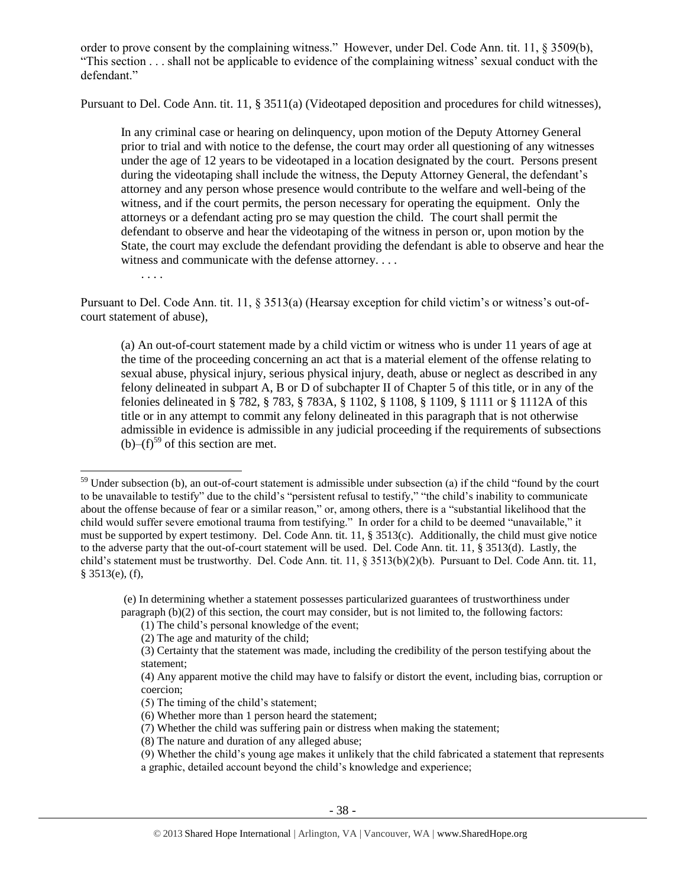order to prove consent by the complaining witness." However, under Del. Code Ann. tit. 11, § 3509(b), "This section . . . shall not be applicable to evidence of the complaining witness' sexual conduct with the defendant."

Pursuant to Del. Code Ann. tit. 11, § 3511(a) (Videotaped deposition and procedures for child witnesses),

In any criminal case or hearing on delinquency, upon motion of the Deputy Attorney General prior to trial and with notice to the defense, the court may order all questioning of any witnesses under the age of 12 years to be videotaped in a location designated by the court. Persons present during the videotaping shall include the witness, the Deputy Attorney General, the defendant's attorney and any person whose presence would contribute to the welfare and well-being of the witness, and if the court permits, the person necessary for operating the equipment. Only the attorneys or a defendant acting pro se may question the child. The court shall permit the defendant to observe and hear the videotaping of the witness in person or, upon motion by the State, the court may exclude the defendant providing the defendant is able to observe and hear the witness and communicate with the defense attorney. . . .

. . . .

 $\overline{a}$ 

Pursuant to Del. Code Ann. tit. 11, § 3513(a) (Hearsay exception for child victim's or witness's out-ofcourt statement of abuse),

(a) An out-of-court statement made by a child victim or witness who is under 11 years of age at the time of the proceeding concerning an act that is a material element of the offense relating to sexual abuse, physical injury, serious physical injury, death, abuse or neglect as described in any felony delineated in subpart A, B or D of subchapter II of Chapter 5 of this title, or in any of the felonies delineated in § 782, § 783, § 783A, § 1102, § 1108, § 1109, § 1111 or § 1112A of this title or in any attempt to commit any felony delineated in this paragraph that is not otherwise admissible in evidence is admissible in any judicial proceeding if the requirements of subsections  $(b)$ – $(f)$ <sup>59</sup> of this section are met.

(e) In determining whether a statement possesses particularized guarantees of trustworthiness under paragraph (b)(2) of this section, the court may consider, but is not limited to, the following factors:

- (8) The nature and duration of any alleged abuse;
- (9) Whether the child's young age makes it unlikely that the child fabricated a statement that represents a graphic, detailed account beyond the child's knowledge and experience;

 $59$  Under subsection (b), an out-of-court statement is admissible under subsection (a) if the child "found by the court to be unavailable to testify" due to the child's "persistent refusal to testify," "the child's inability to communicate about the offense because of fear or a similar reason," or, among others, there is a "substantial likelihood that the child would suffer severe emotional trauma from testifying." In order for a child to be deemed "unavailable," it must be supported by expert testimony. Del. Code Ann. tit. 11, § 3513(c). Additionally, the child must give notice to the adverse party that the out-of-court statement will be used. Del. Code Ann. tit. 11, § 3513(d). Lastly, the child's statement must be trustworthy. Del. Code Ann. tit. 11, § 3513(b)(2)(b). Pursuant to Del. Code Ann. tit. 11, § 3513(e), (f),

<sup>(1)</sup> The child's personal knowledge of the event;

<sup>(2)</sup> The age and maturity of the child;

<sup>(3)</sup> Certainty that the statement was made, including the credibility of the person testifying about the statement;

<sup>(4)</sup> Any apparent motive the child may have to falsify or distort the event, including bias, corruption or coercion;

<sup>(5)</sup> The timing of the child's statement;

<sup>(6)</sup> Whether more than 1 person heard the statement;

<sup>(7)</sup> Whether the child was suffering pain or distress when making the statement;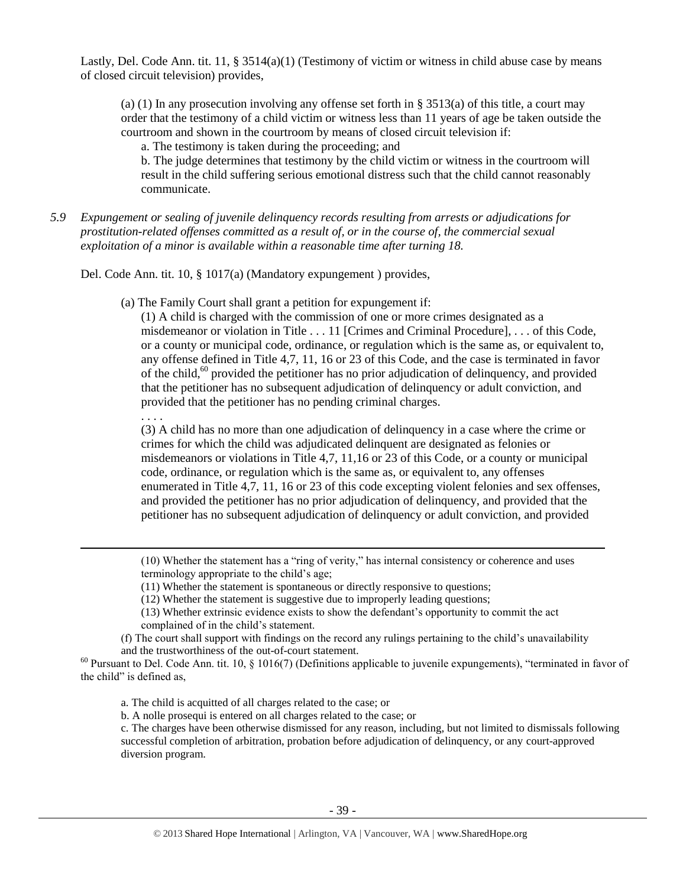Lastly, Del. Code Ann. tit. 11, § 3514(a)(1) (Testimony of victim or witness in child abuse case by means of closed circuit television) provides,

(a) (1) In any prosecution involving any offense set forth in § 3513(a) of this title, a court may order that the testimony of a child victim or witness less than 11 years of age be taken outside the courtroom and shown in the courtroom by means of closed circuit television if:

a. The testimony is taken during the proceeding; and

b. The judge determines that testimony by the child victim or witness in the courtroom will result in the child suffering serious emotional distress such that the child cannot reasonably communicate.

*5.9 Expungement or sealing of juvenile delinquency records resulting from arrests or adjudications for prostitution-related offenses committed as a result of, or in the course of, the commercial sexual exploitation of a minor is available within a reasonable time after turning 18.*

Del. Code Ann. tit. 10, § 1017(a) (Mandatory expungement ) provides,

(a) The Family Court shall grant a petition for expungement if:

(1) A child is charged with the commission of one or more crimes designated as a misdemeanor or violation in Title . . . 11 [Crimes and Criminal Procedure], . . . of this Code, or a county or municipal code, ordinance, or regulation which is the same as, or equivalent to, any offense defined in Title 4,7, 11, 16 or 23 of this Code, and the case is terminated in favor of the child, $60$  provided the petitioner has no prior adjudication of delinquency, and provided that the petitioner has no subsequent adjudication of delinquency or adult conviction, and provided that the petitioner has no pending criminal charges.

. . . .

 $\overline{a}$ 

(3) A child has no more than one adjudication of delinquency in a case where the crime or crimes for which the child was adjudicated delinquent are designated as felonies or misdemeanors or violations in Title 4,7, 11,16 or 23 of this Code, or a county or municipal code, ordinance, or regulation which is the same as, or equivalent to, any offenses enumerated in Title 4,7, 11, 16 or 23 of this code excepting violent felonies and sex offenses, and provided the petitioner has no prior adjudication of delinquency, and provided that the petitioner has no subsequent adjudication of delinquency or adult conviction, and provided

(10) Whether the statement has a "ring of verity," has internal consistency or coherence and uses terminology appropriate to the child's age;

(12) Whether the statement is suggestive due to improperly leading questions;

(13) Whether extrinsic evidence exists to show the defendant's opportunity to commit the act complained of in the child's statement.

(f) The court shall support with findings on the record any rulings pertaining to the child's unavailability and the trustworthiness of the out-of-court statement.

 $60$  Pursuant to Del. Code Ann. tit. 10, § 1016(7) (Definitions applicable to juvenile expungements), "terminated in favor of the child" is defined as,

a. The child is acquitted of all charges related to the case; or

b. A nolle prosequi is entered on all charges related to the case; or

c. The charges have been otherwise dismissed for any reason, including, but not limited to dismissals following successful completion of arbitration, probation before adjudication of delinquency, or any court-approved diversion program.

<sup>(11)</sup> Whether the statement is spontaneous or directly responsive to questions;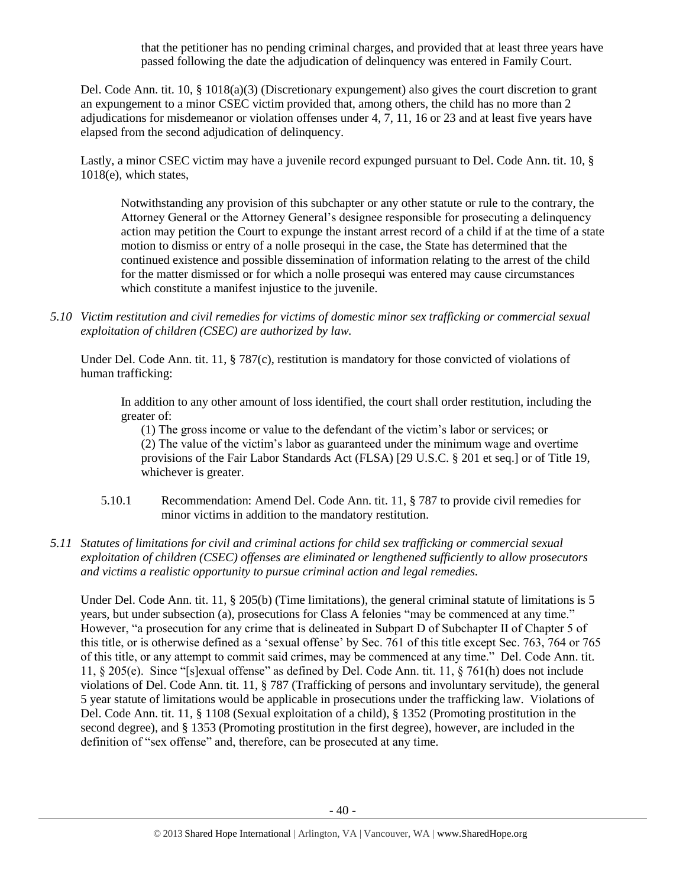that the petitioner has no pending criminal charges, and provided that at least three years have passed following the date the adjudication of delinquency was entered in Family Court.

Del. Code Ann. tit. 10, § 1018(a)(3) (Discretionary expungement) also gives the court discretion to grant an expungement to a minor CSEC victim provided that, among others, the child has no more than 2 adjudications for misdemeanor or violation offenses under 4, 7, 11, 16 or 23 and at least five years have elapsed from the second adjudication of delinquency.

Lastly, a minor CSEC victim may have a juvenile record expunged pursuant to Del. Code Ann. tit. 10, § 1018(e), which states,

Notwithstanding any provision of this subchapter or any other statute or rule to the contrary, the Attorney General or the Attorney General's designee responsible for prosecuting a delinquency action may petition the Court to expunge the instant arrest record of a child if at the time of a state motion to dismiss or entry of a nolle prosequi in the case, the State has determined that the continued existence and possible dissemination of information relating to the arrest of the child for the matter dismissed or for which a nolle prosequi was entered may cause circumstances which constitute a manifest injustice to the juvenile.

*5.10 Victim restitution and civil remedies for victims of domestic minor sex trafficking or commercial sexual exploitation of children (CSEC) are authorized by law.* 

Under Del. Code Ann. tit. 11, § 787(c), restitution is mandatory for those convicted of violations of human trafficking:

In addition to any other amount of loss identified, the court shall order restitution, including the greater of:

(1) The gross income or value to the defendant of the victim's labor or services; or (2) The value of the victim's labor as guaranteed under the minimum wage and overtime provisions of the Fair Labor Standards Act (FLSA) [29 U.S.C. § 201 et seq.] or of Title 19, whichever is greater.

- 5.10.1 Recommendation: Amend Del. Code Ann. tit. 11, § 787 to provide civil remedies for minor victims in addition to the mandatory restitution.
- *5.11 Statutes of limitations for civil and criminal actions for child sex trafficking or commercial sexual exploitation of children (CSEC) offenses are eliminated or lengthened sufficiently to allow prosecutors and victims a realistic opportunity to pursue criminal action and legal remedies.*

Under Del. Code Ann. tit. 11, § 205(b) (Time limitations), the general criminal statute of limitations is 5 years, but under subsection (a), prosecutions for Class A felonies "may be commenced at any time." However, "a prosecution for any crime that is delineated in Subpart D of Subchapter II of Chapter 5 of this title, or is otherwise defined as a 'sexual offense' by Sec. 761 of this title except Sec. 763, 764 or 765 of this title, or any attempt to commit said crimes, may be commenced at any time." Del. Code Ann. tit. 11, § 205(e). Since "[s]exual offense" as defined by Del. Code Ann. tit. 11, § 761(h) does not include violations of Del. Code Ann. tit. 11, § 787 (Trafficking of persons and involuntary servitude), the general 5 year statute of limitations would be applicable in prosecutions under the trafficking law. Violations of Del. Code Ann. tit. 11, § 1108 (Sexual exploitation of a child), § 1352 (Promoting prostitution in the second degree), and § 1353 (Promoting prostitution in the first degree), however, are included in the definition of "sex offense" and, therefore, can be prosecuted at any time.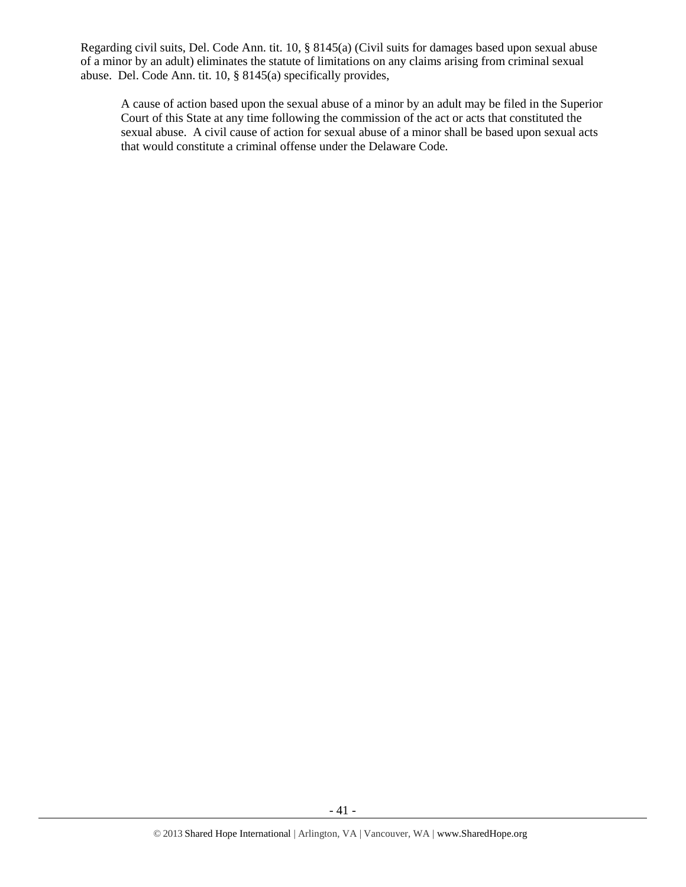Regarding civil suits, Del. Code Ann. tit. 10, § 8145(a) (Civil suits for damages based upon sexual abuse of a minor by an adult) eliminates the statute of limitations on any claims arising from criminal sexual abuse. Del. Code Ann. tit. 10, § 8145(a) specifically provides,

A cause of action based upon the sexual abuse of a minor by an adult may be filed in the Superior Court of this State at any time following the commission of the act or acts that constituted the sexual abuse. A civil cause of action for sexual abuse of a minor shall be based upon sexual acts that would constitute a criminal offense under the Delaware Code.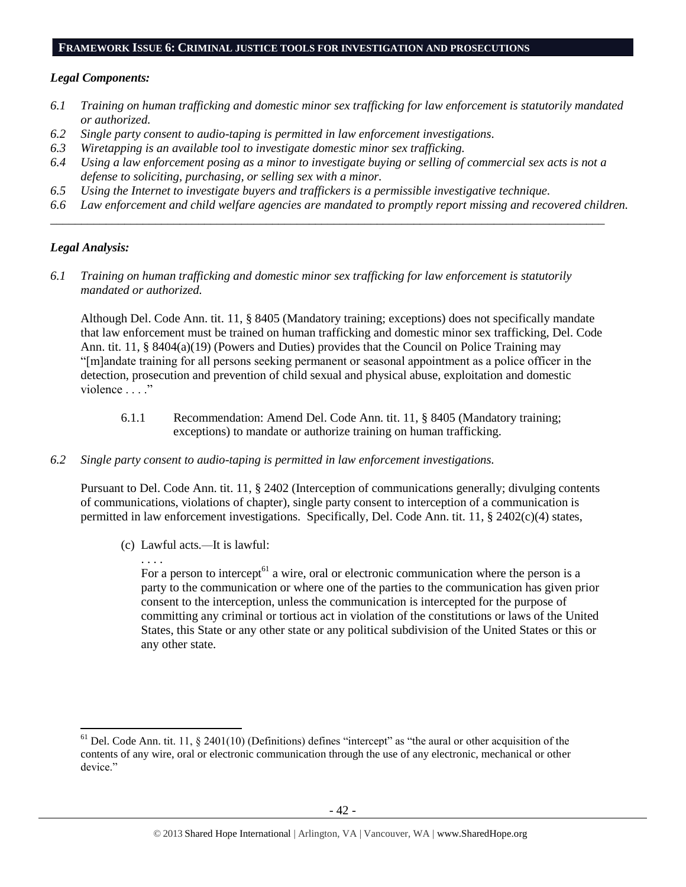#### **FRAMEWORK ISSUE 6: CRIMINAL JUSTICE TOOLS FOR INVESTIGATION AND PROSECUTIONS**

#### *Legal Components:*

- *6.1 Training on human trafficking and domestic minor sex trafficking for law enforcement is statutorily mandated or authorized.*
- *6.2 Single party consent to audio-taping is permitted in law enforcement investigations.*
- *6.3 Wiretapping is an available tool to investigate domestic minor sex trafficking.*
- *6.4 Using a law enforcement posing as a minor to investigate buying or selling of commercial sex acts is not a defense to soliciting, purchasing, or selling sex with a minor.*

*\_\_\_\_\_\_\_\_\_\_\_\_\_\_\_\_\_\_\_\_\_\_\_\_\_\_\_\_\_\_\_\_\_\_\_\_\_\_\_\_\_\_\_\_\_\_\_\_\_\_\_\_\_\_\_\_\_\_\_\_\_\_\_\_\_\_\_\_\_\_\_\_\_\_\_\_\_\_\_\_\_\_\_\_\_\_\_\_\_\_*

- *6.5 Using the Internet to investigate buyers and traffickers is a permissible investigative technique.*
- *6.6 Law enforcement and child welfare agencies are mandated to promptly report missing and recovered children.*

#### *Legal Analysis:*

l

*6.1 Training on human trafficking and domestic minor sex trafficking for law enforcement is statutorily mandated or authorized.*

Although Del. Code Ann. tit. 11, § 8405 (Mandatory training; exceptions) does not specifically mandate that law enforcement must be trained on human trafficking and domestic minor sex trafficking, Del. Code Ann. tit. 11, § 8404(a)(19) (Powers and Duties) provides that the Council on Police Training may "[m]andate training for all persons seeking permanent or seasonal appointment as a police officer in the detection, prosecution and prevention of child sexual and physical abuse, exploitation and domestic violence . . . ."

- 6.1.1 Recommendation: Amend Del. Code Ann. tit. 11, § 8405 (Mandatory training; exceptions) to mandate or authorize training on human trafficking.
- *6.2 Single party consent to audio-taping is permitted in law enforcement investigations.*

Pursuant to Del. Code Ann. tit. 11, § 2402 (Interception of communications generally; divulging contents of communications, violations of chapter), single party consent to interception of a communication is permitted in law enforcement investigations. Specifically, Del. Code Ann. tit. 11, § 2402(c)(4) states,

(c) Lawful acts*.—*It is lawful:

. . . .

For a person to intercept<sup> $61$ </sup> a wire, oral or electronic communication where the person is a party to the communication or where one of the parties to the communication has given prior consent to the interception, unless the communication is intercepted for the purpose of committing any criminal or tortious act in violation of the constitutions or laws of the United States, this State or any other state or any political subdivision of the United States or this or any other state.

 $<sup>61</sup>$  Del. Code Ann. tit. 11, § 2401(10) (Definitions) defines "intercept" as "the aural or other acquisition of the</sup> contents of any wire, oral or electronic communication through the use of any electronic, mechanical or other device."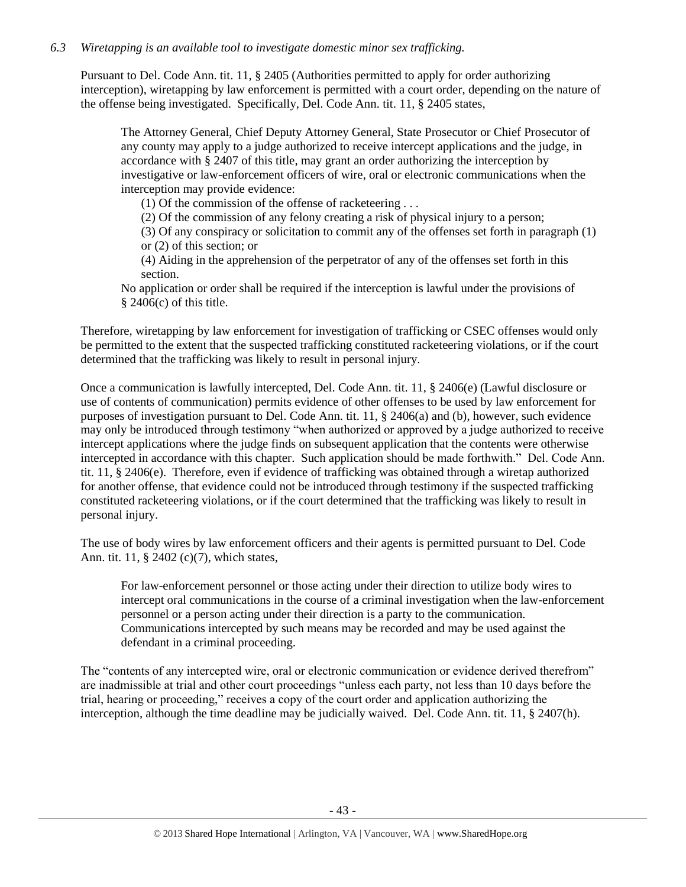## *6.3 Wiretapping is an available tool to investigate domestic minor sex trafficking.*

Pursuant to Del. Code Ann. tit. 11, § 2405 (Authorities permitted to apply for order authorizing interception), wiretapping by law enforcement is permitted with a court order, depending on the nature of the offense being investigated. Specifically, Del. Code Ann. tit. 11, § 2405 states,

The Attorney General, Chief Deputy Attorney General, State Prosecutor or Chief Prosecutor of any county may apply to a judge authorized to receive intercept applications and the judge, in accordance with § 2407 of this title, may grant an order authorizing the interception by investigative or law-enforcement officers of wire, oral or electronic communications when the interception may provide evidence:

(1) Of the commission of the offense of racketeering . . .

(2) Of the commission of any felony creating a risk of physical injury to a person;

(3) Of any conspiracy or solicitation to commit any of the offenses set forth in paragraph (1) or (2) of this section; or

(4) Aiding in the apprehension of the perpetrator of any of the offenses set forth in this section.

No application or order shall be required if the interception is lawful under the provisions of  $§$  2406(c) of this title.

Therefore, wiretapping by law enforcement for investigation of trafficking or CSEC offenses would only be permitted to the extent that the suspected trafficking constituted racketeering violations, or if the court determined that the trafficking was likely to result in personal injury.

Once a communication is lawfully intercepted, Del. Code Ann. tit. 11, § 2406(e) (Lawful disclosure or use of contents of communication) permits evidence of other offenses to be used by law enforcement for purposes of investigation pursuant to Del. Code Ann. tit. 11, § 2406(a) and (b), however, such evidence may only be introduced through testimony "when authorized or approved by a judge authorized to receive intercept applications where the judge finds on subsequent application that the contents were otherwise intercepted in accordance with this chapter. Such application should be made forthwith." Del. Code Ann. tit. 11, § 2406(e). Therefore, even if evidence of trafficking was obtained through a wiretap authorized for another offense, that evidence could not be introduced through testimony if the suspected trafficking constituted racketeering violations, or if the court determined that the trafficking was likely to result in personal injury.

The use of body wires by law enforcement officers and their agents is permitted pursuant to Del. Code Ann. tit. 11, § 2402 (c)(7), which states,

For law-enforcement personnel or those acting under their direction to utilize body wires to intercept oral communications in the course of a criminal investigation when the law-enforcement personnel or a person acting under their direction is a party to the communication. Communications intercepted by such means may be recorded and may be used against the defendant in a criminal proceeding.

The "contents of any intercepted wire, oral or electronic communication or evidence derived therefrom" are inadmissible at trial and other court proceedings "unless each party, not less than 10 days before the trial, hearing or proceeding," receives a copy of the court order and application authorizing the interception, although the time deadline may be judicially waived. Del. Code Ann. tit. 11, § 2407(h).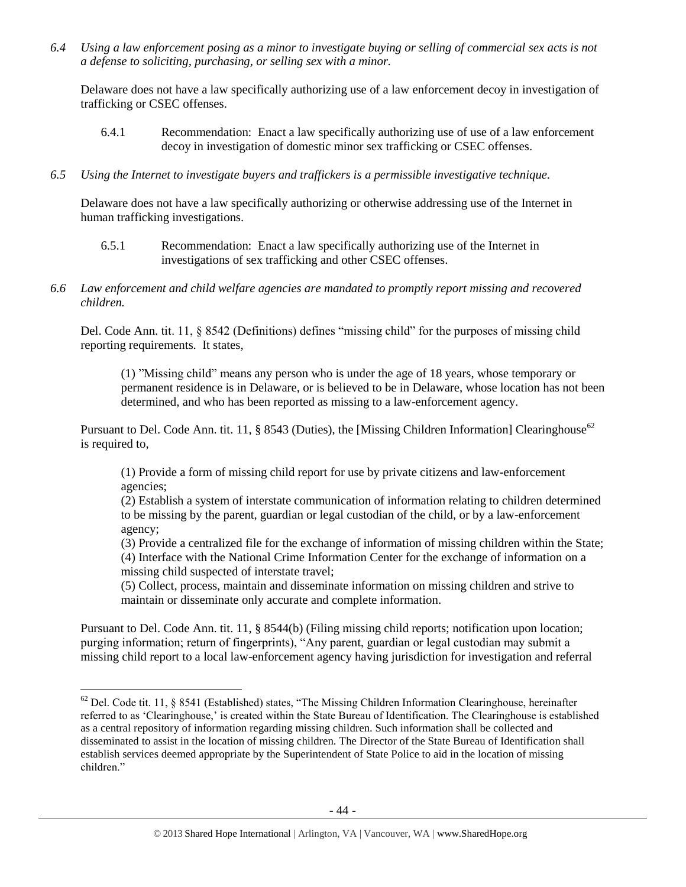*6.4 Using a law enforcement posing as a minor to investigate buying or selling of commercial sex acts is not a defense to soliciting, purchasing, or selling sex with a minor.*

Delaware does not have a law specifically authorizing use of a law enforcement decoy in investigation of trafficking or CSEC offenses.

- 6.4.1 Recommendation: Enact a law specifically authorizing use of use of a law enforcement decoy in investigation of domestic minor sex trafficking or CSEC offenses.
- *6.5 Using the Internet to investigate buyers and traffickers is a permissible investigative technique.*

Delaware does not have a law specifically authorizing or otherwise addressing use of the Internet in human trafficking investigations.

- 6.5.1 Recommendation: Enact a law specifically authorizing use of the Internet in investigations of sex trafficking and other CSEC offenses.
- *6.6 Law enforcement and child welfare agencies are mandated to promptly report missing and recovered children.*

Del. Code Ann. tit. 11, § 8542 (Definitions) defines "missing child" for the purposes of missing child reporting requirements. It states,

(1) "Missing child" means any person who is under the age of 18 years, whose temporary or permanent residence is in Delaware, or is believed to be in Delaware, whose location has not been determined, and who has been reported as missing to a law-enforcement agency.

Pursuant to Del. Code Ann. tit. 11, § 8543 (Duties), the [Missing Children Information] Clearinghouse<sup>62</sup> is required to,

(1) Provide a form of missing child report for use by private citizens and law-enforcement agencies;

(2) Establish a system of interstate communication of information relating to children determined to be missing by the parent, guardian or legal custodian of the child, or by a law-enforcement agency;

(3) Provide a centralized file for the exchange of information of missing children within the State; (4) Interface with the National Crime Information Center for the exchange of information on a missing child suspected of interstate travel;

(5) Collect, process, maintain and disseminate information on missing children and strive to maintain or disseminate only accurate and complete information.

Pursuant to Del. Code Ann. tit. 11, § 8544(b) (Filing missing child reports; notification upon location; purging information; return of fingerprints), "Any parent, guardian or legal custodian may submit a missing child report to a local law-enforcement agency having jurisdiction for investigation and referral

 $\overline{\phantom{a}}$ 

 $62$  Del. Code tit. 11, § 8541 (Established) states, "The Missing Children Information Clearinghouse, hereinafter referred to as 'Clearinghouse,' is created within the State Bureau of Identification. The Clearinghouse is established as a central repository of information regarding missing children. Such information shall be collected and disseminated to assist in the location of missing children. The Director of the State Bureau of Identification shall establish services deemed appropriate by the Superintendent of State Police to aid in the location of missing children."